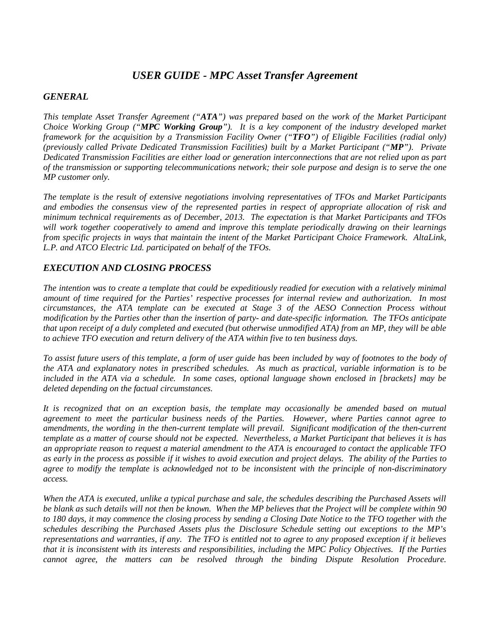# *USER GUIDE - MPC Asset Transfer Agreement*

#### *GENERAL*

*This template Asset Transfer Agreement ("ATA") was prepared based on the work of the Market Participant Choice Working Group ("MPC Working Group"). It is a key component of the industry developed market framework for the acquisition by a Transmission Facility Owner ("TFO") of Eligible Facilities (radial only) (previously called Private Dedicated Transmission Facilities) built by a Market Participant ("MP"). Private Dedicated Transmission Facilities are either load or generation interconnections that are not relied upon as part of the transmission or supporting telecommunications network; their sole purpose and design is to serve the one MP customer only.* 

*The template is the result of extensive negotiations involving representatives of TFOs and Market Participants and embodies the consensus view of the represented parties in respect of appropriate allocation of risk and minimum technical requirements as of December, 2013. The expectation is that Market Participants and TFOs will work together cooperatively to amend and improve this template periodically drawing on their learnings from specific projects in ways that maintain the intent of the Market Participant Choice Framework. AltaLink, L.P. and ATCO Electric Ltd. participated on behalf of the TFOs.*

### *EXECUTION AND CLOSING PROCESS*

*The intention was to create a template that could be expeditiously readied for execution with a relatively minimal amount of time required for the Parties' respective processes for internal review and authorization. In most circumstances, the ATA template can be executed at Stage 3 of the AESO Connection Process without modification by the Parties other than the insertion of party- and date-specific information. The TFOs anticipate that upon receipt of a duly completed and executed (but otherwise unmodified ATA) from an MP, they will be able to achieve TFO execution and return delivery of the ATA within five to ten business days.* 

*To assist future users of this template, a form of user guide has been included by way of footnotes to the body of the ATA and explanatory notes in prescribed schedules. As much as practical, variable information is to be included in the ATA via a schedule. In some cases, optional language shown enclosed in [brackets] may be deleted depending on the factual circumstances.* 

*It is recognized that on an exception basis, the template may occasionally be amended based on mutual agreement to meet the particular business needs of the Parties. However, where Parties cannot agree to amendments, the wording in the then-current template will prevail. Significant modification of the then-current template as a matter of course should not be expected. Nevertheless, a Market Participant that believes it is has an appropriate reason to request a material amendment to the ATA is encouraged to contact the applicable TFO as early in the process as possible if it wishes to avoid execution and project delays. The ability of the Parties to agree to modify the template is acknowledged not to be inconsistent with the principle of non-discriminatory access.* 

*When the ATA is executed, unlike a typical purchase and sale, the schedules describing the Purchased Assets will be blank as such details will not then be known. When the MP believes that the Project will be complete within 90 to 180 days, it may commence the closing process by sending a Closing Date Notice to the TFO together with the schedules describing the Purchased Assets plus the Disclosure Schedule setting out exceptions to the MP's representations and warranties, if any. The TFO is entitled not to agree to any proposed exception if it believes that it is inconsistent with its interests and responsibilities, including the MPC Policy Objectives. If the Parties cannot agree, the matters can be resolved through the binding Dispute Resolution Procedure.*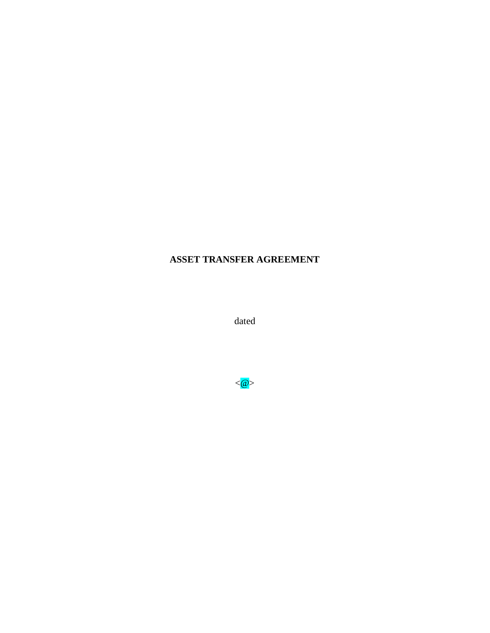# **ASSET TRANSFER AGREEMENT**

dated

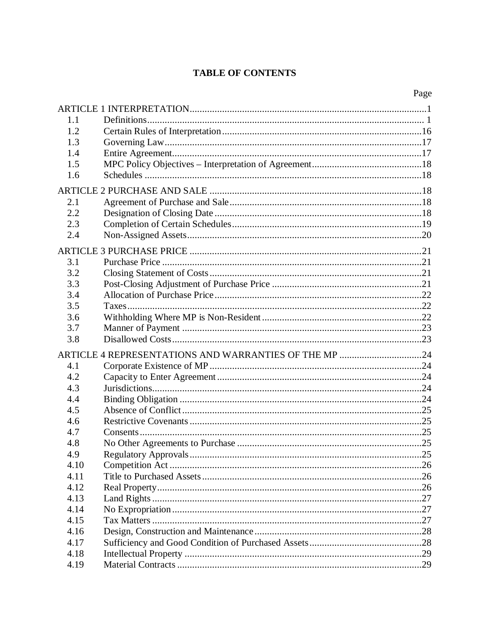# **TABLE OF CONTENTS**

|      | Page |
|------|------|
|      |      |
| 1.1  |      |
| 1.2  |      |
| 1.3  |      |
| 1.4  |      |
| 1.5  |      |
| 1.6  |      |
|      |      |
| 2.1  |      |
| 2.2  |      |
| 2.3  |      |
| 2.4  |      |
|      |      |
| 3.1  |      |
| 3.2  |      |
| 3.3  |      |
| 3.4  |      |
| 3.5  |      |
| 3.6  |      |
| 3.7  |      |
| 3.8  |      |
|      |      |
| 4.1  |      |
| 4.2  |      |
| 4.3  |      |
| 4.4  |      |
| 4.5  |      |
| 4.6  |      |
| 4.7  |      |
| 4.8  |      |
| 4.9  |      |
| 4.10 |      |
| 4.11 |      |
| 4.12 |      |
| 4.13 |      |
| 4.14 |      |
| 4.15 |      |
| 4.16 |      |
| 4.17 |      |
| 4.18 |      |
| 4.19 |      |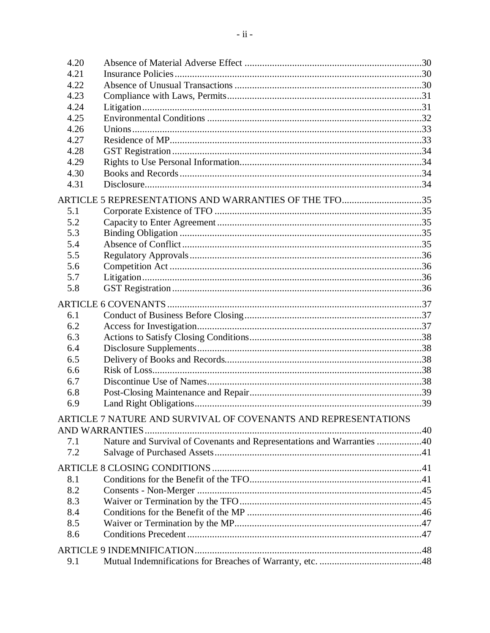| 4.20 |                                                                        |  |
|------|------------------------------------------------------------------------|--|
| 4.21 |                                                                        |  |
| 4.22 |                                                                        |  |
| 4.23 |                                                                        |  |
| 4.24 |                                                                        |  |
| 4.25 |                                                                        |  |
| 4.26 |                                                                        |  |
| 4.27 |                                                                        |  |
| 4.28 |                                                                        |  |
| 4.29 |                                                                        |  |
| 4.30 |                                                                        |  |
| 4.31 |                                                                        |  |
|      | ARTICLE 5 REPRESENTATIONS AND WARRANTIES OF THE TFO35                  |  |
| 5.1  |                                                                        |  |
| 5.2  |                                                                        |  |
| 5.3  |                                                                        |  |
| 5.4  |                                                                        |  |
| 5.5  |                                                                        |  |
| 5.6  |                                                                        |  |
| 5.7  |                                                                        |  |
| 5.8  |                                                                        |  |
|      |                                                                        |  |
| 6.1  |                                                                        |  |
| 6.2  |                                                                        |  |
| 6.3  |                                                                        |  |
| 6.4  |                                                                        |  |
| 6.5  |                                                                        |  |
| 6.6  |                                                                        |  |
| 6.7  |                                                                        |  |
| 6.8  |                                                                        |  |
| 6.9  |                                                                        |  |
|      | ARTICLE 7 NATURE AND SURVIVAL OF COVENANTS AND REPRESENTATIONS         |  |
|      | <b>AND WARRANTIES</b>                                                  |  |
| 7.1  | Nature and Survival of Covenants and Representations and Warranties 40 |  |
| 7.2  |                                                                        |  |
|      |                                                                        |  |
| 8.1  |                                                                        |  |
| 8.2  |                                                                        |  |
| 8.3  |                                                                        |  |
| 8.4  |                                                                        |  |
| 8.5  |                                                                        |  |
| 8.6  |                                                                        |  |
|      |                                                                        |  |
| 9.1  |                                                                        |  |
|      |                                                                        |  |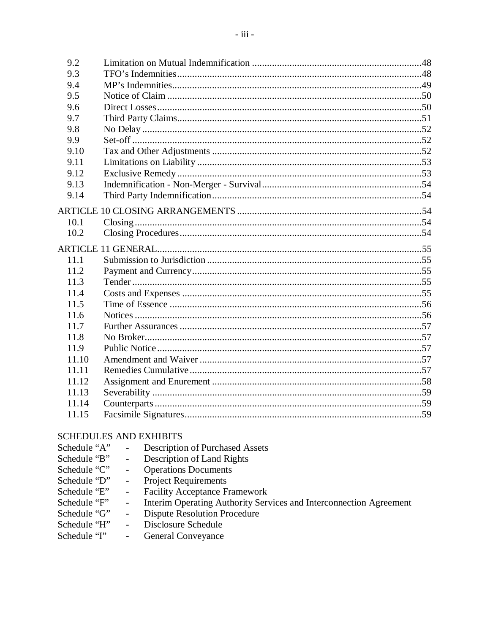| 9.2   |  |
|-------|--|
| 9.3   |  |
| 9.4   |  |
| 9.5   |  |
| 9.6   |  |
| 9.7   |  |
| 9.8   |  |
| 9.9   |  |
| 9.10  |  |
| 9.11  |  |
| 9.12  |  |
| 9.13  |  |
| 9.14  |  |
|       |  |
| 10.1  |  |
| 10.2  |  |
|       |  |
| 11.1  |  |
| 11.2  |  |
| 11.3  |  |
| 11.4  |  |
| 11.5  |  |
| 11.6  |  |
| 11.7  |  |
| 11.8  |  |
| 11.9  |  |
| 11.10 |  |
| 11.11 |  |
| 11.12 |  |
| 11.13 |  |
| 11.14 |  |
| 11.15 |  |
|       |  |

## **SCHEDULES AND EXHIBITS**

| Schedule "A"<br><b>Description of Purchased Assets</b> |  |
|--------------------------------------------------------|--|
|--------------------------------------------------------|--|

- Description of Land Rights Schedule "B"  $\omega$
- Operations Documents Schedule "C"  $\omega_{\rm{eff}}$
- Project Requirements Schedule "D"  $\omega$
- Facility Acceptance Framework Schedule "E"  $\omega_{\rm c}$
- Interim Operating Authority Services and Interconnection Agreement<br>Dispute Resolution Procedure Schedule "F"  $\omega_{\rm c}$
- Schedule "G"  $\omega_{\rm c}$
- Schedule "H" Disclosure Schedule  $\omega_{\rm c}$

Schedule 'T' **General Conveyance**  $\mathbb{L}^{\mathbb{R}}$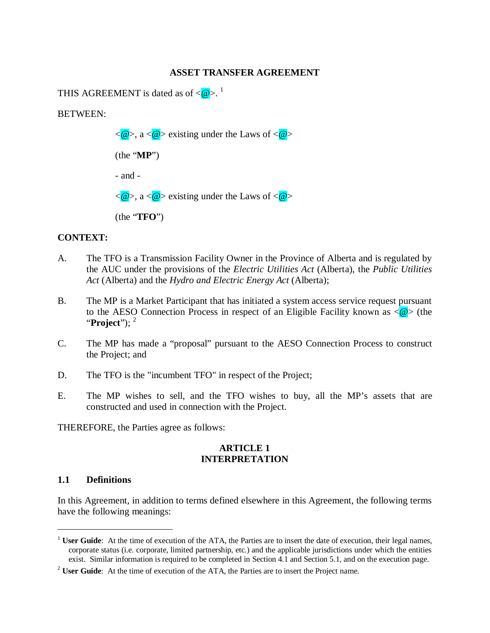#### **ASSET TRANSFER AGREEMENT**

THIS AGREEMENT is dated as of  $\langle \mathcal{Q} \rangle$ .<sup>1</sup>

BETWEEN:



### **CONTEXT:**

- A. The TFO is a Transmission Facility Owner in the Province of Alberta and is regulated by the AUC under the provisions of the *Electric Utilities Act* (Alberta), the *Public Utilities Act* (Alberta) and the *Hydro and Electric Energy Act* (Alberta);
- B. The MP is a Market Participant that has initiated a system access service request pursuant to the AESO Connection Process in respect of an Eligible Facility known as  $\langle \mathcal{Q} \rangle$  (the "**Project**"); <sup>2</sup>
- C. The MP has made a "proposal" pursuant to the AESO Connection Process to construct the Project; and
- D. The TFO is the "incumbent TFO" in respect of the Project;
- E. The MP wishes to sell, and the TFO wishes to buy, all the MP's assets that are constructed and used in connection with the Project.

THEREFORE, the Parties agree as follows:

### **ARTICLE 1 INTERPRETATION**

#### **1.1 Definitions**

1

In this Agreement, in addition to terms defined elsewhere in this Agreement, the following terms have the following meanings:

<sup>&</sup>lt;sup>1</sup> **User Guide**: At the time of execution of the ATA, the Parties are to insert the date of execution, their legal names, corporate status (i.e. corporate, limited partnership, etc.) and the applicable jurisdictions under which the entities exist. Similar information is required to be completed in Section 4.1 and Section 5.1, and on the execution page.

<sup>&</sup>lt;sup>2</sup> **User Guide**: At the time of execution of the ATA, the Parties are to insert the Project name.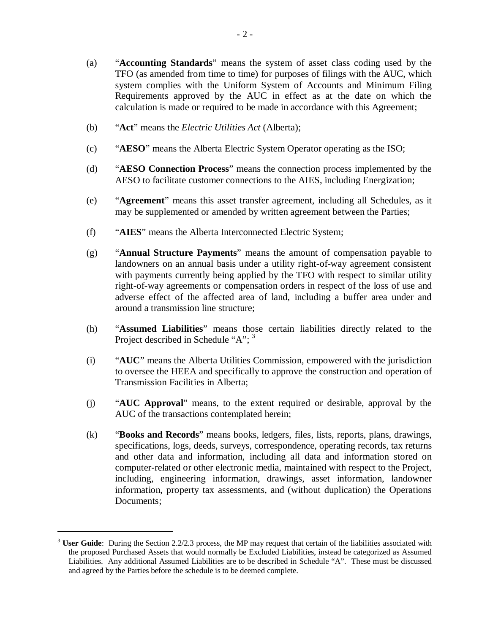- (a) "**Accounting Standards**" means the system of asset class coding used by the TFO (as amended from time to time) for purposes of filings with the AUC, which system complies with the Uniform System of Accounts and Minimum Filing Requirements approved by the AUC in effect as at the date on which the calculation is made or required to be made in accordance with this Agreement;
- (b) "**Act**" means the *Electric Utilities Act* (Alberta);
- (c) "**AESO**" means the Alberta Electric System Operator operating as the ISO;
- (d) "**AESO Connection Process**" means the connection process implemented by the AESO to facilitate customer connections to the AIES, including Energization;
- (e) "**Agreement**" means this asset transfer agreement, including all Schedules, as it may be supplemented or amended by written agreement between the Parties;
- (f) "**AIES**" means the Alberta Interconnected Electric System;
- (g) "**Annual Structure Payments**" means the amount of compensation payable to landowners on an annual basis under a utility right-of-way agreement consistent with payments currently being applied by the TFO with respect to similar utility right-of-way agreements or compensation orders in respect of the loss of use and adverse effect of the affected area of land, including a buffer area under and around a transmission line structure;
- (h) "**Assumed Liabilities**" means those certain liabilities directly related to the Project described in Schedule "A": <sup>3</sup>
- (i) "**AUC**" means the Alberta Utilities Commission, empowered with the jurisdiction to oversee the HEEA and specifically to approve the construction and operation of Transmission Facilities in Alberta;
- (j) "**AUC Approval**" means, to the extent required or desirable, approval by the AUC of the transactions contemplated herein;
- (k) "**Books and Records**" means books, ledgers, files, lists, reports, plans, drawings, specifications, logs, deeds, surveys, correspondence, operating records, tax returns and other data and information, including all data and information stored on computer-related or other electronic media, maintained with respect to the Project, including, engineering information, drawings, asset information, landowner information, property tax assessments, and (without duplication) the Operations Documents;

<sup>&</sup>lt;sup>3</sup> User Guide: During the Section 2.2/2.3 process, the MP may request that certain of the liabilities associated with the proposed Purchased Assets that would normally be Excluded Liabilities, instead be categorized as Assumed Liabilities. Any additional Assumed Liabilities are to be described in Schedule "A". These must be discussed and agreed by the Parties before the schedule is to be deemed complete.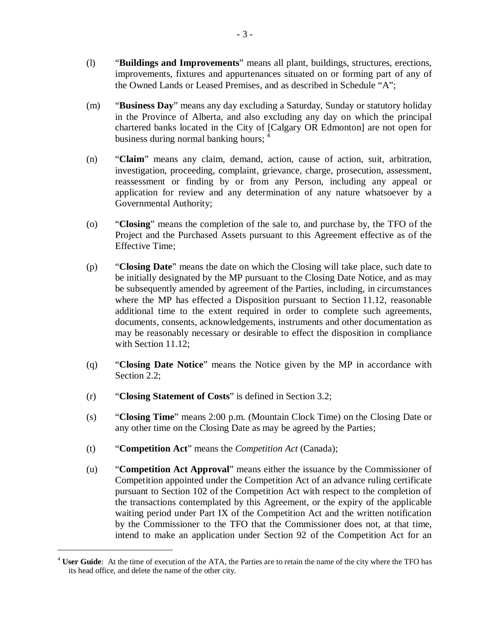- (l) "**Buildings and Improvements**" means all plant, buildings, structures, erections, improvements, fixtures and appurtenances situated on or forming part of any of the Owned Lands or Leased Premises, and as described in Schedule "A";
- (m) "**Business Day**" means any day excluding a Saturday, Sunday or statutory holiday in the Province of Alberta, and also excluding any day on which the principal chartered banks located in the City of [Calgary OR Edmonton] are not open for business during normal banking hours; 4
- (n) "**Claim**" means any claim, demand, action, cause of action, suit, arbitration, investigation, proceeding, complaint, grievance, charge, prosecution, assessment, reassessment or finding by or from any Person, including any appeal or application for review and any determination of any nature whatsoever by a Governmental Authority;
- (o) "**Closing**" means the completion of the sale to, and purchase by, the TFO of the Project and the Purchased Assets pursuant to this Agreement effective as of the Effective Time;
- (p) "**Closing Date**" means the date on which the Closing will take place, such date to be initially designated by the MP pursuant to the Closing Date Notice, and as may be subsequently amended by agreement of the Parties, including, in circumstances where the MP has effected a Disposition pursuant to Section 11.12, reasonable additional time to the extent required in order to complete such agreements, documents, consents, acknowledgements, instruments and other documentation as may be reasonably necessary or desirable to effect the disposition in compliance with Section 11.12;
- (q) "**Closing Date Notice**" means the Notice given by the MP in accordance with Section 2.2:
- (r) "**Closing Statement of Costs**" is defined in Section 3.2;
- (s) "**Closing Time**" means 2:00 p.m. (Mountain Clock Time) on the Closing Date or any other time on the Closing Date as may be agreed by the Parties;
- (t) "**Competition Act**" means the *Competition Act* (Canada);

1

(u) "**Competition Act Approval**" means either the issuance by the Commissioner of Competition appointed under the Competition Act of an advance ruling certificate pursuant to Section 102 of the Competition Act with respect to the completion of the transactions contemplated by this Agreement, or the expiry of the applicable waiting period under Part IX of the Competition Act and the written notification by the Commissioner to the TFO that the Commissioner does not, at that time, intend to make an application under Section 92 of the Competition Act for an

<sup>&</sup>lt;sup>4</sup> **User Guide**: At the time of execution of the ATA, the Parties are to retain the name of the city where the TFO has its head office, and delete the name of the other city.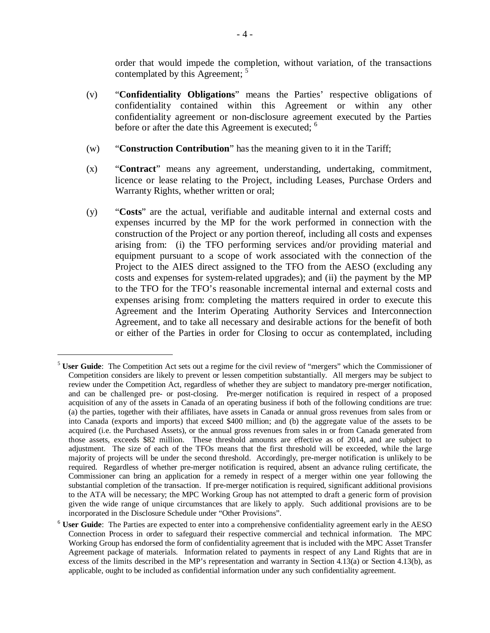order that would impede the completion, without variation, of the transactions contemplated by this Agreement; <sup>5</sup>

- (v) "**Confidentiality Obligations**" means the Parties' respective obligations of confidentiality contained within this Agreement or within any other confidentiality agreement or non-disclosure agreement executed by the Parties before or after the date this Agreement is executed; <sup>6</sup>
- (w) "**Construction Contribution**" has the meaning given to it in the Tariff;
- (x) "**Contract**" means any agreement, understanding, undertaking, commitment, licence or lease relating to the Project, including Leases, Purchase Orders and Warranty Rights, whether written or oral;
- (y) "**Costs**" are the actual, verifiable and auditable internal and external costs and expenses incurred by the MP for the work performed in connection with the construction of the Project or any portion thereof, including all costs and expenses arising from: (i) the TFO performing services and/or providing material and equipment pursuant to a scope of work associated with the connection of the Project to the AIES direct assigned to the TFO from the AESO (excluding any costs and expenses for system-related upgrades); and (ii) the payment by the MP to the TFO for the TFO's reasonable incremental internal and external costs and expenses arising from: completing the matters required in order to execute this Agreement and the Interim Operating Authority Services and Interconnection Agreement, and to take all necessary and desirable actions for the benefit of both or either of the Parties in order for Closing to occur as contemplated, including

<sup>5</sup> **User Guide**: The Competition Act sets out a regime for the civil review of "mergers" which the Commissioner of Competition considers are likely to prevent or lessen competition substantially. All mergers may be subject to review under the Competition Act, regardless of whether they are subject to mandatory pre-merger notification, and can be challenged pre- or post-closing. Pre-merger notification is required in respect of a proposed acquisition of any of the assets in Canada of an operating business if both of the following conditions are true: (a) the parties, together with their affiliates, have assets in Canada or annual gross revenues from sales from or into Canada (exports and imports) that exceed \$400 million; and (b) the aggregate value of the assets to be acquired (i.e. the Purchased Assets), or the annual gross revenues from sales in or from Canada generated from those assets, exceeds \$82 million. These threshold amounts are effective as of 2014, and are subject to adjustment. The size of each of the TFOs means that the first threshold will be exceeded, while the large majority of projects will be under the second threshold. Accordingly, pre-merger notification is unlikely to be required. Regardless of whether pre-merger notification is required, absent an advance ruling certificate, the Commissioner can bring an application for a remedy in respect of a merger within one year following the substantial completion of the transaction. If pre-merger notification is required, significant additional provisions to the ATA will be necessary; the MPC Working Group has not attempted to draft a generic form of provision given the wide range of unique circumstances that are likely to apply. Such additional provisions are to be incorporated in the Disclosure Schedule under "Other Provisions".

<sup>6</sup> **User Guide**: The Parties are expected to enter into a comprehensive confidentiality agreement early in the AESO Connection Process in order to safeguard their respective commercial and technical information. The MPC Working Group has endorsed the form of confidentiality agreement that is included with the MPC Asset Transfer Agreement package of materials. Information related to payments in respect of any Land Rights that are in excess of the limits described in the MP's representation and warranty in Section 4.13(a) or Section 4.13(b), as applicable, ought to be included as confidential information under any such confidentiality agreement.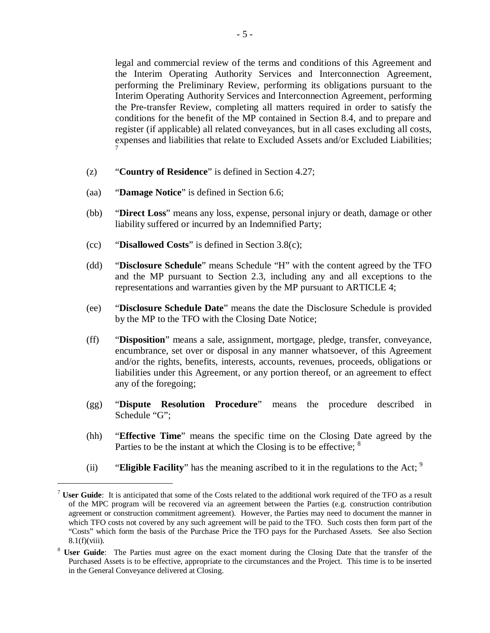legal and commercial review of the terms and conditions of this Agreement and the Interim Operating Authority Services and Interconnection Agreement, performing the Preliminary Review, performing its obligations pursuant to the Interim Operating Authority Services and Interconnection Agreement, performing the Pre-transfer Review, completing all matters required in order to satisfy the conditions for the benefit of the MP contained in Section 8.4, and to prepare and register (if applicable) all related conveyances, but in all cases excluding all costs, expenses and liabilities that relate to Excluded Assets and/or Excluded Liabilities; 7

- (z) "**Country of Residence**" is defined in Section 4.27;
- (aa) "**Damage Notice**" is defined in Section 6.6;
- (bb) "**Direct Loss**" means any loss, expense, personal injury or death, damage or other liability suffered or incurred by an Indemnified Party;
- (cc) "**Disallowed Costs**" is defined in Section 3.8(c);

- (dd) "**Disclosure Schedule**" means Schedule "H" with the content agreed by the TFO and the MP pursuant to Section 2.3, including any and all exceptions to the representations and warranties given by the MP pursuant to ARTICLE 4;
- (ee) "**Disclosure Schedule Date**" means the date the Disclosure Schedule is provided by the MP to the TFO with the Closing Date Notice;
- (ff) "**Disposition**" means a sale, assignment, mortgage, pledge, transfer, conveyance, encumbrance, set over or disposal in any manner whatsoever, of this Agreement and/or the rights, benefits, interests, accounts, revenues, proceeds, obligations or liabilities under this Agreement, or any portion thereof, or an agreement to effect any of the foregoing;
- (gg) "**Dispute Resolution Procedure**" means the procedure described in Schedule "G";
- (hh) "**Effective Time**" means the specific time on the Closing Date agreed by the Parties to be the instant at which the Closing is to be effective; <sup>8</sup>
- (ii) **"Eligible Facility**" has the meaning ascribed to it in the regulations to the Act; <sup>9</sup>

<sup>7</sup> **User Guide**: It is anticipated that some of the Costs related to the additional work required of the TFO as a result of the MPC program will be recovered via an agreement between the Parties (e.g. construction contribution agreement or construction commitment agreement). However, the Parties may need to document the manner in which TFO costs not covered by any such agreement will be paid to the TFO. Such costs then form part of the "Costs" which form the basis of the Purchase Price the TFO pays for the Purchased Assets. See also Section  $8.1(f)(viii)$ .

<sup>&</sup>lt;sup>8</sup> **User Guide**: The Parties must agree on the exact moment during the Closing Date that the transfer of the Purchased Assets is to be effective, appropriate to the circumstances and the Project. This time is to be inserted in the General Conveyance delivered at Closing.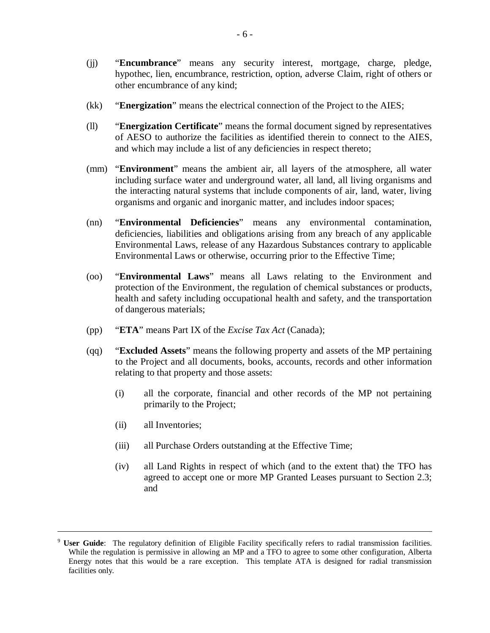- (jj) "**Encumbrance**" means any security interest, mortgage, charge, pledge, hypothec, lien, encumbrance, restriction, option, adverse Claim, right of others or other encumbrance of any kind;
- (kk) "**Energization**" means the electrical connection of the Project to the AIES;
- (ll) "**Energization Certificate**" means the formal document signed by representatives of AESO to authorize the facilities as identified therein to connect to the AIES, and which may include a list of any deficiencies in respect thereto;
- (mm) "**Environment**" means the ambient air, all layers of the atmosphere, all water including surface water and underground water, all land, all living organisms and the interacting natural systems that include components of air, land, water, living organisms and organic and inorganic matter, and includes indoor spaces;
- (nn) "**Environmental Deficiencies**" means any environmental contamination, deficiencies, liabilities and obligations arising from any breach of any applicable Environmental Laws, release of any Hazardous Substances contrary to applicable Environmental Laws or otherwise, occurring prior to the Effective Time;
- (oo) "**Environmental Laws**" means all Laws relating to the Environment and protection of the Environment, the regulation of chemical substances or products, health and safety including occupational health and safety, and the transportation of dangerous materials;
- (pp) "**ETA**" means Part IX of the *Excise Tax Act* (Canada);
- (qq) "**Excluded Assets**" means the following property and assets of the MP pertaining to the Project and all documents, books, accounts, records and other information relating to that property and those assets:
	- (i) all the corporate, financial and other records of the MP not pertaining primarily to the Project;
	- (ii) all Inventories;

- (iii) all Purchase Orders outstanding at the Effective Time;
- (iv) all Land Rights in respect of which (and to the extent that) the TFO has agreed to accept one or more MP Granted Leases pursuant to Section 2.3; and

<sup>9</sup> **User Guide**: The regulatory definition of Eligible Facility specifically refers to radial transmission facilities. While the regulation is permissive in allowing an MP and a TFO to agree to some other configuration, Alberta Energy notes that this would be a rare exception. This template ATA is designed for radial transmission facilities only.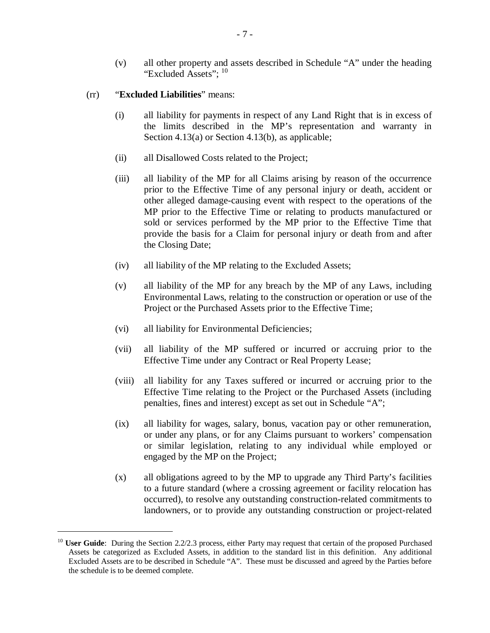- (v) all other property and assets described in Schedule "A" under the heading "Excluded Assets"; <sup>10</sup>
- (rr) "**Excluded Liabilities**" means:

- (i) all liability for payments in respect of any Land Right that is in excess of the limits described in the MP's representation and warranty in Section 4.13(a) or Section 4.13(b), as applicable;
- (ii) all Disallowed Costs related to the Project;
- (iii) all liability of the MP for all Claims arising by reason of the occurrence prior to the Effective Time of any personal injury or death, accident or other alleged damage-causing event with respect to the operations of the MP prior to the Effective Time or relating to products manufactured or sold or services performed by the MP prior to the Effective Time that provide the basis for a Claim for personal injury or death from and after the Closing Date;
- (iv) all liability of the MP relating to the Excluded Assets;
- (v) all liability of the MP for any breach by the MP of any Laws, including Environmental Laws, relating to the construction or operation or use of the Project or the Purchased Assets prior to the Effective Time;
- (vi) all liability for Environmental Deficiencies;
- (vii) all liability of the MP suffered or incurred or accruing prior to the Effective Time under any Contract or Real Property Lease;
- (viii) all liability for any Taxes suffered or incurred or accruing prior to the Effective Time relating to the Project or the Purchased Assets (including penalties, fines and interest) except as set out in Schedule "A";
- (ix) all liability for wages, salary, bonus, vacation pay or other remuneration, or under any plans, or for any Claims pursuant to workers' compensation or similar legislation, relating to any individual while employed or engaged by the MP on the Project;
- (x) all obligations agreed to by the MP to upgrade any Third Party's facilities to a future standard (where a crossing agreement or facility relocation has occurred), to resolve any outstanding construction-related commitments to landowners, or to provide any outstanding construction or project-related

<sup>&</sup>lt;sup>10</sup> **User Guide**: During the Section 2.2/2.3 process, either Party may request that certain of the proposed Purchased Assets be categorized as Excluded Assets, in addition to the standard list in this definition. Any additional Excluded Assets are to be described in Schedule "A". These must be discussed and agreed by the Parties before the schedule is to be deemed complete.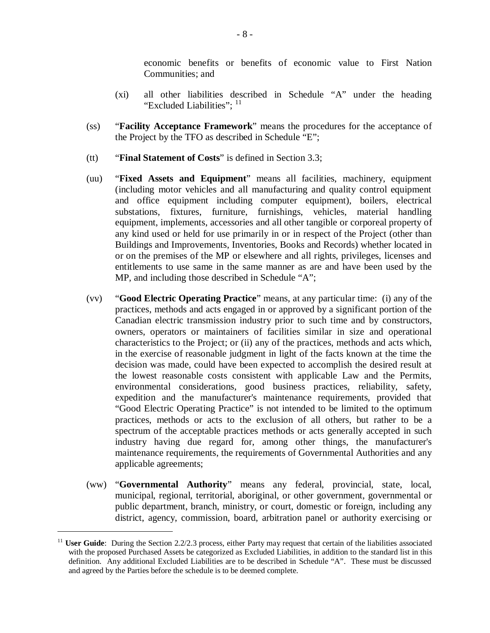economic benefits or benefits of economic value to First Nation Communities; and

- (xi) all other liabilities described in Schedule "A" under the heading "Excluded Liabilities": <sup>11</sup>
- (ss) "**Facility Acceptance Framework**" means the procedures for the acceptance of the Project by the TFO as described in Schedule "E";
- (tt) "**Final Statement of Costs**" is defined in Section 3.3;
- (uu) "**Fixed Assets and Equipment**" means all facilities, machinery, equipment (including motor vehicles and all manufacturing and quality control equipment and office equipment including computer equipment), boilers, electrical substations, fixtures, furniture, furnishings, vehicles, material handling equipment, implements, accessories and all other tangible or corporeal property of any kind used or held for use primarily in or in respect of the Project (other than Buildings and Improvements, Inventories, Books and Records) whether located in or on the premises of the MP or elsewhere and all rights, privileges, licenses and entitlements to use same in the same manner as are and have been used by the MP, and including those described in Schedule "A";
- (vv) "**Good Electric Operating Practice**" means, at any particular time: (i) any of the practices, methods and acts engaged in or approved by a significant portion of the Canadian electric transmission industry prior to such time and by constructors, owners, operators or maintainers of facilities similar in size and operational characteristics to the Project; or (ii) any of the practices, methods and acts which, in the exercise of reasonable judgment in light of the facts known at the time the decision was made, could have been expected to accomplish the desired result at the lowest reasonable costs consistent with applicable Law and the Permits, environmental considerations, good business practices, reliability, safety, expedition and the manufacturer's maintenance requirements, provided that "Good Electric Operating Practice" is not intended to be limited to the optimum practices, methods or acts to the exclusion of all others, but rather to be a spectrum of the acceptable practices methods or acts generally accepted in such industry having due regard for, among other things, the manufacturer's maintenance requirements, the requirements of Governmental Authorities and any applicable agreements;
- (ww) "**Governmental Authority**" means any federal, provincial, state, local, municipal, regional, territorial, aboriginal, or other government, governmental or public department, branch, ministry, or court, domestic or foreign, including any district, agency, commission, board, arbitration panel or authority exercising or

<sup>&</sup>lt;sup>11</sup> **User Guide**: During the Section 2.2/2.3 process, either Party may request that certain of the liabilities associated with the proposed Purchased Assets be categorized as Excluded Liabilities, in addition to the standard list in this definition. Any additional Excluded Liabilities are to be described in Schedule "A". These must be discussed and agreed by the Parties before the schedule is to be deemed complete.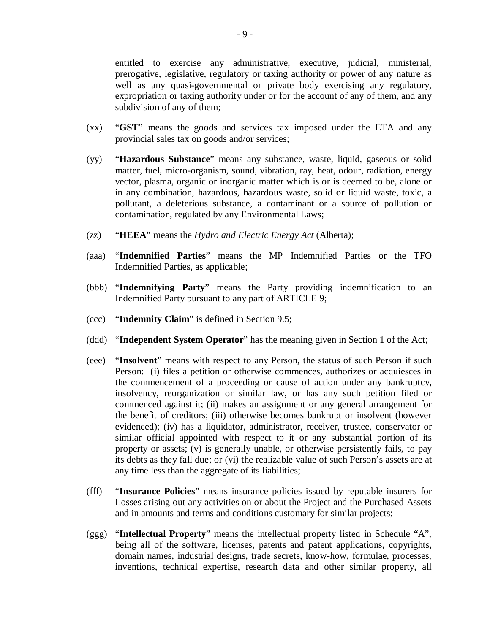entitled to exercise any administrative, executive, judicial, ministerial, prerogative, legislative, regulatory or taxing authority or power of any nature as well as any quasi-governmental or private body exercising any regulatory, expropriation or taxing authority under or for the account of any of them, and any subdivision of any of them;

- (xx) "**GST**" means the goods and services tax imposed under the ETA and any provincial sales tax on goods and/or services;
- (yy) "**Hazardous Substance**" means any substance, waste, liquid, gaseous or solid matter, fuel, micro-organism, sound, vibration, ray, heat, odour, radiation, energy vector, plasma, organic or inorganic matter which is or is deemed to be, alone or in any combination, hazardous, hazardous waste, solid or liquid waste, toxic, a pollutant, a deleterious substance, a contaminant or a source of pollution or contamination, regulated by any Environmental Laws;
- (zz) "**HEEA**" means the *Hydro and Electric Energy Act* (Alberta);
- (aaa) "**Indemnified Parties**" means the MP Indemnified Parties or the TFO Indemnified Parties, as applicable;
- (bbb) "**Indemnifying Party**" means the Party providing indemnification to an Indemnified Party pursuant to any part of ARTICLE 9;
- (ccc) "**Indemnity Claim**" is defined in Section 9.5;
- (ddd) "**Independent System Operator**" has the meaning given in Section 1 of the Act;
- (eee) "**Insolvent**" means with respect to any Person, the status of such Person if such Person: (i) files a petition or otherwise commences, authorizes or acquiesces in the commencement of a proceeding or cause of action under any bankruptcy, insolvency, reorganization or similar law, or has any such petition filed or commenced against it; (ii) makes an assignment or any general arrangement for the benefit of creditors; (iii) otherwise becomes bankrupt or insolvent (however evidenced); (iv) has a liquidator, administrator, receiver, trustee, conservator or similar official appointed with respect to it or any substantial portion of its property or assets; (v) is generally unable, or otherwise persistently fails, to pay its debts as they fall due; or (vi) the realizable value of such Person's assets are at any time less than the aggregate of its liabilities;
- (fff) "**Insurance Policies**" means insurance policies issued by reputable insurers for Losses arising out any activities on or about the Project and the Purchased Assets and in amounts and terms and conditions customary for similar projects;
- (ggg) "**Intellectual Property**" means the intellectual property listed in Schedule "A", being all of the software, licenses, patents and patent applications, copyrights, domain names, industrial designs, trade secrets, know-how, formulae, processes, inventions, technical expertise, research data and other similar property, all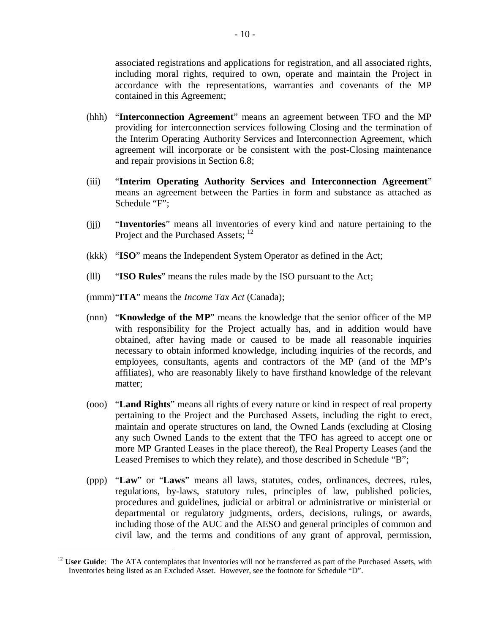associated registrations and applications for registration, and all associated rights, including moral rights, required to own, operate and maintain the Project in accordance with the representations, warranties and covenants of the MP contained in this Agreement;

- (hhh) "**Interconnection Agreement**" means an agreement between TFO and the MP providing for interconnection services following Closing and the termination of the Interim Operating Authority Services and Interconnection Agreement, which agreement will incorporate or be consistent with the post-Closing maintenance and repair provisions in Section 6.8;
- (iii) "**Interim Operating Authority Services and Interconnection Agreement**" means an agreement between the Parties in form and substance as attached as Schedule "F";
- (jjj) "**Inventories**" means all inventories of every kind and nature pertaining to the Project and the Purchased Assets; <sup>12</sup>
- (kkk) "**ISO**" means the Independent System Operator as defined in the Act;
- (lll) "**ISO Rules**" means the rules made by the ISO pursuant to the Act;
- (mmm)"**ITA**" means the *Income Tax Act* (Canada);

1

- (nnn) "**Knowledge of the MP**" means the knowledge that the senior officer of the MP with responsibility for the Project actually has, and in addition would have obtained, after having made or caused to be made all reasonable inquiries necessary to obtain informed knowledge, including inquiries of the records, and employees, consultants, agents and contractors of the MP (and of the MP's affiliates), who are reasonably likely to have firsthand knowledge of the relevant matter;
- (ooo) "**Land Rights**" means all rights of every nature or kind in respect of real property pertaining to the Project and the Purchased Assets, including the right to erect, maintain and operate structures on land, the Owned Lands (excluding at Closing any such Owned Lands to the extent that the TFO has agreed to accept one or more MP Granted Leases in the place thereof), the Real Property Leases (and the Leased Premises to which they relate), and those described in Schedule "B";
- (ppp) "**Law**" or "**Laws**" means all laws, statutes, codes, ordinances, decrees, rules, regulations, by-laws, statutory rules, principles of law, published policies, procedures and guidelines, judicial or arbitral or administrative or ministerial or departmental or regulatory judgments, orders, decisions, rulings, or awards, including those of the AUC and the AESO and general principles of common and civil law, and the terms and conditions of any grant of approval, permission,

<sup>&</sup>lt;sup>12</sup> **User Guide**: The ATA contemplates that Inventories will not be transferred as part of the Purchased Assets, with Inventories being listed as an Excluded Asset. However, see the footnote for Schedule "D".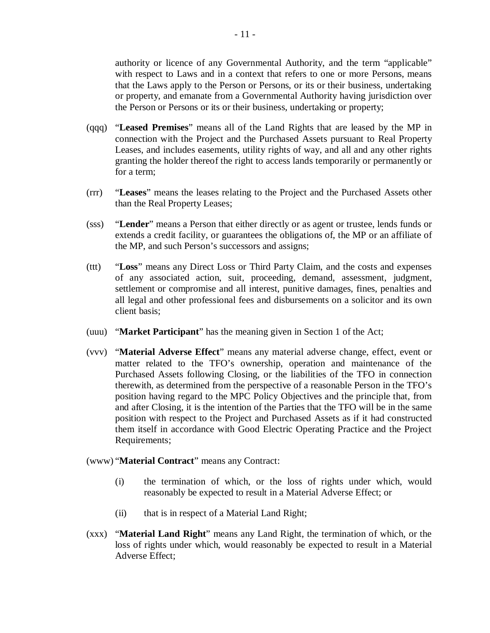authority or licence of any Governmental Authority, and the term "applicable" with respect to Laws and in a context that refers to one or more Persons, means that the Laws apply to the Person or Persons, or its or their business, undertaking or property, and emanate from a Governmental Authority having jurisdiction over the Person or Persons or its or their business, undertaking or property;

- (qqq) "**Leased Premises**" means all of the Land Rights that are leased by the MP in connection with the Project and the Purchased Assets pursuant to Real Property Leases, and includes easements, utility rights of way, and all and any other rights granting the holder thereof the right to access lands temporarily or permanently or for a term;
- (rrr) "**Leases**" means the leases relating to the Project and the Purchased Assets other than the Real Property Leases;
- (sss) "**Lender**" means a Person that either directly or as agent or trustee, lends funds or extends a credit facility, or guarantees the obligations of, the MP or an affiliate of the MP, and such Person's successors and assigns;
- (ttt) "**Loss**" means any Direct Loss or Third Party Claim, and the costs and expenses of any associated action, suit, proceeding, demand, assessment, judgment, settlement or compromise and all interest, punitive damages, fines, penalties and all legal and other professional fees and disbursements on a solicitor and its own client basis;
- (uuu) "**Market Participant**" has the meaning given in Section 1 of the Act;
- (vvv) "**Material Adverse Effect**" means any material adverse change, effect, event or matter related to the TFO's ownership, operation and maintenance of the Purchased Assets following Closing, or the liabilities of the TFO in connection therewith, as determined from the perspective of a reasonable Person in the TFO's position having regard to the MPC Policy Objectives and the principle that, from and after Closing, it is the intention of the Parties that the TFO will be in the same position with respect to the Project and Purchased Assets as if it had constructed them itself in accordance with Good Electric Operating Practice and the Project Requirements;
- (www) "**Material Contract**" means any Contract:
	- (i) the termination of which, or the loss of rights under which, would reasonably be expected to result in a Material Adverse Effect; or
	- (ii) that is in respect of a Material Land Right;
- (xxx) "**Material Land Right**" means any Land Right, the termination of which, or the loss of rights under which, would reasonably be expected to result in a Material Adverse Effect;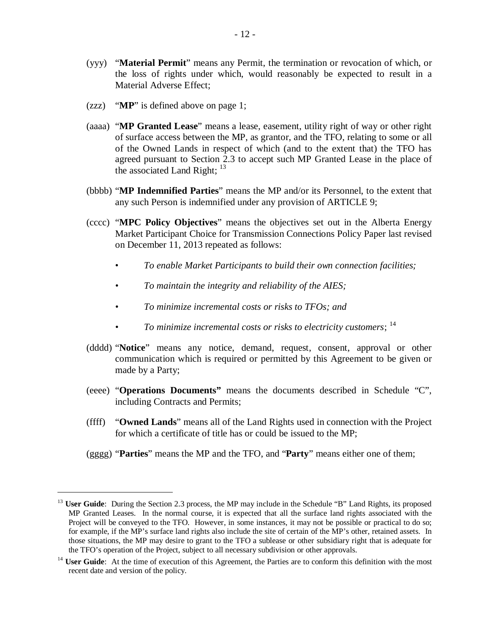- (yyy) "**Material Permit**" means any Permit, the termination or revocation of which, or the loss of rights under which, would reasonably be expected to result in a Material Adverse Effect;
- (zzz) "**MP**" is defined above on page 1;

1

- (aaaa) "**MP Granted Lease**" means a lease, easement, utility right of way or other right of surface access between the MP, as grantor, and the TFO, relating to some or all of the Owned Lands in respect of which (and to the extent that) the TFO has agreed pursuant to Section 2.3 to accept such MP Granted Lease in the place of the associated Land Right;  $13$
- (bbbb) "**MP Indemnified Parties**" means the MP and/or its Personnel, to the extent that any such Person is indemnified under any provision of ARTICLE 9;
- (cccc) "**MPC Policy Objectives**" means the objectives set out in the Alberta Energy Market Participant Choice for Transmission Connections Policy Paper last revised on December 11, 2013 repeated as follows:
	- *To enable Market Participants to build their own connection facilities;*
	- *To maintain the integrity and reliability of the AIES;*
	- *To minimize incremental costs or risks to TFOs; and*
	- To minimize incremental costs or risks to electricity customers; <sup>14</sup>
- (dddd) "**Notice**" means any notice, demand, request, consent, approval or other communication which is required or permitted by this Agreement to be given or made by a Party;
- (eeee) "**Operations Documents"** means the documents described in Schedule "C", including Contracts and Permits;
- (ffff) "**Owned Lands**" means all of the Land Rights used in connection with the Project for which a certificate of title has or could be issued to the MP;
- (gggg) "**Parties**" means the MP and the TFO, and "**Party**" means either one of them;

<sup>&</sup>lt;sup>13</sup> **User Guide**: During the Section 2.3 process, the MP may include in the Schedule "B" Land Rights, its proposed MP Granted Leases. In the normal course, it is expected that all the surface land rights associated with the Project will be conveyed to the TFO. However, in some instances, it may not be possible or practical to do so; for example, if the MP's surface land rights also include the site of certain of the MP's other, retained assets. In those situations, the MP may desire to grant to the TFO a sublease or other subsidiary right that is adequate for the TFO's operation of the Project, subject to all necessary subdivision or other approvals.

<sup>&</sup>lt;sup>14</sup> **User Guide**: At the time of execution of this Agreement, the Parties are to conform this definition with the most recent date and version of the policy.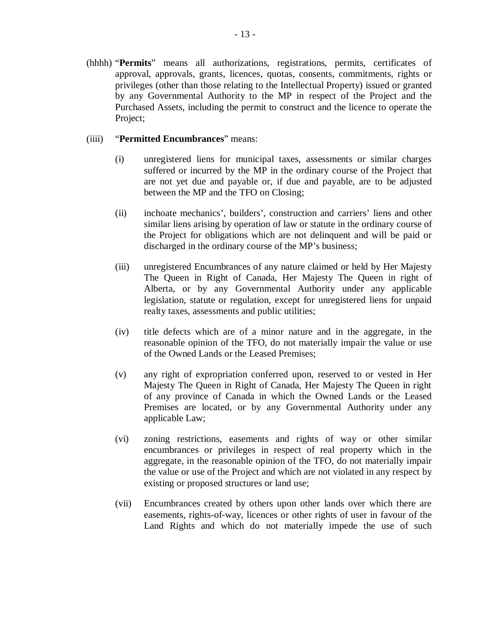(hhhh) "**Permits**" means all authorizations, registrations, permits, certificates of approval, approvals, grants, licences, quotas, consents, commitments, rights or privileges (other than those relating to the Intellectual Property) issued or granted by any Governmental Authority to the MP in respect of the Project and the Purchased Assets, including the permit to construct and the licence to operate the Project;

#### (iiii) "**Permitted Encumbrances**" means:

- (i) unregistered liens for municipal taxes, assessments or similar charges suffered or incurred by the MP in the ordinary course of the Project that are not yet due and payable or, if due and payable, are to be adjusted between the MP and the TFO on Closing;
- (ii) inchoate mechanics', builders', construction and carriers' liens and other similar liens arising by operation of law or statute in the ordinary course of the Project for obligations which are not delinquent and will be paid or discharged in the ordinary course of the MP's business;
- (iii) unregistered Encumbrances of any nature claimed or held by Her Majesty The Queen in Right of Canada, Her Majesty The Queen in right of Alberta, or by any Governmental Authority under any applicable legislation, statute or regulation, except for unregistered liens for unpaid realty taxes, assessments and public utilities;
- (iv) title defects which are of a minor nature and in the aggregate, in the reasonable opinion of the TFO, do not materially impair the value or use of the Owned Lands or the Leased Premises;
- (v) any right of expropriation conferred upon, reserved to or vested in Her Majesty The Queen in Right of Canada, Her Majesty The Queen in right of any province of Canada in which the Owned Lands or the Leased Premises are located, or by any Governmental Authority under any applicable Law;
- (vi) zoning restrictions, easements and rights of way or other similar encumbrances or privileges in respect of real property which in the aggregate, in the reasonable opinion of the TFO, do not materially impair the value or use of the Project and which are not violated in any respect by existing or proposed structures or land use;
- (vii) Encumbrances created by others upon other lands over which there are easements, rights-of-way, licences or other rights of user in favour of the Land Rights and which do not materially impede the use of such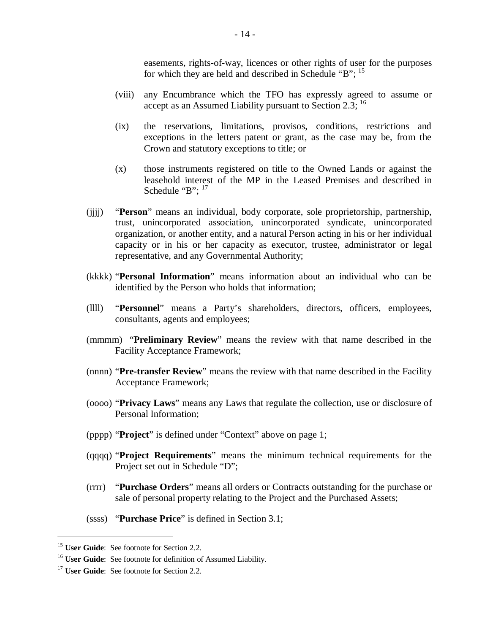easements, rights-of-way, licences or other rights of user for the purposes for which they are held and described in Schedule "B";  $^{15}$ 

- (viii) any Encumbrance which the TFO has expressly agreed to assume or accept as an Assumed Liability pursuant to Section 2.3;  $^{16}$
- (ix) the reservations, limitations, provisos, conditions, restrictions and exceptions in the letters patent or grant, as the case may be, from the Crown and statutory exceptions to title; or
- (x) those instruments registered on title to the Owned Lands or against the leasehold interest of the MP in the Leased Premises and described in Schedule " $B$ ";  $17$
- (jjjj) "**Person**" means an individual, body corporate, sole proprietorship, partnership, trust, unincorporated association, unincorporated syndicate, unincorporated organization, or another entity, and a natural Person acting in his or her individual capacity or in his or her capacity as executor, trustee, administrator or legal representative, and any Governmental Authority;
- (kkkk) "**Personal Information**" means information about an individual who can be identified by the Person who holds that information;
- (llll) "**Personnel**" means a Party's shareholders, directors, officers, employees, consultants, agents and employees;
- (mmmm) "**Preliminary Review**" means the review with that name described in the Facility Acceptance Framework;
- (nnnn) "**Pre-transfer Review**" means the review with that name described in the Facility Acceptance Framework;
- (oooo) "**Privacy Laws**" means any Laws that regulate the collection, use or disclosure of Personal Information;
- (pppp) "**Project**" is defined under "Context" above on page 1;
- (qqqq) "**Project Requirements**" means the minimum technical requirements for the Project set out in Schedule "D";
- (rrrr) "**Purchase Orders**" means all orders or Contracts outstanding for the purchase or sale of personal property relating to the Project and the Purchased Assets;
- (ssss) "**Purchase Price**" is defined in Section 3.1;

<sup>15</sup> **User Guide**: See footnote for Section 2.2.

<sup>&</sup>lt;sup>16</sup> **User Guide**: See footnote for definition of Assumed Liability.

<sup>&</sup>lt;sup>17</sup> **User Guide**: See footnote for Section 2.2.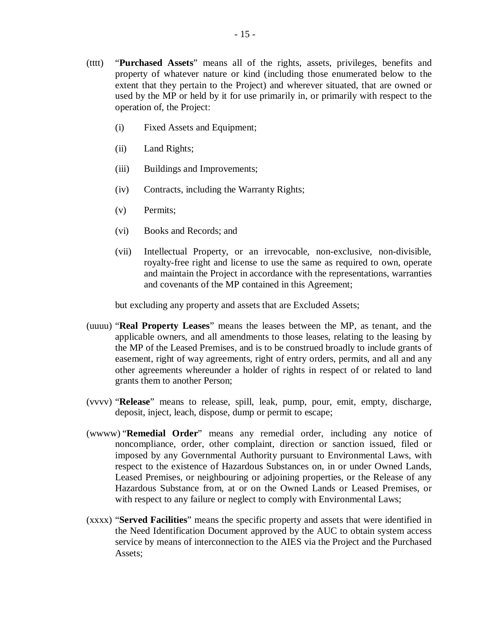- (tttt) "**Purchased Assets**" means all of the rights, assets, privileges, benefits and property of whatever nature or kind (including those enumerated below to the extent that they pertain to the Project) and wherever situated, that are owned or used by the MP or held by it for use primarily in, or primarily with respect to the operation of, the Project:
	- (i) Fixed Assets and Equipment;
	- (ii) Land Rights;
	- (iii) Buildings and Improvements;
	- (iv) Contracts, including the Warranty Rights;
	- (v) Permits;
	- (vi) Books and Records; and
	- (vii) Intellectual Property, or an irrevocable, non-exclusive, non-divisible, royalty-free right and license to use the same as required to own, operate and maintain the Project in accordance with the representations, warranties and covenants of the MP contained in this Agreement;

but excluding any property and assets that are Excluded Assets;

- (uuuu) "**Real Property Leases**" means the leases between the MP, as tenant, and the applicable owners, and all amendments to those leases, relating to the leasing by the MP of the Leased Premises, and is to be construed broadly to include grants of easement, right of way agreements, right of entry orders, permits, and all and any other agreements whereunder a holder of rights in respect of or related to land grants them to another Person;
- (vvvv) "**Release**" means to release, spill, leak, pump, pour, emit, empty, discharge, deposit, inject, leach, dispose, dump or permit to escape;
- (wwww) "**Remedial Order**" means any remedial order, including any notice of noncompliance, order, other complaint, direction or sanction issued, filed or imposed by any Governmental Authority pursuant to Environmental Laws, with respect to the existence of Hazardous Substances on, in or under Owned Lands, Leased Premises, or neighbouring or adjoining properties, or the Release of any Hazardous Substance from, at or on the Owned Lands or Leased Premises, or with respect to any failure or neglect to comply with Environmental Laws;
- (xxxx) "**Served Facilities**" means the specific property and assets that were identified in the Need Identification Document approved by the AUC to obtain system access service by means of interconnection to the AIES via the Project and the Purchased Assets;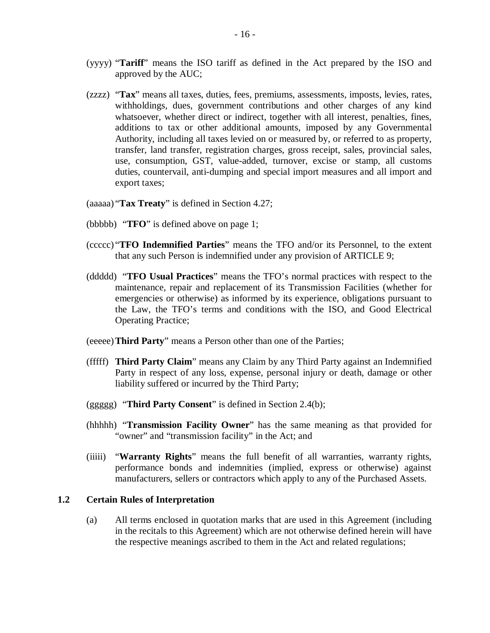- (yyyy) "**Tariff**" means the ISO tariff as defined in the Act prepared by the ISO and approved by the AUC;
- (zzzz) "**Tax**" means all taxes, duties, fees, premiums, assessments, imposts, levies, rates, withholdings, dues, government contributions and other charges of any kind whatsoever, whether direct or indirect, together with all interest, penalties, fines, additions to tax or other additional amounts, imposed by any Governmental Authority, including all taxes levied on or measured by, or referred to as property, transfer, land transfer, registration charges, gross receipt, sales, provincial sales, use, consumption, GST, value-added, turnover, excise or stamp, all customs duties, countervail, anti-dumping and special import measures and all import and export taxes;
- (aaaaa) "**Tax Treaty**" is defined in Section 4.27;
- (bbbbb) "**TFO**" is defined above on page 1;
- (ccccc) "**TFO Indemnified Parties**" means the TFO and/or its Personnel, to the extent that any such Person is indemnified under any provision of ARTICLE 9;
- (ddddd) "**TFO Usual Practices**" means the TFO's normal practices with respect to the maintenance, repair and replacement of its Transmission Facilities (whether for emergencies or otherwise) as informed by its experience, obligations pursuant to the Law, the TFO's terms and conditions with the ISO, and Good Electrical Operating Practice;
- (eeeee)**Third Party**" means a Person other than one of the Parties;
- (fffff) **Third Party Claim**" means any Claim by any Third Party against an Indemnified Party in respect of any loss, expense, personal injury or death, damage or other liability suffered or incurred by the Third Party;
- (ggggg) "**Third Party Consent**" is defined in Section 2.4(b);
- (hhhhh) "**Transmission Facility Owner**" has the same meaning as that provided for "owner" and "transmission facility" in the Act; and
- (iiiii) "**Warranty Rights**" means the full benefit of all warranties, warranty rights, performance bonds and indemnities (implied, express or otherwise) against manufacturers, sellers or contractors which apply to any of the Purchased Assets.

#### **1.2 Certain Rules of Interpretation**

(a) All terms enclosed in quotation marks that are used in this Agreement (including in the recitals to this Agreement) which are not otherwise defined herein will have the respective meanings ascribed to them in the Act and related regulations;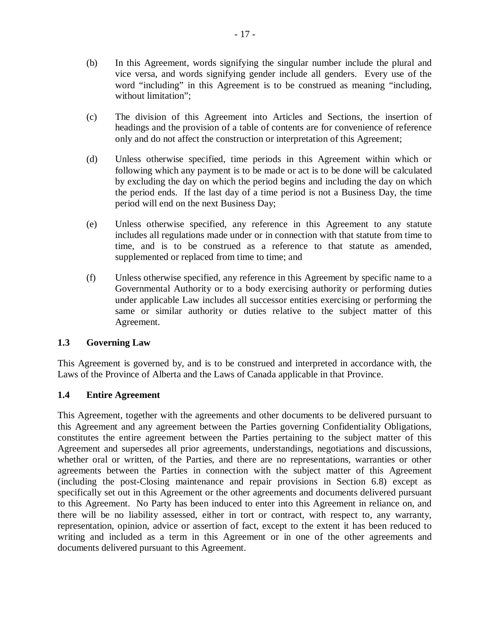- (b) In this Agreement, words signifying the singular number include the plural and vice versa, and words signifying gender include all genders. Every use of the word "including" in this Agreement is to be construed as meaning "including, without limitation";
- (c) The division of this Agreement into Articles and Sections, the insertion of headings and the provision of a table of contents are for convenience of reference only and do not affect the construction or interpretation of this Agreement;
- (d) Unless otherwise specified, time periods in this Agreement within which or following which any payment is to be made or act is to be done will be calculated by excluding the day on which the period begins and including the day on which the period ends. If the last day of a time period is not a Business Day, the time period will end on the next Business Day;
- (e) Unless otherwise specified, any reference in this Agreement to any statute includes all regulations made under or in connection with that statute from time to time, and is to be construed as a reference to that statute as amended, supplemented or replaced from time to time; and
- (f) Unless otherwise specified, any reference in this Agreement by specific name to a Governmental Authority or to a body exercising authority or performing duties under applicable Law includes all successor entities exercising or performing the same or similar authority or duties relative to the subject matter of this Agreement.

## **1.3 Governing Law**

This Agreement is governed by, and is to be construed and interpreted in accordance with, the Laws of the Province of Alberta and the Laws of Canada applicable in that Province.

## **1.4 Entire Agreement**

This Agreement, together with the agreements and other documents to be delivered pursuant to this Agreement and any agreement between the Parties governing Confidentiality Obligations, constitutes the entire agreement between the Parties pertaining to the subject matter of this Agreement and supersedes all prior agreements, understandings, negotiations and discussions, whether oral or written, of the Parties, and there are no representations, warranties or other agreements between the Parties in connection with the subject matter of this Agreement (including the post-Closing maintenance and repair provisions in Section 6.8) except as specifically set out in this Agreement or the other agreements and documents delivered pursuant to this Agreement. No Party has been induced to enter into this Agreement in reliance on, and there will be no liability assessed, either in tort or contract, with respect to, any warranty, representation, opinion, advice or assertion of fact, except to the extent it has been reduced to writing and included as a term in this Agreement or in one of the other agreements and documents delivered pursuant to this Agreement.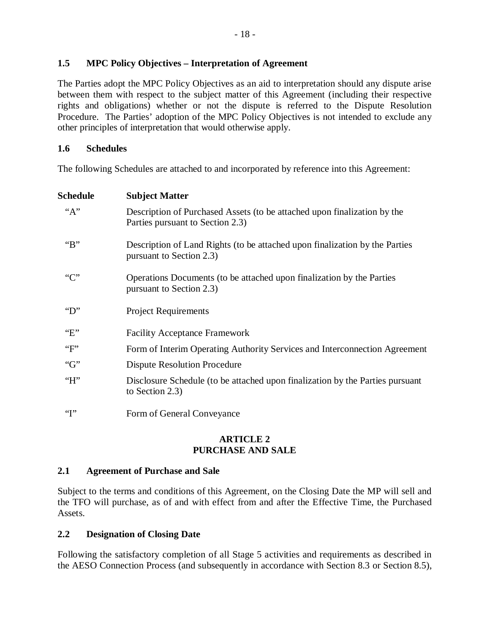### **1.5 MPC Policy Objectives – Interpretation of Agreement**

The Parties adopt the MPC Policy Objectives as an aid to interpretation should any dispute arise between them with respect to the subject matter of this Agreement (including their respective rights and obligations) whether or not the dispute is referred to the Dispute Resolution Procedure. The Parties' adoption of the MPC Policy Objectives is not intended to exclude any other principles of interpretation that would otherwise apply.

#### **1.6 Schedules**

The following Schedules are attached to and incorporated by reference into this Agreement:

| Schedule             | <b>Subject Matter</b>                                                                                        |
|----------------------|--------------------------------------------------------------------------------------------------------------|
| "A"                  | Description of Purchased Assets (to be attached upon finalization by the<br>Parties pursuant to Section 2.3) |
| " $B$ "              | Description of Land Rights (to be attached upon finalization by the Parties<br>pursuant to Section 2.3)      |
| ``C"                 | Operations Documents (to be attached upon finalization by the Parties<br>pursuant to Section 2.3)            |
| $\mathrm{``D''}$     | <b>Project Requirements</b>                                                                                  |
| E                    | <b>Facility Acceptance Framework</b>                                                                         |
| $\lq\lq F$           | Form of Interim Operating Authority Services and Interconnection Agreement                                   |
| " $G$ "              | <b>Dispute Resolution Procedure</b>                                                                          |
| H''                  | Disclosure Schedule (to be attached upon finalization by the Parties pursuant<br>to Section 2.3)             |
| $\lq\lq\lq\lq\lq\lq$ | Form of General Conveyance                                                                                   |

#### **ARTICLE 2 PURCHASE AND SALE**

#### **2.1 Agreement of Purchase and Sale**

Subject to the terms and conditions of this Agreement, on the Closing Date the MP will sell and the TFO will purchase, as of and with effect from and after the Effective Time, the Purchased Assets.

## **2.2 Designation of Closing Date**

Following the satisfactory completion of all Stage 5 activities and requirements as described in the AESO Connection Process (and subsequently in accordance with Section 8.3 or Section 8.5),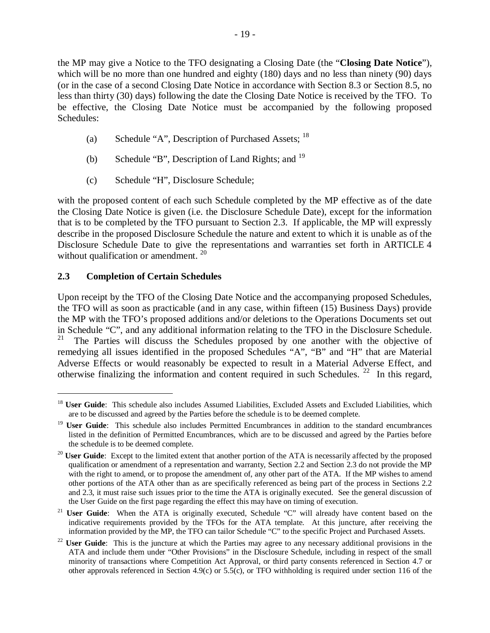the MP may give a Notice to the TFO designating a Closing Date (the "**Closing Date Notice**"), which will be no more than one hundred and eighty (180) days and no less than ninety (90) days (or in the case of a second Closing Date Notice in accordance with Section 8.3 or Section 8.5, no less than thirty (30) days) following the date the Closing Date Notice is received by the TFO. To be effective, the Closing Date Notice must be accompanied by the following proposed Schedules:

- (a) Schedule "A", Description of Purchased Assets;  $^{18}$
- (b) Schedule "B", Description of Land Rights; and  $^{19}$
- (c) Schedule "H", Disclosure Schedule;

with the proposed content of each such Schedule completed by the MP effective as of the date the Closing Date Notice is given (i.e. the Disclosure Schedule Date), except for the information that is to be completed by the TFO pursuant to Section 2.3. If applicable, the MP will expressly describe in the proposed Disclosure Schedule the nature and extent to which it is unable as of the Disclosure Schedule Date to give the representations and warranties set forth in ARTICLE 4 without qualification or amendment.<sup>20</sup>

## **2.3 Completion of Certain Schedules**

1

Upon receipt by the TFO of the Closing Date Notice and the accompanying proposed Schedules, the TFO will as soon as practicable (and in any case, within fifteen (15) Business Days) provide the MP with the TFO's proposed additions and/or deletions to the Operations Documents set out in Schedule "C", and any additional information relating to the TFO in the Disclosure Schedule.<br><sup>21</sup> The Parties will discuss the Schedules proposed by one another with the objective of <sup>21</sup> The Parties will discuss the Schedules proposed by one another with the objective of remedying all issues identified in the proposed Schedules "A", "B" and "H" that are Material Adverse Effects or would reasonably be expected to result in a Material Adverse Effect, and otherwise finalizing the information and content required in such Schedules.  $22$  In this regard,

<sup>&</sup>lt;sup>18</sup> User Guide: This schedule also includes Assumed Liabilities, Excluded Assets and Excluded Liabilities, which are to be discussed and agreed by the Parties before the schedule is to be deemed complete.

<sup>&</sup>lt;sup>19</sup> **User Guide**: This schedule also includes Permitted Encumbrances in addition to the standard encumbrances listed in the definition of Permitted Encumbrances, which are to be discussed and agreed by the Parties before the schedule is to be deemed complete.

<sup>&</sup>lt;sup>20</sup> **User Guide**: Except to the limited extent that another portion of the ATA is necessarily affected by the proposed qualification or amendment of a representation and warranty, Section 2.2 and Section 2.3 do not provide the MP with the right to amend, or to propose the amendment of, any other part of the ATA. If the MP wishes to amend other portions of the ATA other than as are specifically referenced as being part of the process in Sections 2.2 and 2.3, it must raise such issues prior to the time the ATA is originally executed. See the general discussion of the User Guide on the first page regarding the effect this may have on timing of execution.

<sup>&</sup>lt;sup>21</sup> **User Guide**: When the ATA is originally executed, Schedule "C" will already have content based on the indicative requirements provided by the TFOs for the ATA template. At this juncture, after receiving the information provided by the MP, the TFO can tailor Schedule "C" to the specific Project and Purchased Assets.

<sup>&</sup>lt;sup>22</sup> **User Guide**: This is the juncture at which the Parties may agree to any necessary additional provisions in the ATA and include them under "Other Provisions" in the Disclosure Schedule, including in respect of the small minority of transactions where Competition Act Approval, or third party consents referenced in Section 4.7 or other approvals referenced in Section 4.9(c) or 5.5(c), or TFO withholding is required under section 116 of the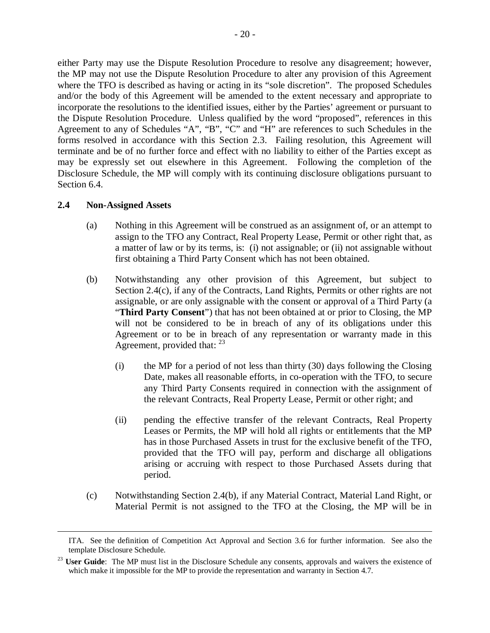either Party may use the Dispute Resolution Procedure to resolve any disagreement; however, the MP may not use the Dispute Resolution Procedure to alter any provision of this Agreement where the TFO is described as having or acting in its "sole discretion". The proposed Schedules and/or the body of this Agreement will be amended to the extent necessary and appropriate to incorporate the resolutions to the identified issues, either by the Parties' agreement or pursuant to the Dispute Resolution Procedure. Unless qualified by the word "proposed", references in this Agreement to any of Schedules "A", "B", "C" and "H" are references to such Schedules in the forms resolved in accordance with this Section 2.3. Failing resolution, this Agreement will terminate and be of no further force and effect with no liability to either of the Parties except as may be expressly set out elsewhere in this Agreement. Following the completion of the Disclosure Schedule, the MP will comply with its continuing disclosure obligations pursuant to Section 6.4.

#### **2.4 Non-Assigned Assets**

- (a) Nothing in this Agreement will be construed as an assignment of, or an attempt to assign to the TFO any Contract, Real Property Lease, Permit or other right that, as a matter of law or by its terms, is: (i) not assignable; or (ii) not assignable without first obtaining a Third Party Consent which has not been obtained.
- (b) Notwithstanding any other provision of this Agreement, but subject to Section 2.4(c), if any of the Contracts, Land Rights, Permits or other rights are not assignable, or are only assignable with the consent or approval of a Third Party (a "**Third Party Consent**") that has not been obtained at or prior to Closing, the MP will not be considered to be in breach of any of its obligations under this Agreement or to be in breach of any representation or warranty made in this Agreement, provided that:  $^{23}$ 
	- (i) the MP for a period of not less than thirty (30) days following the Closing Date, makes all reasonable efforts, in co-operation with the TFO, to secure any Third Party Consents required in connection with the assignment of the relevant Contracts, Real Property Lease, Permit or other right; and
	- (ii) pending the effective transfer of the relevant Contracts, Real Property Leases or Permits, the MP will hold all rights or entitlements that the MP has in those Purchased Assets in trust for the exclusive benefit of the TFO, provided that the TFO will pay, perform and discharge all obligations arising or accruing with respect to those Purchased Assets during that period.
- (c) Notwithstanding Section 2.4(b), if any Material Contract, Material Land Right, or Material Permit is not assigned to the TFO at the Closing, the MP will be in

ITA. See the definition of Competition Act Approval and Section 3.6 for further information. See also the template Disclosure Schedule.

<sup>&</sup>lt;sup>23</sup> **User Guide**: The MP must list in the Disclosure Schedule any consents, approvals and waivers the existence of which make it impossible for the MP to provide the representation and warranty in Section 4.7.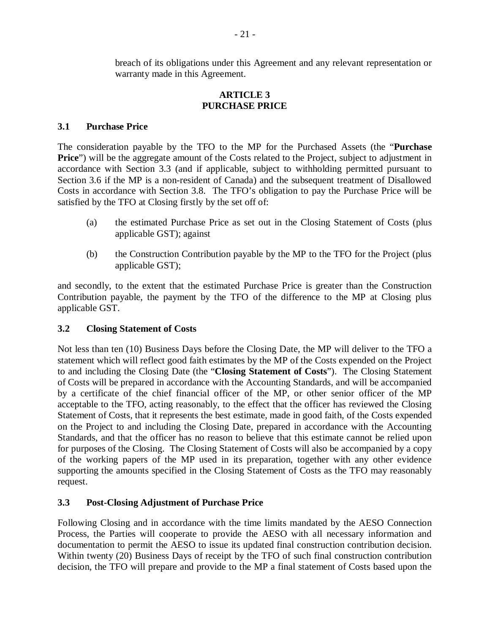breach of its obligations under this Agreement and any relevant representation or warranty made in this Agreement.

### **ARTICLE 3 PURCHASE PRICE**

### **3.1 Purchase Price**

The consideration payable by the TFO to the MP for the Purchased Assets (the "**Purchase Price**") will be the aggregate amount of the Costs related to the Project, subject to adjustment in accordance with Section 3.3 (and if applicable, subject to withholding permitted pursuant to Section 3.6 if the MP is a non-resident of Canada) and the subsequent treatment of Disallowed Costs in accordance with Section 3.8. The TFO's obligation to pay the Purchase Price will be satisfied by the TFO at Closing firstly by the set off of:

- (a) the estimated Purchase Price as set out in the Closing Statement of Costs (plus applicable GST); against
- (b) the Construction Contribution payable by the MP to the TFO for the Project (plus applicable GST);

and secondly, to the extent that the estimated Purchase Price is greater than the Construction Contribution payable, the payment by the TFO of the difference to the MP at Closing plus applicable GST.

## **3.2 Closing Statement of Costs**

Not less than ten (10) Business Days before the Closing Date, the MP will deliver to the TFO a statement which will reflect good faith estimates by the MP of the Costs expended on the Project to and including the Closing Date (the "**Closing Statement of Costs**"). The Closing Statement of Costs will be prepared in accordance with the Accounting Standards, and will be accompanied by a certificate of the chief financial officer of the MP, or other senior officer of the MP acceptable to the TFO, acting reasonably, to the effect that the officer has reviewed the Closing Statement of Costs, that it represents the best estimate, made in good faith, of the Costs expended on the Project to and including the Closing Date, prepared in accordance with the Accounting Standards, and that the officer has no reason to believe that this estimate cannot be relied upon for purposes of the Closing. The Closing Statement of Costs will also be accompanied by a copy of the working papers of the MP used in its preparation, together with any other evidence supporting the amounts specified in the Closing Statement of Costs as the TFO may reasonably request.

#### **3.3 Post-Closing Adjustment of Purchase Price**

Following Closing and in accordance with the time limits mandated by the AESO Connection Process, the Parties will cooperate to provide the AESO with all necessary information and documentation to permit the AESO to issue its updated final construction contribution decision. Within twenty (20) Business Days of receipt by the TFO of such final construction contribution decision, the TFO will prepare and provide to the MP a final statement of Costs based upon the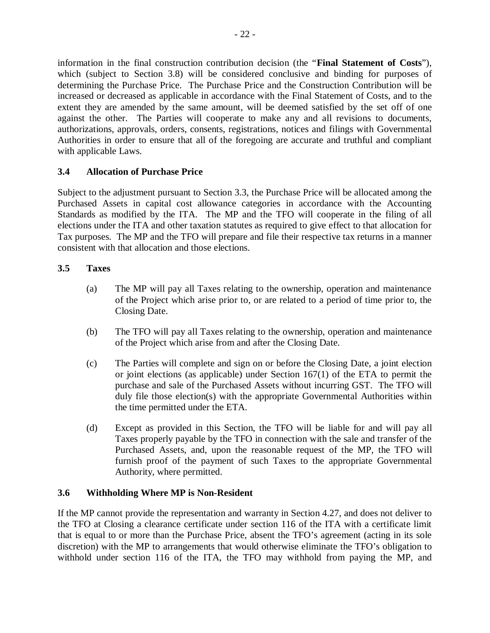information in the final construction contribution decision (the "**Final Statement of Costs**"), which (subject to Section 3.8) will be considered conclusive and binding for purposes of determining the Purchase Price. The Purchase Price and the Construction Contribution will be increased or decreased as applicable in accordance with the Final Statement of Costs, and to the extent they are amended by the same amount, will be deemed satisfied by the set off of one against the other. The Parties will cooperate to make any and all revisions to documents, authorizations, approvals, orders, consents, registrations, notices and filings with Governmental Authorities in order to ensure that all of the foregoing are accurate and truthful and compliant with applicable Laws.

## **3.4 Allocation of Purchase Price**

Subject to the adjustment pursuant to Section 3.3, the Purchase Price will be allocated among the Purchased Assets in capital cost allowance categories in accordance with the Accounting Standards as modified by the ITA. The MP and the TFO will cooperate in the filing of all elections under the ITA and other taxation statutes as required to give effect to that allocation for Tax purposes. The MP and the TFO will prepare and file their respective tax returns in a manner consistent with that allocation and those elections.

## **3.5 Taxes**

- (a) The MP will pay all Taxes relating to the ownership, operation and maintenance of the Project which arise prior to, or are related to a period of time prior to, the Closing Date.
- (b) The TFO will pay all Taxes relating to the ownership, operation and maintenance of the Project which arise from and after the Closing Date.
- (c) The Parties will complete and sign on or before the Closing Date, a joint election or joint elections (as applicable) under Section 167(1) of the ETA to permit the purchase and sale of the Purchased Assets without incurring GST. The TFO will duly file those election(s) with the appropriate Governmental Authorities within the time permitted under the ETA.
- (d) Except as provided in this Section, the TFO will be liable for and will pay all Taxes properly payable by the TFO in connection with the sale and transfer of the Purchased Assets, and, upon the reasonable request of the MP, the TFO will furnish proof of the payment of such Taxes to the appropriate Governmental Authority, where permitted.

## **3.6 Withholding Where MP is Non-Resident**

If the MP cannot provide the representation and warranty in Section 4.27, and does not deliver to the TFO at Closing a clearance certificate under section 116 of the ITA with a certificate limit that is equal to or more than the Purchase Price, absent the TFO's agreement (acting in its sole discretion) with the MP to arrangements that would otherwise eliminate the TFO's obligation to withhold under section 116 of the ITA, the TFO may withhold from paying the MP, and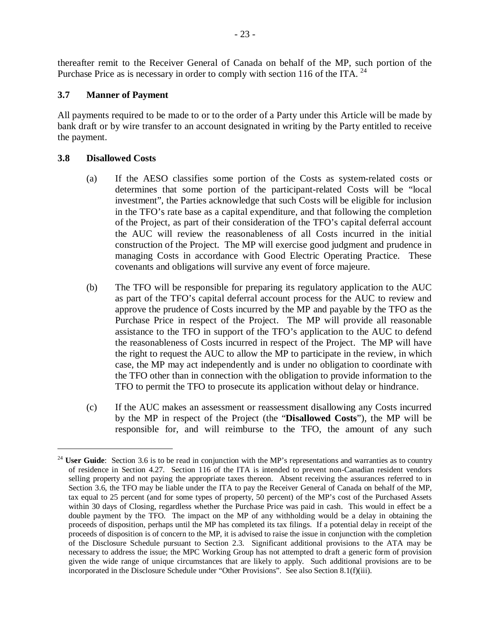thereafter remit to the Receiver General of Canada on behalf of the MP, such portion of the Purchase Price as is necessary in order to comply with section 116 of the ITA.  $^{24}$ 

### **3.7 Manner of Payment**

All payments required to be made to or to the order of a Party under this Article will be made by bank draft or by wire transfer to an account designated in writing by the Party entitled to receive the payment.

#### **3.8 Disallowed Costs**

1

- (a) If the AESO classifies some portion of the Costs as system-related costs or determines that some portion of the participant-related Costs will be "local investment", the Parties acknowledge that such Costs will be eligible for inclusion in the TFO's rate base as a capital expenditure, and that following the completion of the Project, as part of their consideration of the TFO's capital deferral account the AUC will review the reasonableness of all Costs incurred in the initial construction of the Project. The MP will exercise good judgment and prudence in managing Costs in accordance with Good Electric Operating Practice. These covenants and obligations will survive any event of force majeure.
- (b) The TFO will be responsible for preparing its regulatory application to the AUC as part of the TFO's capital deferral account process for the AUC to review and approve the prudence of Costs incurred by the MP and payable by the TFO as the Purchase Price in respect of the Project. The MP will provide all reasonable assistance to the TFO in support of the TFO's application to the AUC to defend the reasonableness of Costs incurred in respect of the Project. The MP will have the right to request the AUC to allow the MP to participate in the review, in which case, the MP may act independently and is under no obligation to coordinate with the TFO other than in connection with the obligation to provide information to the TFO to permit the TFO to prosecute its application without delay or hindrance.
- (c) If the AUC makes an assessment or reassessment disallowing any Costs incurred by the MP in respect of the Project (the "**Disallowed Costs**"), the MP will be responsible for, and will reimburse to the TFO, the amount of any such

<sup>&</sup>lt;sup>24</sup> **User Guide**: Section 3.6 is to be read in conjunction with the MP's representations and warranties as to country of residence in Section 4.27. Section 116 of the ITA is intended to prevent non-Canadian resident vendors selling property and not paying the appropriate taxes thereon. Absent receiving the assurances referred to in Section 3.6, the TFO may be liable under the ITA to pay the Receiver General of Canada on behalf of the MP, tax equal to 25 percent (and for some types of property, 50 percent) of the MP's cost of the Purchased Assets within 30 days of Closing, regardless whether the Purchase Price was paid in cash. This would in effect be a double payment by the TFO. The impact on the MP of any withholding would be a delay in obtaining the proceeds of disposition, perhaps until the MP has completed its tax filings. If a potential delay in receipt of the proceeds of disposition is of concern to the MP, it is advised to raise the issue in conjunction with the completion of the Disclosure Schedule pursuant to Section 2.3. Significant additional provisions to the ATA may be necessary to address the issue; the MPC Working Group has not attempted to draft a generic form of provision given the wide range of unique circumstances that are likely to apply. Such additional provisions are to be incorporated in the Disclosure Schedule under "Other Provisions". See also Section 8.1(f)(iii).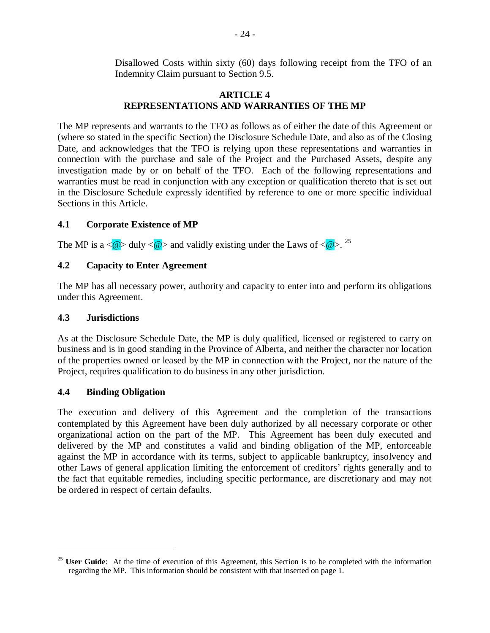Disallowed Costs within sixty (60) days following receipt from the TFO of an Indemnity Claim pursuant to Section 9.5.

### **ARTICLE 4 REPRESENTATIONS AND WARRANTIES OF THE MP**

The MP represents and warrants to the TFO as follows as of either the date of this Agreement or (where so stated in the specific Section) the Disclosure Schedule Date, and also as of the Closing Date, and acknowledges that the TFO is relying upon these representations and warranties in connection with the purchase and sale of the Project and the Purchased Assets, despite any investigation made by or on behalf of the TFO. Each of the following representations and warranties must be read in conjunction with any exception or qualification thereto that is set out in the Disclosure Schedule expressly identified by reference to one or more specific individual Sections in this Article.

### **4.1 Corporate Existence of MP**

The MP is a  $\langle \mathbf{\omega} \rangle$  duly  $\langle \mathbf{\omega} \rangle$  and validly existing under the Laws of  $\langle \mathbf{\omega} \rangle$ . <sup>25</sup>

### **4.2 Capacity to Enter Agreement**

The MP has all necessary power, authority and capacity to enter into and perform its obligations under this Agreement.

#### **4.3 Jurisdictions**

As at the Disclosure Schedule Date, the MP is duly qualified, licensed or registered to carry on business and is in good standing in the Province of Alberta, and neither the character nor location of the properties owned or leased by the MP in connection with the Project, nor the nature of the Project, requires qualification to do business in any other jurisdiction.

#### **4.4 Binding Obligation**

1

The execution and delivery of this Agreement and the completion of the transactions contemplated by this Agreement have been duly authorized by all necessary corporate or other organizational action on the part of the MP. This Agreement has been duly executed and delivered by the MP and constitutes a valid and binding obligation of the MP, enforceable against the MP in accordance with its terms, subject to applicable bankruptcy, insolvency and other Laws of general application limiting the enforcement of creditors' rights generally and to the fact that equitable remedies, including specific performance, are discretionary and may not be ordered in respect of certain defaults.

<sup>&</sup>lt;sup>25</sup> **User Guide**: At the time of execution of this Agreement, this Section is to be completed with the information regarding the MP. This information should be consistent with that inserted on page 1.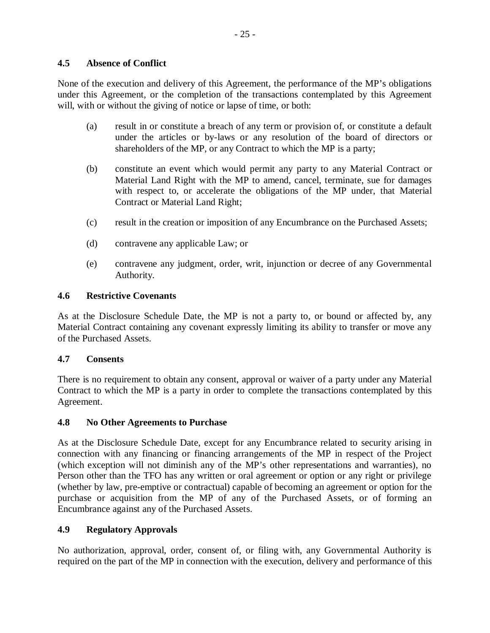### **4.5 Absence of Conflict**

None of the execution and delivery of this Agreement, the performance of the MP's obligations under this Agreement, or the completion of the transactions contemplated by this Agreement will, with or without the giving of notice or lapse of time, or both:

- (a) result in or constitute a breach of any term or provision of, or constitute a default under the articles or by-laws or any resolution of the board of directors or shareholders of the MP, or any Contract to which the MP is a party;
- (b) constitute an event which would permit any party to any Material Contract or Material Land Right with the MP to amend, cancel, terminate, sue for damages with respect to, or accelerate the obligations of the MP under, that Material Contract or Material Land Right;
- (c) result in the creation or imposition of any Encumbrance on the Purchased Assets;
- (d) contravene any applicable Law; or
- (e) contravene any judgment, order, writ, injunction or decree of any Governmental Authority.

### **4.6 Restrictive Covenants**

As at the Disclosure Schedule Date, the MP is not a party to, or bound or affected by, any Material Contract containing any covenant expressly limiting its ability to transfer or move any of the Purchased Assets.

#### **4.7 Consents**

There is no requirement to obtain any consent, approval or waiver of a party under any Material Contract to which the MP is a party in order to complete the transactions contemplated by this Agreement.

#### **4.8 No Other Agreements to Purchase**

As at the Disclosure Schedule Date, except for any Encumbrance related to security arising in connection with any financing or financing arrangements of the MP in respect of the Project (which exception will not diminish any of the MP's other representations and warranties), no Person other than the TFO has any written or oral agreement or option or any right or privilege (whether by law, pre-emptive or contractual) capable of becoming an agreement or option for the purchase or acquisition from the MP of any of the Purchased Assets, or of forming an Encumbrance against any of the Purchased Assets.

## **4.9 Regulatory Approvals**

No authorization, approval, order, consent of, or filing with, any Governmental Authority is required on the part of the MP in connection with the execution, delivery and performance of this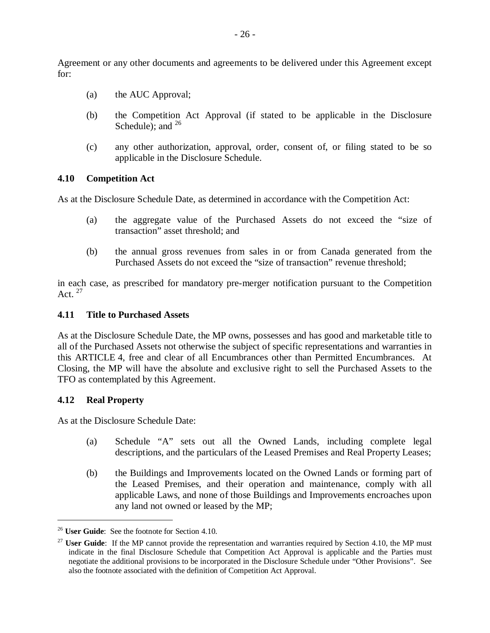Agreement or any other documents and agreements to be delivered under this Agreement except for:

- (a) the AUC Approval;
- (b) the Competition Act Approval (if stated to be applicable in the Disclosure Schedule); and  $^{26}$
- (c) any other authorization, approval, order, consent of, or filing stated to be so applicable in the Disclosure Schedule.

#### **4.10 Competition Act**

As at the Disclosure Schedule Date, as determined in accordance with the Competition Act:

- (a) the aggregate value of the Purchased Assets do not exceed the "size of transaction" asset threshold; and
- (b) the annual gross revenues from sales in or from Canada generated from the Purchased Assets do not exceed the "size of transaction" revenue threshold;

in each case, as prescribed for mandatory pre-merger notification pursuant to the Competition Act.  $^{27}$ 

#### **4.11 Title to Purchased Assets**

As at the Disclosure Schedule Date, the MP owns, possesses and has good and marketable title to all of the Purchased Assets not otherwise the subject of specific representations and warranties in this ARTICLE 4, free and clear of all Encumbrances other than Permitted Encumbrances. At Closing, the MP will have the absolute and exclusive right to sell the Purchased Assets to the TFO as contemplated by this Agreement.

#### **4.12 Real Property**

1

As at the Disclosure Schedule Date:

- (a) Schedule "A" sets out all the Owned Lands, including complete legal descriptions, and the particulars of the Leased Premises and Real Property Leases;
- (b) the Buildings and Improvements located on the Owned Lands or forming part of the Leased Premises, and their operation and maintenance, comply with all applicable Laws, and none of those Buildings and Improvements encroaches upon any land not owned or leased by the MP;

<sup>26</sup> **User Guide**: See the footnote for Section 4.10.

<sup>&</sup>lt;sup>27</sup> **User Guide**: If the MP cannot provide the representation and warranties required by Section 4.10, the MP must indicate in the final Disclosure Schedule that Competition Act Approval is applicable and the Parties must negotiate the additional provisions to be incorporated in the Disclosure Schedule under "Other Provisions". See also the footnote associated with the definition of Competition Act Approval.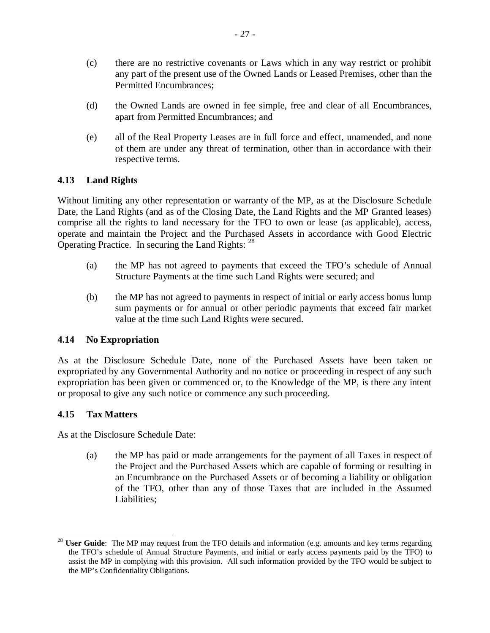- (c) there are no restrictive covenants or Laws which in any way restrict or prohibit any part of the present use of the Owned Lands or Leased Premises, other than the Permitted Encumbrances;
- (d) the Owned Lands are owned in fee simple, free and clear of all Encumbrances, apart from Permitted Encumbrances; and
- (e) all of the Real Property Leases are in full force and effect, unamended, and none of them are under any threat of termination, other than in accordance with their respective terms.

### **4.13 Land Rights**

Without limiting any other representation or warranty of the MP, as at the Disclosure Schedule Date, the Land Rights (and as of the Closing Date, the Land Rights and the MP Granted leases) comprise all the rights to land necessary for the TFO to own or lease (as applicable), access, operate and maintain the Project and the Purchased Assets in accordance with Good Electric Operating Practice. In securing the Land Rights: <sup>28</sup>

- (a) the MP has not agreed to payments that exceed the TFO's schedule of Annual Structure Payments at the time such Land Rights were secured; and
- (b) the MP has not agreed to payments in respect of initial or early access bonus lump sum payments or for annual or other periodic payments that exceed fair market value at the time such Land Rights were secured.

## **4.14 No Expropriation**

As at the Disclosure Schedule Date, none of the Purchased Assets have been taken or expropriated by any Governmental Authority and no notice or proceeding in respect of any such expropriation has been given or commenced or, to the Knowledge of the MP, is there any intent or proposal to give any such notice or commence any such proceeding.

## **4.15 Tax Matters**

As at the Disclosure Schedule Date:

(a) the MP has paid or made arrangements for the payment of all Taxes in respect of the Project and the Purchased Assets which are capable of forming or resulting in an Encumbrance on the Purchased Assets or of becoming a liability or obligation of the TFO, other than any of those Taxes that are included in the Assumed Liabilities;

<sup>1</sup> <sup>28</sup> **User Guide**: The MP may request from the TFO details and information (e.g. amounts and key terms regarding the TFO's schedule of Annual Structure Payments, and initial or early access payments paid by the TFO) to assist the MP in complying with this provision. All such information provided by the TFO would be subject to the MP's Confidentiality Obligations.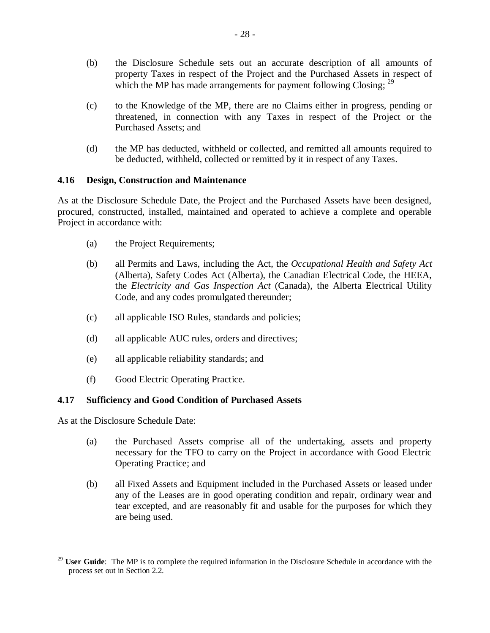- (b) the Disclosure Schedule sets out an accurate description of all amounts of property Taxes in respect of the Project and the Purchased Assets in respect of which the MP has made arrangements for payment following Closing;  $29$
- (c) to the Knowledge of the MP, there are no Claims either in progress, pending or threatened, in connection with any Taxes in respect of the Project or the Purchased Assets; and
- (d) the MP has deducted, withheld or collected, and remitted all amounts required to be deducted, withheld, collected or remitted by it in respect of any Taxes.

### **4.16 Design, Construction and Maintenance**

As at the Disclosure Schedule Date, the Project and the Purchased Assets have been designed, procured, constructed, installed, maintained and operated to achieve a complete and operable Project in accordance with:

- (a) the Project Requirements;
- (b) all Permits and Laws, including the Act, the *Occupational Health and Safety Act* (Alberta), Safety Codes Act (Alberta), the Canadian Electrical Code, the HEEA, the *Electricity and Gas Inspection Act* (Canada), the Alberta Electrical Utility Code, and any codes promulgated thereunder;
- (c) all applicable ISO Rules, standards and policies;
- (d) all applicable AUC rules, orders and directives;
- (e) all applicable reliability standards; and
- (f) Good Electric Operating Practice.

#### **4.17 Sufficiency and Good Condition of Purchased Assets**

As at the Disclosure Schedule Date:

1

- (a) the Purchased Assets comprise all of the undertaking, assets and property necessary for the TFO to carry on the Project in accordance with Good Electric Operating Practice; and
- (b) all Fixed Assets and Equipment included in the Purchased Assets or leased under any of the Leases are in good operating condition and repair, ordinary wear and tear excepted, and are reasonably fit and usable for the purposes for which they are being used.

<sup>&</sup>lt;sup>29</sup> **User Guide**: The MP is to complete the required information in the Disclosure Schedule in accordance with the process set out in Section 2.2.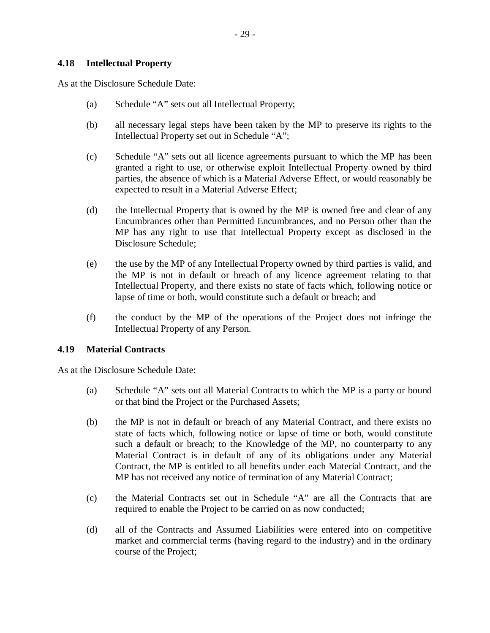#### **4.18 Intellectual Property**

As at the Disclosure Schedule Date:

- (a) Schedule "A" sets out all Intellectual Property;
- (b) all necessary legal steps have been taken by the MP to preserve its rights to the Intellectual Property set out in Schedule "A";
- (c) Schedule "A" sets out all licence agreements pursuant to which the MP has been granted a right to use, or otherwise exploit Intellectual Property owned by third parties, the absence of which is a Material Adverse Effect, or would reasonably be expected to result in a Material Adverse Effect;
- (d) the Intellectual Property that is owned by the MP is owned free and clear of any Encumbrances other than Permitted Encumbrances, and no Person other than the MP has any right to use that Intellectual Property except as disclosed in the Disclosure Schedule;
- (e) the use by the MP of any Intellectual Property owned by third parties is valid, and the MP is not in default or breach of any licence agreement relating to that Intellectual Property, and there exists no state of facts which, following notice or lapse of time or both, would constitute such a default or breach; and
- (f) the conduct by the MP of the operations of the Project does not infringe the Intellectual Property of any Person.

#### **4.19 Material Contracts**

As at the Disclosure Schedule Date:

- (a) Schedule "A" sets out all Material Contracts to which the MP is a party or bound or that bind the Project or the Purchased Assets;
- (b) the MP is not in default or breach of any Material Contract, and there exists no state of facts which, following notice or lapse of time or both, would constitute such a default or breach; to the Knowledge of the MP, no counterparty to any Material Contract is in default of any of its obligations under any Material Contract, the MP is entitled to all benefits under each Material Contract, and the MP has not received any notice of termination of any Material Contract;
- (c) the Material Contracts set out in Schedule "A" are all the Contracts that are required to enable the Project to be carried on as now conducted;
- (d) all of the Contracts and Assumed Liabilities were entered into on competitive market and commercial terms (having regard to the industry) and in the ordinary course of the Project;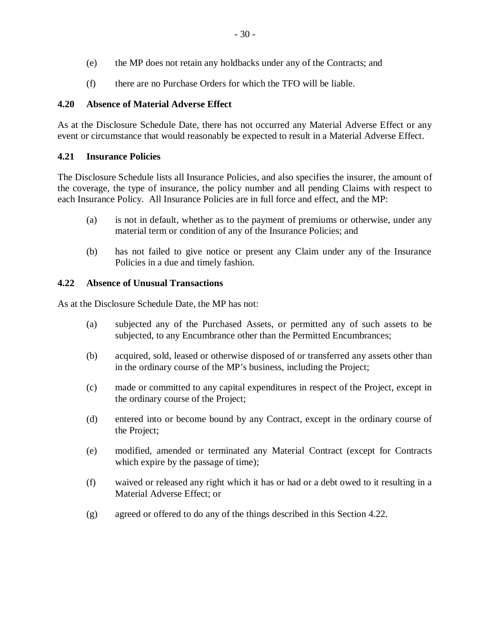- (e) the MP does not retain any holdbacks under any of the Contracts; and
- (f) there are no Purchase Orders for which the TFO will be liable.

## **4.20 Absence of Material Adverse Effect**

As at the Disclosure Schedule Date, there has not occurred any Material Adverse Effect or any event or circumstance that would reasonably be expected to result in a Material Adverse Effect.

## **4.21 Insurance Policies**

The Disclosure Schedule lists all Insurance Policies, and also specifies the insurer, the amount of the coverage, the type of insurance, the policy number and all pending Claims with respect to each Insurance Policy. All Insurance Policies are in full force and effect, and the MP:

- (a) is not in default, whether as to the payment of premiums or otherwise, under any material term or condition of any of the Insurance Policies; and
- (b) has not failed to give notice or present any Claim under any of the Insurance Policies in a due and timely fashion.

## **4.22 Absence of Unusual Transactions**

As at the Disclosure Schedule Date, the MP has not:

- (a) subjected any of the Purchased Assets, or permitted any of such assets to be subjected, to any Encumbrance other than the Permitted Encumbrances;
- (b) acquired, sold, leased or otherwise disposed of or transferred any assets other than in the ordinary course of the MP's business, including the Project;
- (c) made or committed to any capital expenditures in respect of the Project, except in the ordinary course of the Project;
- (d) entered into or become bound by any Contract, except in the ordinary course of the Project;
- (e) modified, amended or terminated any Material Contract (except for Contracts which expire by the passage of time);
- (f) waived or released any right which it has or had or a debt owed to it resulting in a Material Adverse Effect; or
- (g) agreed or offered to do any of the things described in this Section 4.22.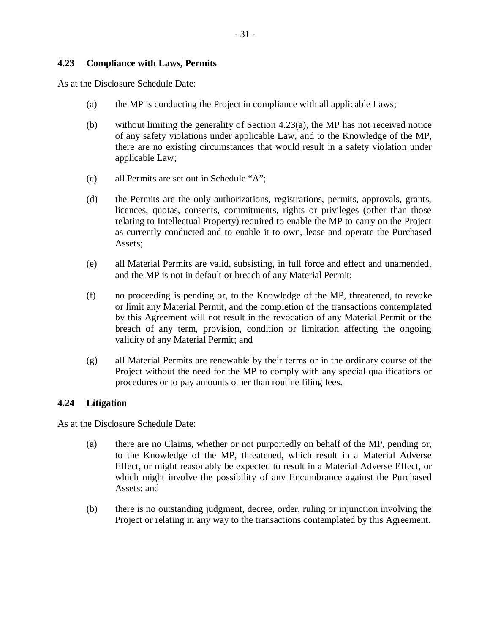#### **4.23 Compliance with Laws, Permits**

As at the Disclosure Schedule Date:

- (a) the MP is conducting the Project in compliance with all applicable Laws;
- (b) without limiting the generality of Section 4.23(a), the MP has not received notice of any safety violations under applicable Law, and to the Knowledge of the MP, there are no existing circumstances that would result in a safety violation under applicable Law;
- (c) all Permits are set out in Schedule "A";
- (d) the Permits are the only authorizations, registrations, permits, approvals, grants, licences, quotas, consents, commitments, rights or privileges (other than those relating to Intellectual Property) required to enable the MP to carry on the Project as currently conducted and to enable it to own, lease and operate the Purchased Assets;
- (e) all Material Permits are valid, subsisting, in full force and effect and unamended, and the MP is not in default or breach of any Material Permit;
- (f) no proceeding is pending or, to the Knowledge of the MP, threatened, to revoke or limit any Material Permit, and the completion of the transactions contemplated by this Agreement will not result in the revocation of any Material Permit or the breach of any term, provision, condition or limitation affecting the ongoing validity of any Material Permit; and
- (g) all Material Permits are renewable by their terms or in the ordinary course of the Project without the need for the MP to comply with any special qualifications or procedures or to pay amounts other than routine filing fees.

#### **4.24 Litigation**

As at the Disclosure Schedule Date:

- (a) there are no Claims, whether or not purportedly on behalf of the MP, pending or, to the Knowledge of the MP, threatened, which result in a Material Adverse Effect, or might reasonably be expected to result in a Material Adverse Effect, or which might involve the possibility of any Encumbrance against the Purchased Assets; and
- (b) there is no outstanding judgment, decree, order, ruling or injunction involving the Project or relating in any way to the transactions contemplated by this Agreement.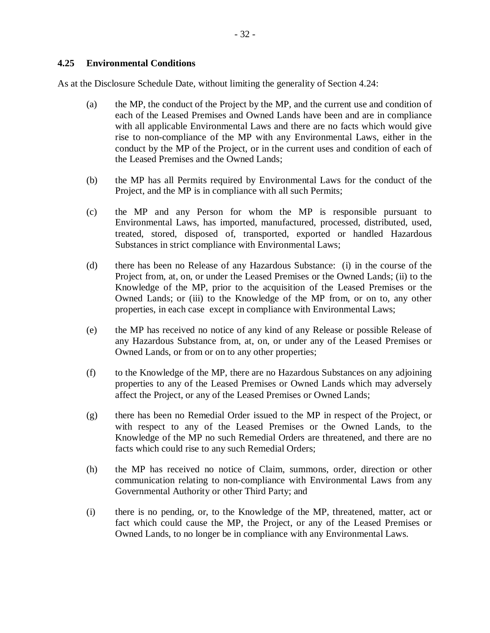As at the Disclosure Schedule Date, without limiting the generality of Section 4.24:

- (a) the MP, the conduct of the Project by the MP, and the current use and condition of each of the Leased Premises and Owned Lands have been and are in compliance with all applicable Environmental Laws and there are no facts which would give rise to non-compliance of the MP with any Environmental Laws, either in the conduct by the MP of the Project, or in the current uses and condition of each of the Leased Premises and the Owned Lands;
- (b) the MP has all Permits required by Environmental Laws for the conduct of the Project, and the MP is in compliance with all such Permits;
- (c) the MP and any Person for whom the MP is responsible pursuant to Environmental Laws, has imported, manufactured, processed, distributed, used, treated, stored, disposed of, transported, exported or handled Hazardous Substances in strict compliance with Environmental Laws;
- (d) there has been no Release of any Hazardous Substance: (i) in the course of the Project from, at, on, or under the Leased Premises or the Owned Lands; (ii) to the Knowledge of the MP, prior to the acquisition of the Leased Premises or the Owned Lands; or (iii) to the Knowledge of the MP from, or on to, any other properties, in each case except in compliance with Environmental Laws;
- (e) the MP has received no notice of any kind of any Release or possible Release of any Hazardous Substance from, at, on, or under any of the Leased Premises or Owned Lands, or from or on to any other properties;
- (f) to the Knowledge of the MP, there are no Hazardous Substances on any adjoining properties to any of the Leased Premises or Owned Lands which may adversely affect the Project, or any of the Leased Premises or Owned Lands;
- (g) there has been no Remedial Order issued to the MP in respect of the Project, or with respect to any of the Leased Premises or the Owned Lands, to the Knowledge of the MP no such Remedial Orders are threatened, and there are no facts which could rise to any such Remedial Orders;
- (h) the MP has received no notice of Claim, summons, order, direction or other communication relating to non-compliance with Environmental Laws from any Governmental Authority or other Third Party; and
- (i) there is no pending, or, to the Knowledge of the MP, threatened, matter, act or fact which could cause the MP, the Project, or any of the Leased Premises or Owned Lands, to no longer be in compliance with any Environmental Laws.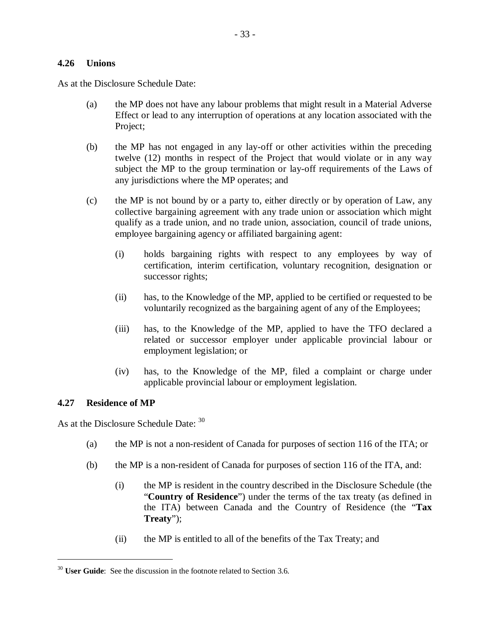#### **4.26 Unions**

As at the Disclosure Schedule Date:

- (a) the MP does not have any labour problems that might result in a Material Adverse Effect or lead to any interruption of operations at any location associated with the Project;
- (b) the MP has not engaged in any lay-off or other activities within the preceding twelve (12) months in respect of the Project that would violate or in any way subject the MP to the group termination or lay-off requirements of the Laws of any jurisdictions where the MP operates; and
- (c) the MP is not bound by or a party to, either directly or by operation of Law, any collective bargaining agreement with any trade union or association which might qualify as a trade union, and no trade union, association, council of trade unions, employee bargaining agency or affiliated bargaining agent:
	- (i) holds bargaining rights with respect to any employees by way of certification, interim certification, voluntary recognition, designation or successor rights;
	- (ii) has, to the Knowledge of the MP, applied to be certified or requested to be voluntarily recognized as the bargaining agent of any of the Employees;
	- (iii) has, to the Knowledge of the MP, applied to have the TFO declared a related or successor employer under applicable provincial labour or employment legislation; or
	- (iv) has, to the Knowledge of the MP, filed a complaint or charge under applicable provincial labour or employment legislation.

#### **4.27 Residence of MP**

1

As at the Disclosure Schedule Date:  $30$ 

- (a) the MP is not a non-resident of Canada for purposes of section 116 of the ITA; or
- (b) the MP is a non-resident of Canada for purposes of section 116 of the ITA, and:
	- (i) the MP is resident in the country described in the Disclosure Schedule (the "**Country of Residence**") under the terms of the tax treaty (as defined in the ITA) between Canada and the Country of Residence (the "**Tax Treaty**");
	- (ii) the MP is entitled to all of the benefits of the Tax Treaty; and

<sup>&</sup>lt;sup>30</sup> **User Guide**: See the discussion in the footnote related to Section 3.6.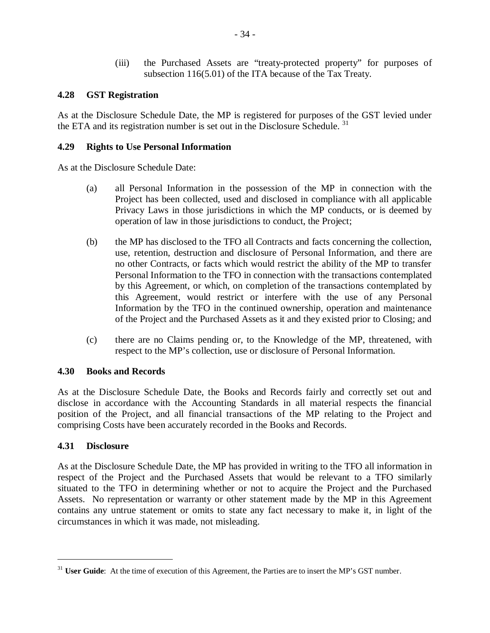(iii) the Purchased Assets are "treaty-protected property" for purposes of subsection 116(5.01) of the ITA because of the Tax Treaty.

## **4.28 GST Registration**

As at the Disclosure Schedule Date, the MP is registered for purposes of the GST levied under the ETA and its registration number is set out in the Disclosure Schedule.<sup>31</sup>

## **4.29 Rights to Use Personal Information**

As at the Disclosure Schedule Date:

- (a) all Personal Information in the possession of the MP in connection with the Project has been collected, used and disclosed in compliance with all applicable Privacy Laws in those jurisdictions in which the MP conducts, or is deemed by operation of law in those jurisdictions to conduct, the Project;
- (b) the MP has disclosed to the TFO all Contracts and facts concerning the collection, use, retention, destruction and disclosure of Personal Information, and there are no other Contracts, or facts which would restrict the ability of the MP to transfer Personal Information to the TFO in connection with the transactions contemplated by this Agreement, or which, on completion of the transactions contemplated by this Agreement, would restrict or interfere with the use of any Personal Information by the TFO in the continued ownership, operation and maintenance of the Project and the Purchased Assets as it and they existed prior to Closing; and
- (c) there are no Claims pending or, to the Knowledge of the MP, threatened, with respect to the MP's collection, use or disclosure of Personal Information.

#### **4.30 Books and Records**

As at the Disclosure Schedule Date, the Books and Records fairly and correctly set out and disclose in accordance with the Accounting Standards in all material respects the financial position of the Project, and all financial transactions of the MP relating to the Project and comprising Costs have been accurately recorded in the Books and Records.

#### **4.31 Disclosure**

1

As at the Disclosure Schedule Date, the MP has provided in writing to the TFO all information in respect of the Project and the Purchased Assets that would be relevant to a TFO similarly situated to the TFO in determining whether or not to acquire the Project and the Purchased Assets. No representation or warranty or other statement made by the MP in this Agreement contains any untrue statement or omits to state any fact necessary to make it, in light of the circumstances in which it was made, not misleading.

<sup>&</sup>lt;sup>31</sup> **User Guide**: At the time of execution of this Agreement, the Parties are to insert the MP's GST number.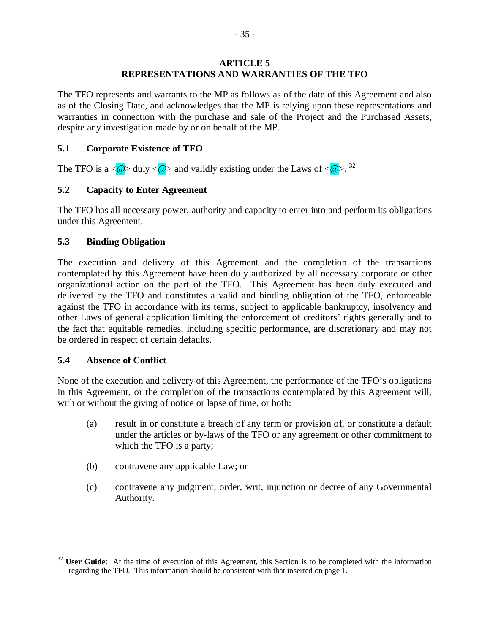#### **ARTICLE 5 REPRESENTATIONS AND WARRANTIES OF THE TFO**

The TFO represents and warrants to the MP as follows as of the date of this Agreement and also as of the Closing Date, and acknowledges that the MP is relying upon these representations and warranties in connection with the purchase and sale of the Project and the Purchased Assets, despite any investigation made by or on behalf of the MP.

#### **5.1 Corporate Existence of TFO**

The TFO is a  $\langle \mathbf{\omega} \rangle$  duly  $\langle \mathbf{\omega} \rangle$  and validly existing under the Laws of  $\langle \mathbf{\omega} \rangle$ . <sup>32</sup>

## **5.2 Capacity to Enter Agreement**

The TFO has all necessary power, authority and capacity to enter into and perform its obligations under this Agreement.

## **5.3 Binding Obligation**

The execution and delivery of this Agreement and the completion of the transactions contemplated by this Agreement have been duly authorized by all necessary corporate or other organizational action on the part of the TFO. This Agreement has been duly executed and delivered by the TFO and constitutes a valid and binding obligation of the TFO, enforceable against the TFO in accordance with its terms, subject to applicable bankruptcy, insolvency and other Laws of general application limiting the enforcement of creditors' rights generally and to the fact that equitable remedies, including specific performance, are discretionary and may not be ordered in respect of certain defaults.

#### **5.4 Absence of Conflict**

1

None of the execution and delivery of this Agreement, the performance of the TFO's obligations in this Agreement, or the completion of the transactions contemplated by this Agreement will, with or without the giving of notice or lapse of time, or both:

- (a) result in or constitute a breach of any term or provision of, or constitute a default under the articles or by-laws of the TFO or any agreement or other commitment to which the TFO is a party;
- (b) contravene any applicable Law; or
- (c) contravene any judgment, order, writ, injunction or decree of any Governmental Authority.

<sup>&</sup>lt;sup>32</sup> **User Guide**: At the time of execution of this Agreement, this Section is to be completed with the information regarding the TFO. This information should be consistent with that inserted on page 1.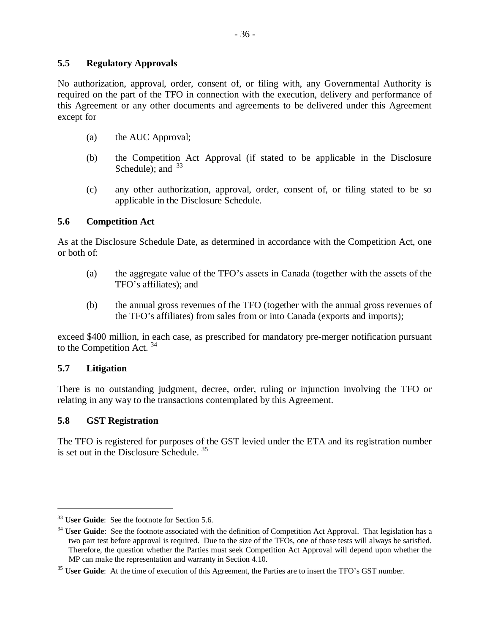#### **5.5 Regulatory Approvals**

No authorization, approval, order, consent of, or filing with, any Governmental Authority is required on the part of the TFO in connection with the execution, delivery and performance of this Agreement or any other documents and agreements to be delivered under this Agreement except for

- (a) the AUC Approval;
- (b) the Competition Act Approval (if stated to be applicable in the Disclosure Schedule): and  $33$
- (c) any other authorization, approval, order, consent of, or filing stated to be so applicable in the Disclosure Schedule.

## **5.6 Competition Act**

As at the Disclosure Schedule Date, as determined in accordance with the Competition Act, one or both of:

- (a) the aggregate value of the TFO's assets in Canada (together with the assets of the TFO's affiliates); and
- (b) the annual gross revenues of the TFO (together with the annual gross revenues of the TFO's affiliates) from sales from or into Canada (exports and imports);

exceed \$400 million, in each case, as prescribed for mandatory pre-merger notification pursuant to the Competition Act.<sup>34</sup>

#### **5.7 Litigation**

1

There is no outstanding judgment, decree, order, ruling or injunction involving the TFO or relating in any way to the transactions contemplated by this Agreement.

#### **5.8 GST Registration**

The TFO is registered for purposes of the GST levied under the ETA and its registration number is set out in the Disclosure Schedule.  $35$ 

<sup>33</sup> **User Guide**: See the footnote for Section 5.6.

<sup>&</sup>lt;sup>34</sup> **User Guide**: See the footnote associated with the definition of Competition Act Approval. That legislation has a two part test before approval is required. Due to the size of the TFOs, one of those tests will always be satisfied. Therefore, the question whether the Parties must seek Competition Act Approval will depend upon whether the MP can make the representation and warranty in Section 4.10.

<sup>&</sup>lt;sup>35</sup> **User Guide**: At the time of execution of this Agreement, the Parties are to insert the TFO's GST number.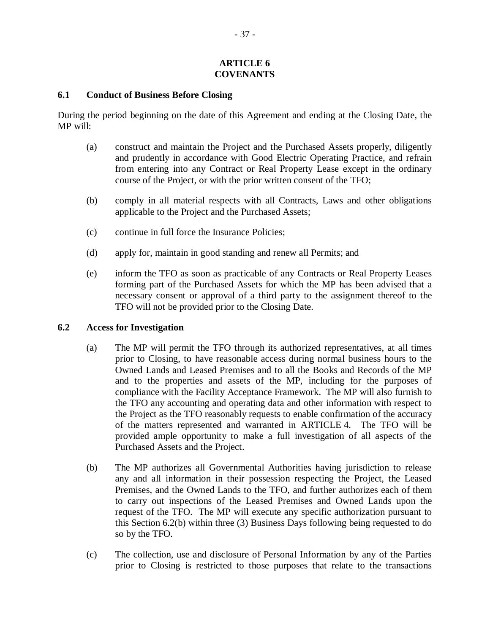#### **ARTICLE 6 COVENANTS**

#### **6.1 Conduct of Business Before Closing**

During the period beginning on the date of this Agreement and ending at the Closing Date, the MP will:

- (a) construct and maintain the Project and the Purchased Assets properly, diligently and prudently in accordance with Good Electric Operating Practice, and refrain from entering into any Contract or Real Property Lease except in the ordinary course of the Project, or with the prior written consent of the TFO;
- (b) comply in all material respects with all Contracts, Laws and other obligations applicable to the Project and the Purchased Assets;
- (c) continue in full force the Insurance Policies;
- (d) apply for, maintain in good standing and renew all Permits; and
- (e) inform the TFO as soon as practicable of any Contracts or Real Property Leases forming part of the Purchased Assets for which the MP has been advised that a necessary consent or approval of a third party to the assignment thereof to the TFO will not be provided prior to the Closing Date.

#### **6.2 Access for Investigation**

- (a) The MP will permit the TFO through its authorized representatives, at all times prior to Closing, to have reasonable access during normal business hours to the Owned Lands and Leased Premises and to all the Books and Records of the MP and to the properties and assets of the MP, including for the purposes of compliance with the Facility Acceptance Framework. The MP will also furnish to the TFO any accounting and operating data and other information with respect to the Project as the TFO reasonably requests to enable confirmation of the accuracy of the matters represented and warranted in ARTICLE 4. The TFO will be provided ample opportunity to make a full investigation of all aspects of the Purchased Assets and the Project.
- (b) The MP authorizes all Governmental Authorities having jurisdiction to release any and all information in their possession respecting the Project, the Leased Premises, and the Owned Lands to the TFO, and further authorizes each of them to carry out inspections of the Leased Premises and Owned Lands upon the request of the TFO. The MP will execute any specific authorization pursuant to this Section 6.2(b) within three (3) Business Days following being requested to do so by the TFO.
- (c) The collection, use and disclosure of Personal Information by any of the Parties prior to Closing is restricted to those purposes that relate to the transactions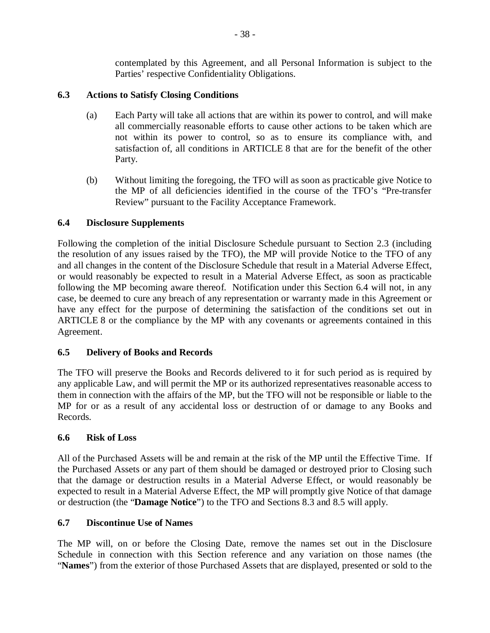contemplated by this Agreement, and all Personal Information is subject to the Parties' respective Confidentiality Obligations.

## **6.3 Actions to Satisfy Closing Conditions**

- (a) Each Party will take all actions that are within its power to control, and will make all commercially reasonable efforts to cause other actions to be taken which are not within its power to control, so as to ensure its compliance with, and satisfaction of, all conditions in ARTICLE 8 that are for the benefit of the other Party.
- (b) Without limiting the foregoing, the TFO will as soon as practicable give Notice to the MP of all deficiencies identified in the course of the TFO's "Pre-transfer Review" pursuant to the Facility Acceptance Framework.

## **6.4 Disclosure Supplements**

Following the completion of the initial Disclosure Schedule pursuant to Section 2.3 (including the resolution of any issues raised by the TFO), the MP will provide Notice to the TFO of any and all changes in the content of the Disclosure Schedule that result in a Material Adverse Effect, or would reasonably be expected to result in a Material Adverse Effect, as soon as practicable following the MP becoming aware thereof. Notification under this Section 6.4 will not, in any case, be deemed to cure any breach of any representation or warranty made in this Agreement or have any effect for the purpose of determining the satisfaction of the conditions set out in ARTICLE 8 or the compliance by the MP with any covenants or agreements contained in this Agreement.

## **6.5 Delivery of Books and Records**

The TFO will preserve the Books and Records delivered to it for such period as is required by any applicable Law, and will permit the MP or its authorized representatives reasonable access to them in connection with the affairs of the MP, but the TFO will not be responsible or liable to the MP for or as a result of any accidental loss or destruction of or damage to any Books and Records.

## **6.6 Risk of Loss**

All of the Purchased Assets will be and remain at the risk of the MP until the Effective Time. If the Purchased Assets or any part of them should be damaged or destroyed prior to Closing such that the damage or destruction results in a Material Adverse Effect, or would reasonably be expected to result in a Material Adverse Effect, the MP will promptly give Notice of that damage or destruction (the "**Damage Notice**") to the TFO and Sections 8.3 and 8.5 will apply.

## **6.7 Discontinue Use of Names**

The MP will, on or before the Closing Date, remove the names set out in the Disclosure Schedule in connection with this Section reference and any variation on those names (the "**Names**") from the exterior of those Purchased Assets that are displayed, presented or sold to the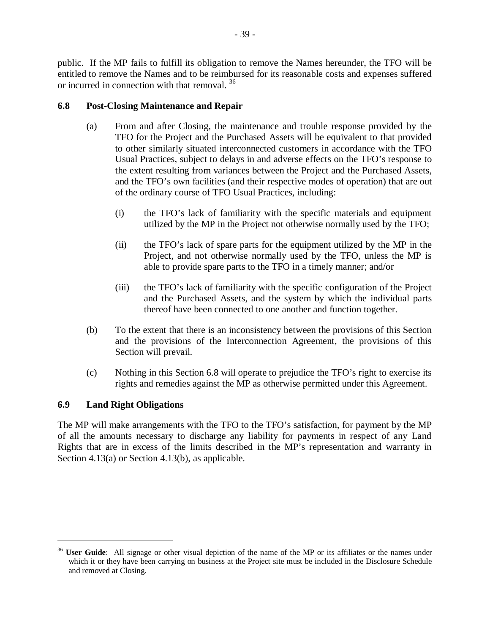public. If the MP fails to fulfill its obligation to remove the Names hereunder, the TFO will be entitled to remove the Names and to be reimbursed for its reasonable costs and expenses suffered or incurred in connection with that removal. <sup>36</sup>

## **6.8 Post-Closing Maintenance and Repair**

- (a) From and after Closing, the maintenance and trouble response provided by the TFO for the Project and the Purchased Assets will be equivalent to that provided to other similarly situated interconnected customers in accordance with the TFO Usual Practices, subject to delays in and adverse effects on the TFO's response to the extent resulting from variances between the Project and the Purchased Assets, and the TFO's own facilities (and their respective modes of operation) that are out of the ordinary course of TFO Usual Practices, including:
	- (i) the TFO's lack of familiarity with the specific materials and equipment utilized by the MP in the Project not otherwise normally used by the TFO;
	- (ii) the TFO's lack of spare parts for the equipment utilized by the MP in the Project, and not otherwise normally used by the TFO, unless the MP is able to provide spare parts to the TFO in a timely manner; and/or
	- (iii) the TFO's lack of familiarity with the specific configuration of the Project and the Purchased Assets, and the system by which the individual parts thereof have been connected to one another and function together.
- (b) To the extent that there is an inconsistency between the provisions of this Section and the provisions of the Interconnection Agreement, the provisions of this Section will prevail.
- (c) Nothing in this Section 6.8 will operate to prejudice the TFO's right to exercise its rights and remedies against the MP as otherwise permitted under this Agreement.

## **6.9 Land Right Obligations**

<u>.</u>

The MP will make arrangements with the TFO to the TFO's satisfaction, for payment by the MP of all the amounts necessary to discharge any liability for payments in respect of any Land Rights that are in excess of the limits described in the MP's representation and warranty in Section 4.13(a) or Section 4.13(b), as applicable.

<sup>&</sup>lt;sup>36</sup> **User Guide**: All signage or other visual depiction of the name of the MP or its affiliates or the names under which it or they have been carrying on business at the Project site must be included in the Disclosure Schedule and removed at Closing.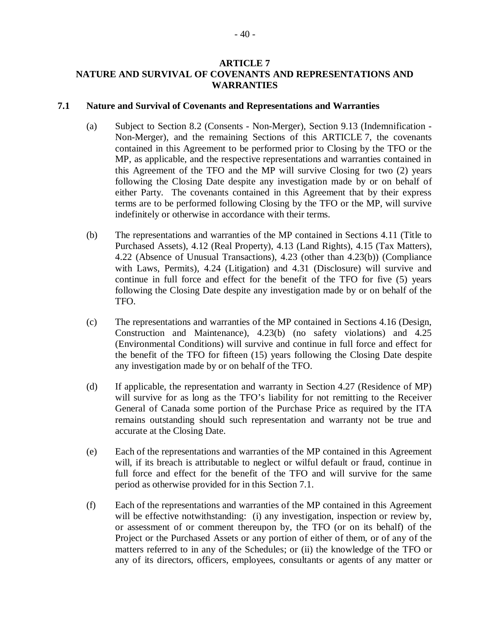#### **ARTICLE 7 NATURE AND SURVIVAL OF COVENANTS AND REPRESENTATIONS AND WARRANTIES**

#### **7.1 Nature and Survival of Covenants and Representations and Warranties**

- (a) Subject to Section 8.2 (Consents Non-Merger), Section 9.13 (Indemnification Non-Merger), and the remaining Sections of this ARTICLE 7, the covenants contained in this Agreement to be performed prior to Closing by the TFO or the MP, as applicable, and the respective representations and warranties contained in this Agreement of the TFO and the MP will survive Closing for two (2) years following the Closing Date despite any investigation made by or on behalf of either Party. The covenants contained in this Agreement that by their express terms are to be performed following Closing by the TFO or the MP, will survive indefinitely or otherwise in accordance with their terms.
- (b) The representations and warranties of the MP contained in Sections 4.11 (Title to Purchased Assets), 4.12 (Real Property), 4.13 (Land Rights), 4.15 (Tax Matters), 4.22 (Absence of Unusual Transactions), 4.23 (other than 4.23(b)) (Compliance with Laws, Permits), 4.24 (Litigation) and 4.31 (Disclosure) will survive and continue in full force and effect for the benefit of the TFO for five (5) years following the Closing Date despite any investigation made by or on behalf of the TFO.
- (c) The representations and warranties of the MP contained in Sections 4.16 (Design, Construction and Maintenance), 4.23(b) (no safety violations) and 4.25 (Environmental Conditions) will survive and continue in full force and effect for the benefit of the TFO for fifteen (15) years following the Closing Date despite any investigation made by or on behalf of the TFO.
- (d) If applicable, the representation and warranty in Section 4.27 (Residence of MP) will survive for as long as the TFO's liability for not remitting to the Receiver General of Canada some portion of the Purchase Price as required by the ITA remains outstanding should such representation and warranty not be true and accurate at the Closing Date.
- (e) Each of the representations and warranties of the MP contained in this Agreement will, if its breach is attributable to neglect or wilful default or fraud, continue in full force and effect for the benefit of the TFO and will survive for the same period as otherwise provided for in this Section 7.1.
- (f) Each of the representations and warranties of the MP contained in this Agreement will be effective notwithstanding: (i) any investigation, inspection or review by, or assessment of or comment thereupon by, the TFO (or on its behalf) of the Project or the Purchased Assets or any portion of either of them, or of any of the matters referred to in any of the Schedules; or (ii) the knowledge of the TFO or any of its directors, officers, employees, consultants or agents of any matter or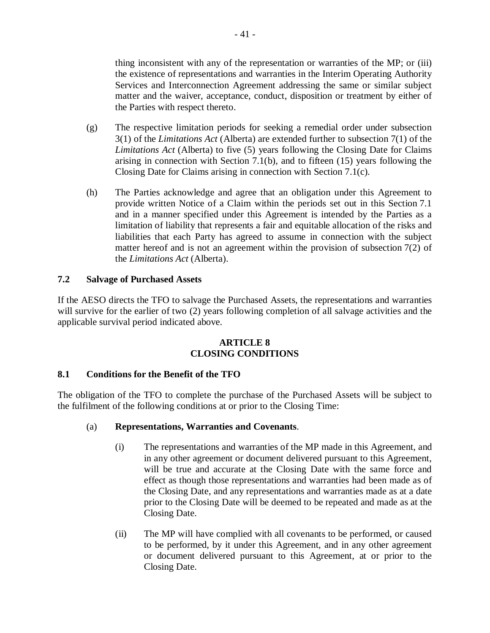thing inconsistent with any of the representation or warranties of the MP; or (iii) the existence of representations and warranties in the Interim Operating Authority Services and Interconnection Agreement addressing the same or similar subject matter and the waiver, acceptance, conduct, disposition or treatment by either of the Parties with respect thereto.

- (g) The respective limitation periods for seeking a remedial order under subsection 3(1) of the *Limitations Act* (Alberta) are extended further to subsection 7(1) of the *Limitations Act* (Alberta) to five (5) years following the Closing Date for Claims arising in connection with Section 7.1(b), and to fifteen  $(15)$  years following the Closing Date for Claims arising in connection with Section 7.1(c).
- (h) The Parties acknowledge and agree that an obligation under this Agreement to provide written Notice of a Claim within the periods set out in this Section 7.1 and in a manner specified under this Agreement is intended by the Parties as a limitation of liability that represents a fair and equitable allocation of the risks and liabilities that each Party has agreed to assume in connection with the subject matter hereof and is not an agreement within the provision of subsection 7(2) of the *Limitations Act* (Alberta).

## **7.2 Salvage of Purchased Assets**

If the AESO directs the TFO to salvage the Purchased Assets, the representations and warranties will survive for the earlier of two (2) years following completion of all salvage activities and the applicable survival period indicated above.

## **ARTICLE 8 CLOSING CONDITIONS**

#### **8.1 Conditions for the Benefit of the TFO**

The obligation of the TFO to complete the purchase of the Purchased Assets will be subject to the fulfilment of the following conditions at or prior to the Closing Time:

#### (a) **Representations, Warranties and Covenants**.

- (i) The representations and warranties of the MP made in this Agreement, and in any other agreement or document delivered pursuant to this Agreement, will be true and accurate at the Closing Date with the same force and effect as though those representations and warranties had been made as of the Closing Date, and any representations and warranties made as at a date prior to the Closing Date will be deemed to be repeated and made as at the Closing Date.
- (ii) The MP will have complied with all covenants to be performed, or caused to be performed, by it under this Agreement, and in any other agreement or document delivered pursuant to this Agreement, at or prior to the Closing Date.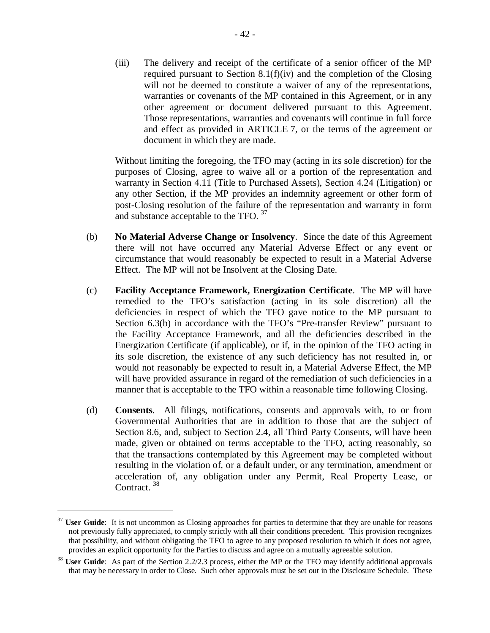(iii) The delivery and receipt of the certificate of a senior officer of the MP required pursuant to Section 8.1(f)(iv) and the completion of the Closing will not be deemed to constitute a waiver of any of the representations, warranties or covenants of the MP contained in this Agreement, or in any other agreement or document delivered pursuant to this Agreement. Those representations, warranties and covenants will continue in full force and effect as provided in ARTICLE 7, or the terms of the agreement or document in which they are made.

Without limiting the foregoing, the TFO may (acting in its sole discretion) for the purposes of Closing, agree to waive all or a portion of the representation and warranty in Section 4.11 (Title to Purchased Assets), Section 4.24 (Litigation) or any other Section, if the MP provides an indemnity agreement or other form of post-Closing resolution of the failure of the representation and warranty in form and substance acceptable to the TFO. <sup>37</sup>

- (b) **No Material Adverse Change or Insolvency**. Since the date of this Agreement there will not have occurred any Material Adverse Effect or any event or circumstance that would reasonably be expected to result in a Material Adverse Effect. The MP will not be Insolvent at the Closing Date.
- (c) **Facility Acceptance Framework, Energization Certificate**. The MP will have remedied to the TFO's satisfaction (acting in its sole discretion) all the deficiencies in respect of which the TFO gave notice to the MP pursuant to Section 6.3(b) in accordance with the TFO's "Pre-transfer Review" pursuant to the Facility Acceptance Framework, and all the deficiencies described in the Energization Certificate (if applicable), or if, in the opinion of the TFO acting in its sole discretion, the existence of any such deficiency has not resulted in, or would not reasonably be expected to result in, a Material Adverse Effect, the MP will have provided assurance in regard of the remediation of such deficiencies in a manner that is acceptable to the TFO within a reasonable time following Closing.
- (d) **Consents**. All filings, notifications, consents and approvals with, to or from Governmental Authorities that are in addition to those that are the subject of Section 8.6, and, subject to Section 2.4, all Third Party Consents, will have been made, given or obtained on terms acceptable to the TFO, acting reasonably, so that the transactions contemplated by this Agreement may be completed without resulting in the violation of, or a default under, or any termination, amendment or acceleration of, any obligation under any Permit, Real Property Lease, or Contract.<sup>38</sup>

<u>.</u>

<sup>&</sup>lt;sup>37</sup> **User Guide**: It is not uncommon as Closing approaches for parties to determine that they are unable for reasons not previously fully appreciated, to comply strictly with all their conditions precedent. This provision recognizes that possibility, and without obligating the TFO to agree to any proposed resolution to which it does not agree, provides an explicit opportunity for the Parties to discuss and agree on a mutually agreeable solution.

<sup>&</sup>lt;sup>38</sup> **User Guide**: As part of the Section 2.2/2.3 process, either the MP or the TFO may identify additional approvals that may be necessary in order to Close. Such other approvals must be set out in the Disclosure Schedule. These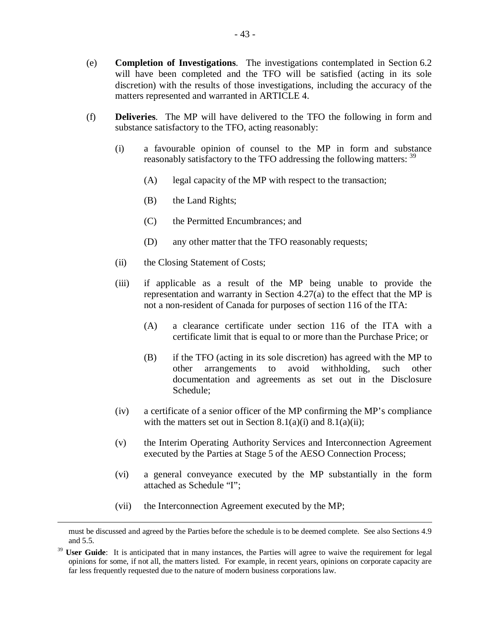- (e) **Completion of Investigations**. The investigations contemplated in Section 6.2 will have been completed and the TFO will be satisfied (acting in its sole discretion) with the results of those investigations, including the accuracy of the matters represented and warranted in ARTICLE 4.
- (f) **Deliveries**. The MP will have delivered to the TFO the following in form and substance satisfactory to the TFO, acting reasonably:
	- (i) a favourable opinion of counsel to the MP in form and substance reasonably satisfactory to the TFO addressing the following matters: <sup>39</sup>
		- (A) legal capacity of the MP with respect to the transaction;
		- (B) the Land Rights;
		- (C) the Permitted Encumbrances; and
		- (D) any other matter that the TFO reasonably requests;
	- (ii) the Closing Statement of Costs;
	- (iii) if applicable as a result of the MP being unable to provide the representation and warranty in Section 4.27(a) to the effect that the MP is not a non-resident of Canada for purposes of section 116 of the ITA:
		- (A) a clearance certificate under section 116 of the ITA with a certificate limit that is equal to or more than the Purchase Price; or
		- (B) if the TFO (acting in its sole discretion) has agreed with the MP to other arrangements to avoid withholding, such other documentation and agreements as set out in the Disclosure Schedule;
	- (iv) a certificate of a senior officer of the MP confirming the MP's compliance with the matters set out in Section 8.1(a)(i) and 8.1(a)(ii);
	- (v) the Interim Operating Authority Services and Interconnection Agreement executed by the Parties at Stage 5 of the AESO Connection Process;
	- (vi) a general conveyance executed by the MP substantially in the form attached as Schedule "I";
	- (vii) the Interconnection Agreement executed by the MP;

1

must be discussed and agreed by the Parties before the schedule is to be deemed complete. See also Sections 4.9 and 5.5.

<sup>39</sup> **User Guide**: It is anticipated that in many instances, the Parties will agree to waive the requirement for legal opinions for some, if not all, the matters listed. For example, in recent years, opinions on corporate capacity are far less frequently requested due to the nature of modern business corporations law.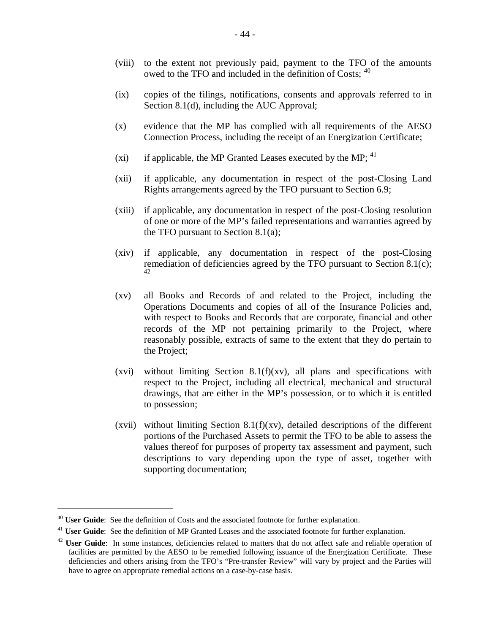- (viii) to the extent not previously paid, payment to the TFO of the amounts owed to the TFO and included in the definition of Costs;  $40$
- (ix) copies of the filings, notifications, consents and approvals referred to in Section 8.1(d), including the AUC Approval;
- (x) evidence that the MP has complied with all requirements of the AESO Connection Process, including the receipt of an Energization Certificate;
- (xi) if applicable, the MP Granted Leases executed by the MP;  $^{41}$
- (xii) if applicable, any documentation in respect of the post-Closing Land Rights arrangements agreed by the TFO pursuant to Section 6.9;
- (xiii) if applicable, any documentation in respect of the post-Closing resolution of one or more of the MP's failed representations and warranties agreed by the TFO pursuant to Section 8.1(a);
- (xiv) if applicable, any documentation in respect of the post-Closing remediation of deficiencies agreed by the TFO pursuant to Section 8.1(c); 42
- (xv) all Books and Records of and related to the Project, including the Operations Documents and copies of all of the Insurance Policies and, with respect to Books and Records that are corporate, financial and other records of the MP not pertaining primarily to the Project, where reasonably possible, extracts of same to the extent that they do pertain to the Project;
- (xvi) without limiting Section 8.1(f)(xv), all plans and specifications with respect to the Project, including all electrical, mechanical and structural drawings, that are either in the MP's possession, or to which it is entitled to possession;
- (xvii) without limiting Section 8.1(f)(xv), detailed descriptions of the different portions of the Purchased Assets to permit the TFO to be able to assess the values thereof for purposes of property tax assessment and payment, such descriptions to vary depending upon the type of asset, together with supporting documentation;

1

<sup>40</sup> **User Guide**: See the definition of Costs and the associated footnote for further explanation.

<sup>&</sup>lt;sup>41</sup> **User Guide**: See the definition of MP Granted Leases and the associated footnote for further explanation.

<sup>&</sup>lt;sup>42</sup> **User Guide**: In some instances, deficiencies related to matters that do not affect safe and reliable operation of facilities are permitted by the AESO to be remedied following issuance of the Energization Certificate. These deficiencies and others arising from the TFO's "Pre-transfer Review" will vary by project and the Parties will have to agree on appropriate remedial actions on a case-by-case basis.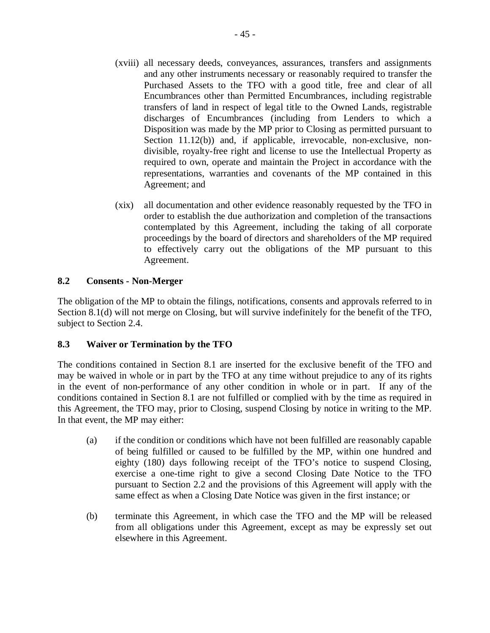- (xviii) all necessary deeds, conveyances, assurances, transfers and assignments and any other instruments necessary or reasonably required to transfer the Purchased Assets to the TFO with a good title, free and clear of all Encumbrances other than Permitted Encumbrances, including registrable transfers of land in respect of legal title to the Owned Lands, registrable discharges of Encumbrances (including from Lenders to which a Disposition was made by the MP prior to Closing as permitted pursuant to Section 11.12(b)) and, if applicable, irrevocable, non-exclusive, nondivisible, royalty-free right and license to use the Intellectual Property as required to own, operate and maintain the Project in accordance with the representations, warranties and covenants of the MP contained in this Agreement; and
- (xix) all documentation and other evidence reasonably requested by the TFO in order to establish the due authorization and completion of the transactions contemplated by this Agreement, including the taking of all corporate proceedings by the board of directors and shareholders of the MP required to effectively carry out the obligations of the MP pursuant to this Agreement.

## **8.2 Consents - Non-Merger**

The obligation of the MP to obtain the filings, notifications, consents and approvals referred to in Section 8.1(d) will not merge on Closing, but will survive indefinitely for the benefit of the TFO, subject to Section 2.4.

## **8.3 Waiver or Termination by the TFO**

The conditions contained in Section 8.1 are inserted for the exclusive benefit of the TFO and may be waived in whole or in part by the TFO at any time without prejudice to any of its rights in the event of non-performance of any other condition in whole or in part. If any of the conditions contained in Section 8.1 are not fulfilled or complied with by the time as required in this Agreement, the TFO may, prior to Closing, suspend Closing by notice in writing to the MP. In that event, the MP may either:

- (a) if the condition or conditions which have not been fulfilled are reasonably capable of being fulfilled or caused to be fulfilled by the MP, within one hundred and eighty (180) days following receipt of the TFO's notice to suspend Closing, exercise a one-time right to give a second Closing Date Notice to the TFO pursuant to Section 2.2 and the provisions of this Agreement will apply with the same effect as when a Closing Date Notice was given in the first instance; or
- (b) terminate this Agreement, in which case the TFO and the MP will be released from all obligations under this Agreement, except as may be expressly set out elsewhere in this Agreement.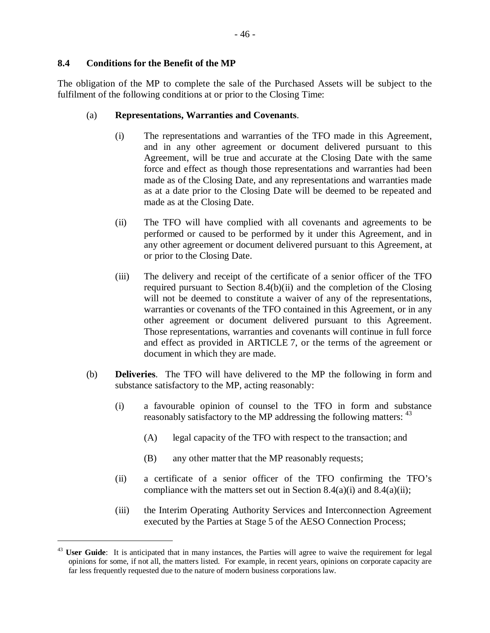#### **8.4 Conditions for the Benefit of the MP**

<u>.</u>

The obligation of the MP to complete the sale of the Purchased Assets will be subject to the fulfilment of the following conditions at or prior to the Closing Time:

#### (a) **Representations, Warranties and Covenants**.

- (i) The representations and warranties of the TFO made in this Agreement, and in any other agreement or document delivered pursuant to this Agreement, will be true and accurate at the Closing Date with the same force and effect as though those representations and warranties had been made as of the Closing Date, and any representations and warranties made as at a date prior to the Closing Date will be deemed to be repeated and made as at the Closing Date.
- (ii) The TFO will have complied with all covenants and agreements to be performed or caused to be performed by it under this Agreement, and in any other agreement or document delivered pursuant to this Agreement, at or prior to the Closing Date.
- (iii) The delivery and receipt of the certificate of a senior officer of the TFO required pursuant to Section 8.4(b)(ii) and the completion of the Closing will not be deemed to constitute a waiver of any of the representations, warranties or covenants of the TFO contained in this Agreement, or in any other agreement or document delivered pursuant to this Agreement. Those representations, warranties and covenants will continue in full force and effect as provided in ARTICLE 7, or the terms of the agreement or document in which they are made.
- (b) **Deliveries**. The TFO will have delivered to the MP the following in form and substance satisfactory to the MP, acting reasonably:
	- (i) a favourable opinion of counsel to the TFO in form and substance reasonably satisfactory to the MP addressing the following matters: <sup>43</sup>
		- (A) legal capacity of the TFO with respect to the transaction; and
		- (B) any other matter that the MP reasonably requests;
	- (ii) a certificate of a senior officer of the TFO confirming the TFO's compliance with the matters set out in Section 8.4(a)(i) and 8.4(a)(ii);
	- (iii) the Interim Operating Authority Services and Interconnection Agreement executed by the Parties at Stage 5 of the AESO Connection Process;

<sup>&</sup>lt;sup>43</sup> User Guide: It is anticipated that in many instances, the Parties will agree to waive the requirement for legal opinions for some, if not all, the matters listed. For example, in recent years, opinions on corporate capacity are far less frequently requested due to the nature of modern business corporations law.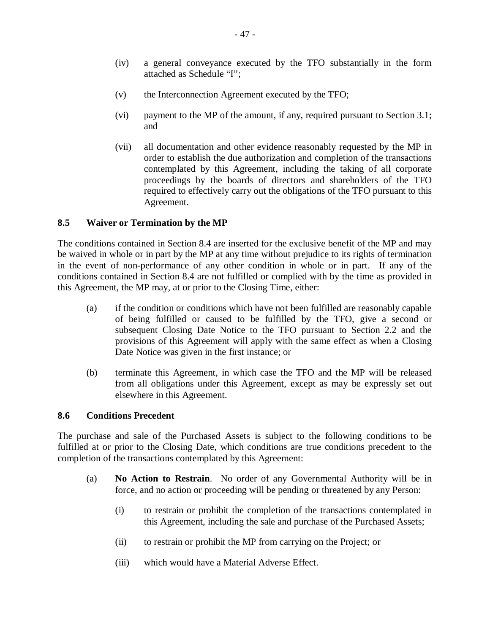- (iv) a general conveyance executed by the TFO substantially in the form attached as Schedule "I";
- (v) the Interconnection Agreement executed by the TFO;
- (vi) payment to the MP of the amount, if any, required pursuant to Section 3.1; and
- (vii) all documentation and other evidence reasonably requested by the MP in order to establish the due authorization and completion of the transactions contemplated by this Agreement, including the taking of all corporate proceedings by the boards of directors and shareholders of the TFO required to effectively carry out the obligations of the TFO pursuant to this Agreement.

## **8.5 Waiver or Termination by the MP**

The conditions contained in Section 8.4 are inserted for the exclusive benefit of the MP and may be waived in whole or in part by the MP at any time without prejudice to its rights of termination in the event of non-performance of any other condition in whole or in part. If any of the conditions contained in Section 8.4 are not fulfilled or complied with by the time as provided in this Agreement, the MP may, at or prior to the Closing Time, either:

- (a) if the condition or conditions which have not been fulfilled are reasonably capable of being fulfilled or caused to be fulfilled by the TFO, give a second or subsequent Closing Date Notice to the TFO pursuant to Section 2.2 and the provisions of this Agreement will apply with the same effect as when a Closing Date Notice was given in the first instance; or
- (b) terminate this Agreement, in which case the TFO and the MP will be released from all obligations under this Agreement, except as may be expressly set out elsewhere in this Agreement.

## **8.6 Conditions Precedent**

The purchase and sale of the Purchased Assets is subject to the following conditions to be fulfilled at or prior to the Closing Date, which conditions are true conditions precedent to the completion of the transactions contemplated by this Agreement:

- (a) **No Action to Restrain**. No order of any Governmental Authority will be in force, and no action or proceeding will be pending or threatened by any Person:
	- (i) to restrain or prohibit the completion of the transactions contemplated in this Agreement, including the sale and purchase of the Purchased Assets;
	- (ii) to restrain or prohibit the MP from carrying on the Project; or
	- (iii) which would have a Material Adverse Effect.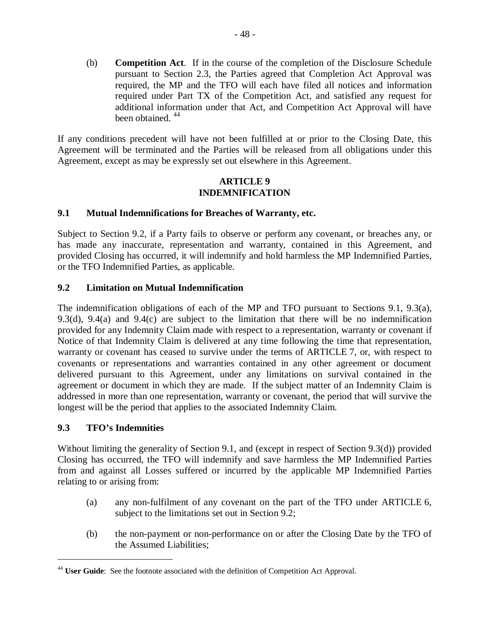(b) **Competition Act**. If in the course of the completion of the Disclosure Schedule pursuant to Section 2.3, the Parties agreed that Completion Act Approval was required, the MP and the TFO will each have filed all notices and information required under Part TX of the Competition Act, and satisfied any request for additional information under that Act, and Competition Act Approval will have been obtained. <sup>44</sup>

If any conditions precedent will have not been fulfilled at or prior to the Closing Date, this Agreement will be terminated and the Parties will be released from all obligations under this Agreement, except as may be expressly set out elsewhere in this Agreement.

#### **ARTICLE 9 INDEMNIFICATION**

## **9.1 Mutual Indemnifications for Breaches of Warranty, etc.**

Subject to Section 9.2, if a Party fails to observe or perform any covenant, or breaches any, or has made any inaccurate, representation and warranty, contained in this Agreement, and provided Closing has occurred, it will indemnify and hold harmless the MP Indemnified Parties, or the TFO Indemnified Parties, as applicable.

## **9.2 Limitation on Mutual Indemnification**

The indemnification obligations of each of the MP and TFO pursuant to Sections 9.1, 9.3(a), 9.3(d), 9.4(a) and 9.4(c) are subject to the limitation that there will be no indemnification provided for any Indemnity Claim made with respect to a representation, warranty or covenant if Notice of that Indemnity Claim is delivered at any time following the time that representation, warranty or covenant has ceased to survive under the terms of ARTICLE 7, or, with respect to covenants or representations and warranties contained in any other agreement or document delivered pursuant to this Agreement, under any limitations on survival contained in the agreement or document in which they are made. If the subject matter of an Indemnity Claim is addressed in more than one representation, warranty or covenant, the period that will survive the longest will be the period that applies to the associated Indemnity Claim.

#### **9.3 TFO's Indemnities**

1

Without limiting the generality of Section 9.1, and (except in respect of Section 9.3(d)) provided Closing has occurred, the TFO will indemnify and save harmless the MP Indemnified Parties from and against all Losses suffered or incurred by the applicable MP Indemnified Parties relating to or arising from:

- (a) any non-fulfilment of any covenant on the part of the TFO under ARTICLE 6, subject to the limitations set out in Section 9.2;
- (b) the non-payment or non-performance on or after the Closing Date by the TFO of the Assumed Liabilities;

<sup>&</sup>lt;sup>44</sup> **User Guide**: See the footnote associated with the definition of Competition Act Approval.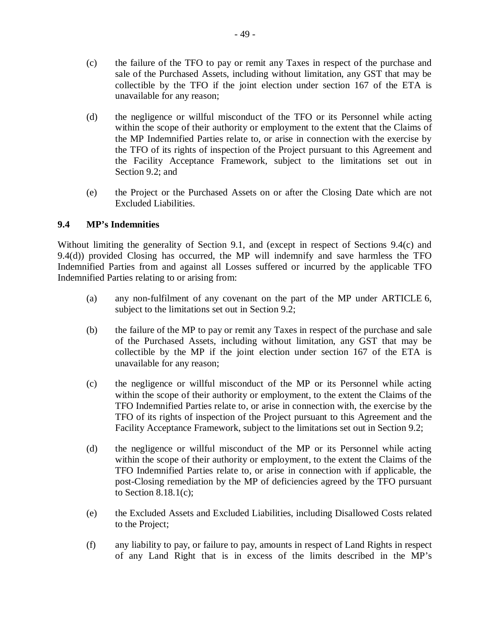- (c) the failure of the TFO to pay or remit any Taxes in respect of the purchase and sale of the Purchased Assets, including without limitation, any GST that may be collectible by the TFO if the joint election under section 167 of the ETA is unavailable for any reason;
- (d) the negligence or willful misconduct of the TFO or its Personnel while acting within the scope of their authority or employment to the extent that the Claims of the MP Indemnified Parties relate to, or arise in connection with the exercise by the TFO of its rights of inspection of the Project pursuant to this Agreement and the Facility Acceptance Framework, subject to the limitations set out in Section 9.2; and
- (e) the Project or the Purchased Assets on or after the Closing Date which are not Excluded Liabilities.

## **9.4 MP's Indemnities**

Without limiting the generality of Section 9.1, and (except in respect of Sections 9.4(c) and 9.4(d)) provided Closing has occurred, the MP will indemnify and save harmless the TFO Indemnified Parties from and against all Losses suffered or incurred by the applicable TFO Indemnified Parties relating to or arising from:

- (a) any non-fulfilment of any covenant on the part of the MP under ARTICLE 6, subject to the limitations set out in Section 9.2;
- (b) the failure of the MP to pay or remit any Taxes in respect of the purchase and sale of the Purchased Assets, including without limitation, any GST that may be collectible by the MP if the joint election under section 167 of the ETA is unavailable for any reason;
- (c) the negligence or willful misconduct of the MP or its Personnel while acting within the scope of their authority or employment, to the extent the Claims of the TFO Indemnified Parties relate to, or arise in connection with, the exercise by the TFO of its rights of inspection of the Project pursuant to this Agreement and the Facility Acceptance Framework, subject to the limitations set out in Section 9.2;
- (d) the negligence or willful misconduct of the MP or its Personnel while acting within the scope of their authority or employment, to the extent the Claims of the TFO Indemnified Parties relate to, or arise in connection with if applicable, the post-Closing remediation by the MP of deficiencies agreed by the TFO pursuant to Section  $8.18.1(c)$ ;
- (e) the Excluded Assets and Excluded Liabilities, including Disallowed Costs related to the Project;
- (f) any liability to pay, or failure to pay, amounts in respect of Land Rights in respect of any Land Right that is in excess of the limits described in the MP's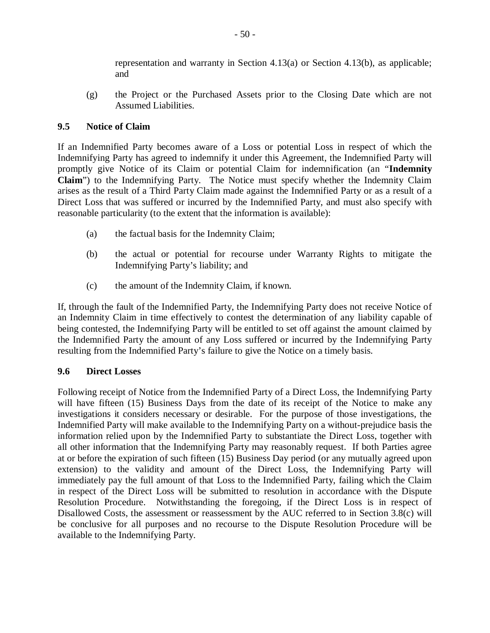representation and warranty in Section  $4.13(a)$  or Section  $4.13(b)$ , as applicable; and

(g) the Project or the Purchased Assets prior to the Closing Date which are not Assumed Liabilities.

## **9.5 Notice of Claim**

If an Indemnified Party becomes aware of a Loss or potential Loss in respect of which the Indemnifying Party has agreed to indemnify it under this Agreement, the Indemnified Party will promptly give Notice of its Claim or potential Claim for indemnification (an "**Indemnity Claim**") to the Indemnifying Party. The Notice must specify whether the Indemnity Claim arises as the result of a Third Party Claim made against the Indemnified Party or as a result of a Direct Loss that was suffered or incurred by the Indemnified Party, and must also specify with reasonable particularity (to the extent that the information is available):

- (a) the factual basis for the Indemnity Claim;
- (b) the actual or potential for recourse under Warranty Rights to mitigate the Indemnifying Party's liability; and
- (c) the amount of the Indemnity Claim, if known.

If, through the fault of the Indemnified Party, the Indemnifying Party does not receive Notice of an Indemnity Claim in time effectively to contest the determination of any liability capable of being contested, the Indemnifying Party will be entitled to set off against the amount claimed by the Indemnified Party the amount of any Loss suffered or incurred by the Indemnifying Party resulting from the Indemnified Party's failure to give the Notice on a timely basis.

## **9.6 Direct Losses**

Following receipt of Notice from the Indemnified Party of a Direct Loss, the Indemnifying Party will have fifteen (15) Business Days from the date of its receipt of the Notice to make any investigations it considers necessary or desirable. For the purpose of those investigations, the Indemnified Party will make available to the Indemnifying Party on a without-prejudice basis the information relied upon by the Indemnified Party to substantiate the Direct Loss, together with all other information that the Indemnifying Party may reasonably request. If both Parties agree at or before the expiration of such fifteen (15) Business Day period (or any mutually agreed upon extension) to the validity and amount of the Direct Loss, the Indemnifying Party will immediately pay the full amount of that Loss to the Indemnified Party, failing which the Claim in respect of the Direct Loss will be submitted to resolution in accordance with the Dispute Resolution Procedure. Notwithstanding the foregoing, if the Direct Loss is in respect of Disallowed Costs, the assessment or reassessment by the AUC referred to in Section 3.8(c) will be conclusive for all purposes and no recourse to the Dispute Resolution Procedure will be available to the Indemnifying Party.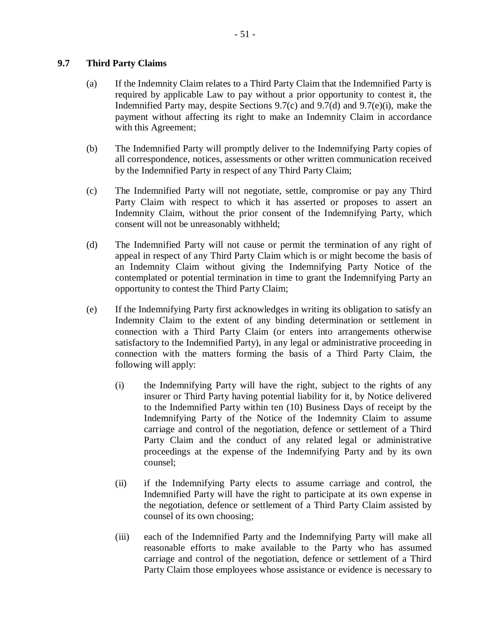## **9.7 Third Party Claims**

- (a) If the Indemnity Claim relates to a Third Party Claim that the Indemnified Party is required by applicable Law to pay without a prior opportunity to contest it, the Indemnified Party may, despite Sections 9.7(c) and 9.7(d) and 9.7(e)(i), make the payment without affecting its right to make an Indemnity Claim in accordance with this Agreement;
- (b) The Indemnified Party will promptly deliver to the Indemnifying Party copies of all correspondence, notices, assessments or other written communication received by the Indemnified Party in respect of any Third Party Claim;
- (c) The Indemnified Party will not negotiate, settle, compromise or pay any Third Party Claim with respect to which it has asserted or proposes to assert an Indemnity Claim, without the prior consent of the Indemnifying Party, which consent will not be unreasonably withheld;
- (d) The Indemnified Party will not cause or permit the termination of any right of appeal in respect of any Third Party Claim which is or might become the basis of an Indemnity Claim without giving the Indemnifying Party Notice of the contemplated or potential termination in time to grant the Indemnifying Party an opportunity to contest the Third Party Claim;
- (e) If the Indemnifying Party first acknowledges in writing its obligation to satisfy an Indemnity Claim to the extent of any binding determination or settlement in connection with a Third Party Claim (or enters into arrangements otherwise satisfactory to the Indemnified Party), in any legal or administrative proceeding in connection with the matters forming the basis of a Third Party Claim, the following will apply:
	- (i) the Indemnifying Party will have the right, subject to the rights of any insurer or Third Party having potential liability for it, by Notice delivered to the Indemnified Party within ten (10) Business Days of receipt by the Indemnifying Party of the Notice of the Indemnity Claim to assume carriage and control of the negotiation, defence or settlement of a Third Party Claim and the conduct of any related legal or administrative proceedings at the expense of the Indemnifying Party and by its own counsel;
	- (ii) if the Indemnifying Party elects to assume carriage and control, the Indemnified Party will have the right to participate at its own expense in the negotiation, defence or settlement of a Third Party Claim assisted by counsel of its own choosing;
	- (iii) each of the Indemnified Party and the Indemnifying Party will make all reasonable efforts to make available to the Party who has assumed carriage and control of the negotiation, defence or settlement of a Third Party Claim those employees whose assistance or evidence is necessary to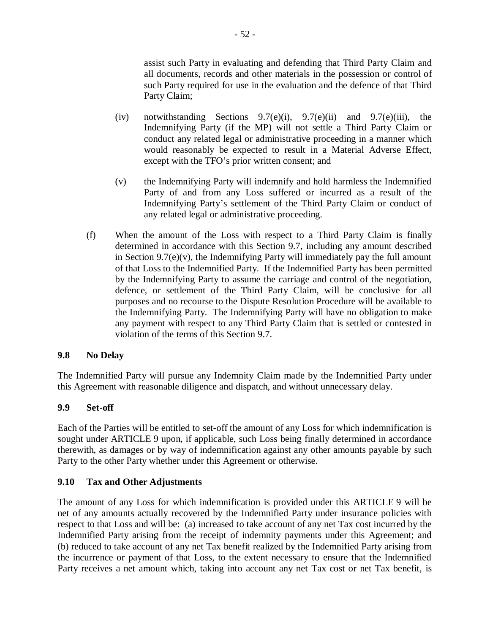assist such Party in evaluating and defending that Third Party Claim and all documents, records and other materials in the possession or control of such Party required for use in the evaluation and the defence of that Third Party Claim;

- (iv) notwithstanding Sections  $9.7(e)(i)$ ,  $9.7(e)(ii)$  and  $9.7(e)(iii)$ , the Indemnifying Party (if the MP) will not settle a Third Party Claim or conduct any related legal or administrative proceeding in a manner which would reasonably be expected to result in a Material Adverse Effect, except with the TFO's prior written consent; and
- (v) the Indemnifying Party will indemnify and hold harmless the Indemnified Party of and from any Loss suffered or incurred as a result of the Indemnifying Party's settlement of the Third Party Claim or conduct of any related legal or administrative proceeding.
- (f) When the amount of the Loss with respect to a Third Party Claim is finally determined in accordance with this Section 9.7, including any amount described in Section 9.7(e) $(v)$ , the Indemnifying Party will immediately pay the full amount of that Loss to the Indemnified Party. If the Indemnified Party has been permitted by the Indemnifying Party to assume the carriage and control of the negotiation, defence, or settlement of the Third Party Claim, will be conclusive for all purposes and no recourse to the Dispute Resolution Procedure will be available to the Indemnifying Party. The Indemnifying Party will have no obligation to make any payment with respect to any Third Party Claim that is settled or contested in violation of the terms of this Section 9.7.

## **9.8 No Delay**

The Indemnified Party will pursue any Indemnity Claim made by the Indemnified Party under this Agreement with reasonable diligence and dispatch, and without unnecessary delay.

## **9.9 Set-off**

Each of the Parties will be entitled to set-off the amount of any Loss for which indemnification is sought under ARTICLE 9 upon, if applicable, such Loss being finally determined in accordance therewith, as damages or by way of indemnification against any other amounts payable by such Party to the other Party whether under this Agreement or otherwise.

## **9.10 Tax and Other Adjustments**

The amount of any Loss for which indemnification is provided under this ARTICLE 9 will be net of any amounts actually recovered by the Indemnified Party under insurance policies with respect to that Loss and will be: (a) increased to take account of any net Tax cost incurred by the Indemnified Party arising from the receipt of indemnity payments under this Agreement; and (b) reduced to take account of any net Tax benefit realized by the Indemnified Party arising from the incurrence or payment of that Loss, to the extent necessary to ensure that the Indemnified Party receives a net amount which, taking into account any net Tax cost or net Tax benefit, is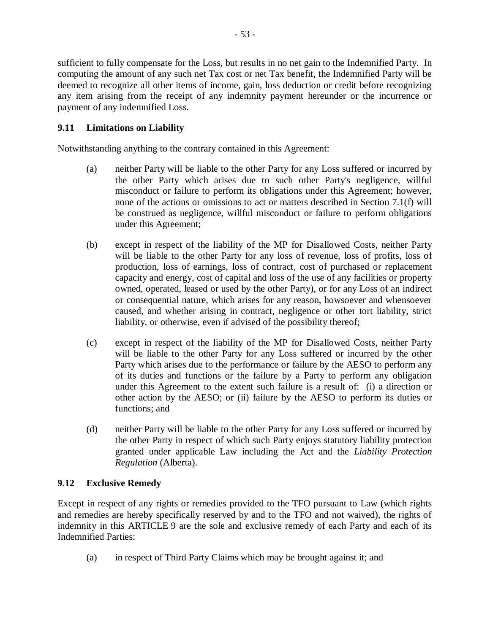sufficient to fully compensate for the Loss, but results in no net gain to the Indemnified Party. In computing the amount of any such net Tax cost or net Tax benefit, the Indemnified Party will be deemed to recognize all other items of income, gain, loss deduction or credit before recognizing any item arising from the receipt of any indemnity payment hereunder or the incurrence or payment of any indemnified Loss.

## **9.11 Limitations on Liability**

Notwithstanding anything to the contrary contained in this Agreement:

- (a) neither Party will be liable to the other Party for any Loss suffered or incurred by the other Party which arises due to such other Party's negligence, willful misconduct or failure to perform its obligations under this Agreement; however, none of the actions or omissions to act or matters described in Section 7.1(f) will be construed as negligence, willful misconduct or failure to perform obligations under this Agreement;
- (b) except in respect of the liability of the MP for Disallowed Costs, neither Party will be liable to the other Party for any loss of revenue, loss of profits, loss of production, loss of earnings, loss of contract, cost of purchased or replacement capacity and energy, cost of capital and loss of the use of any facilities or property owned, operated, leased or used by the other Party), or for any Loss of an indirect or consequential nature, which arises for any reason, howsoever and whensoever caused, and whether arising in contract, negligence or other tort liability, strict liability, or otherwise, even if advised of the possibility thereof;
- (c) except in respect of the liability of the MP for Disallowed Costs, neither Party will be liable to the other Party for any Loss suffered or incurred by the other Party which arises due to the performance or failure by the AESO to perform any of its duties and functions or the failure by a Party to perform any obligation under this Agreement to the extent such failure is a result of: (i) a direction or other action by the AESO; or (ii) failure by the AESO to perform its duties or functions; and
- (d) neither Party will be liable to the other Party for any Loss suffered or incurred by the other Party in respect of which such Party enjoys statutory liability protection granted under applicable Law including the Act and the *Liability Protection Regulation* (Alberta).

## **9.12 Exclusive Remedy**

Except in respect of any rights or remedies provided to the TFO pursuant to Law (which rights and remedies are hereby specifically reserved by and to the TFO and not waived), the rights of indemnity in this ARTICLE 9 are the sole and exclusive remedy of each Party and each of its Indemnified Parties:

(a) in respect of Third Party Claims which may be brought against it; and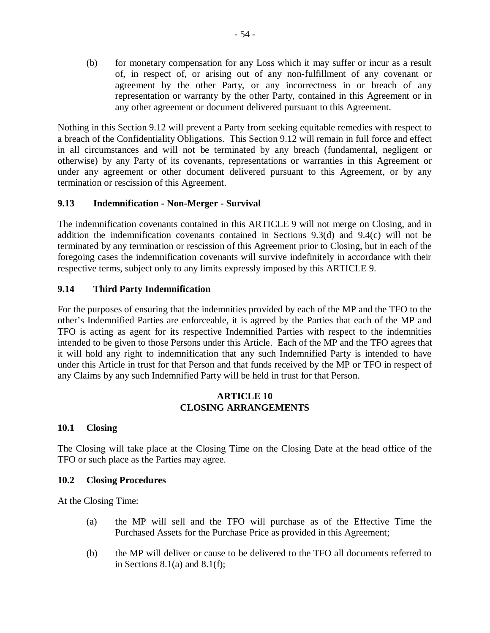(b) for monetary compensation for any Loss which it may suffer or incur as a result of, in respect of, or arising out of any non-fulfillment of any covenant or agreement by the other Party, or any incorrectness in or breach of any representation or warranty by the other Party, contained in this Agreement or in any other agreement or document delivered pursuant to this Agreement.

Nothing in this Section 9.12 will prevent a Party from seeking equitable remedies with respect to a breach of the Confidentiality Obligations. This Section 9.12 will remain in full force and effect in all circumstances and will not be terminated by any breach (fundamental, negligent or otherwise) by any Party of its covenants, representations or warranties in this Agreement or under any agreement or other document delivered pursuant to this Agreement, or by any termination or rescission of this Agreement.

## **9.13 Indemnification - Non-Merger - Survival**

The indemnification covenants contained in this ARTICLE 9 will not merge on Closing, and in addition the indemnification covenants contained in Sections 9.3(d) and 9.4(c) will not be terminated by any termination or rescission of this Agreement prior to Closing, but in each of the foregoing cases the indemnification covenants will survive indefinitely in accordance with their respective terms, subject only to any limits expressly imposed by this ARTICLE 9.

## **9.14 Third Party Indemnification**

For the purposes of ensuring that the indemnities provided by each of the MP and the TFO to the other's Indemnified Parties are enforceable, it is agreed by the Parties that each of the MP and TFO is acting as agent for its respective Indemnified Parties with respect to the indemnities intended to be given to those Persons under this Article. Each of the MP and the TFO agrees that it will hold any right to indemnification that any such Indemnified Party is intended to have under this Article in trust for that Person and that funds received by the MP or TFO in respect of any Claims by any such Indemnified Party will be held in trust for that Person.

#### **ARTICLE 10 CLOSING ARRANGEMENTS**

#### **10.1 Closing**

The Closing will take place at the Closing Time on the Closing Date at the head office of the TFO or such place as the Parties may agree.

#### **10.2 Closing Procedures**

At the Closing Time:

- (a) the MP will sell and the TFO will purchase as of the Effective Time the Purchased Assets for the Purchase Price as provided in this Agreement;
- (b) the MP will deliver or cause to be delivered to the TFO all documents referred to in Sections  $8.1(a)$  and  $8.1(f)$ ;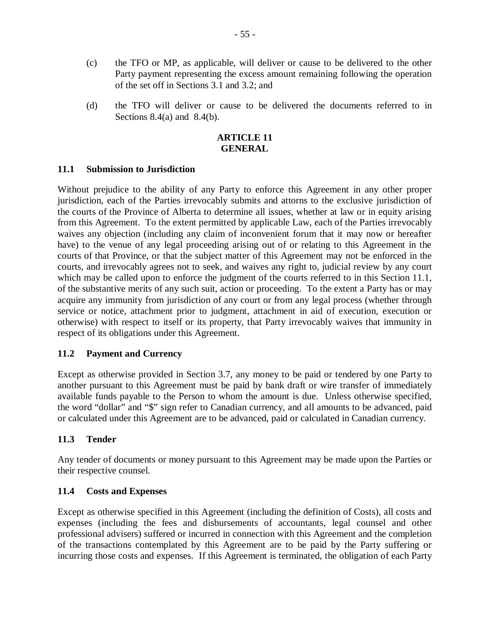- (c) the TFO or MP, as applicable, will deliver or cause to be delivered to the other Party payment representing the excess amount remaining following the operation of the set off in Sections 3.1 and 3.2; and
- (d) the TFO will deliver or cause to be delivered the documents referred to in Sections  $8.4(a)$  and  $8.4(b)$ .

#### **ARTICLE 11 GENERAL**

#### **11.1 Submission to Jurisdiction**

Without prejudice to the ability of any Party to enforce this Agreement in any other proper jurisdiction, each of the Parties irrevocably submits and attorns to the exclusive jurisdiction of the courts of the Province of Alberta to determine all issues, whether at law or in equity arising from this Agreement. To the extent permitted by applicable Law, each of the Parties irrevocably waives any objection (including any claim of inconvenient forum that it may now or hereafter have) to the venue of any legal proceeding arising out of or relating to this Agreement in the courts of that Province, or that the subject matter of this Agreement may not be enforced in the courts, and irrevocably agrees not to seek, and waives any right to, judicial review by any court which may be called upon to enforce the judgment of the courts referred to in this Section 11.1, of the substantive merits of any such suit, action or proceeding. To the extent a Party has or may acquire any immunity from jurisdiction of any court or from any legal process (whether through service or notice, attachment prior to judgment, attachment in aid of execution, execution or otherwise) with respect to itself or its property, that Party irrevocably waives that immunity in respect of its obligations under this Agreement.

## **11.2 Payment and Currency**

Except as otherwise provided in Section 3.7, any money to be paid or tendered by one Party to another pursuant to this Agreement must be paid by bank draft or wire transfer of immediately available funds payable to the Person to whom the amount is due. Unless otherwise specified, the word "dollar" and "\$" sign refer to Canadian currency, and all amounts to be advanced, paid or calculated under this Agreement are to be advanced, paid or calculated in Canadian currency.

## **11.3 Tender**

Any tender of documents or money pursuant to this Agreement may be made upon the Parties or their respective counsel.

## **11.4 Costs and Expenses**

Except as otherwise specified in this Agreement (including the definition of Costs), all costs and expenses (including the fees and disbursements of accountants, legal counsel and other professional advisers) suffered or incurred in connection with this Agreement and the completion of the transactions contemplated by this Agreement are to be paid by the Party suffering or incurring those costs and expenses. If this Agreement is terminated, the obligation of each Party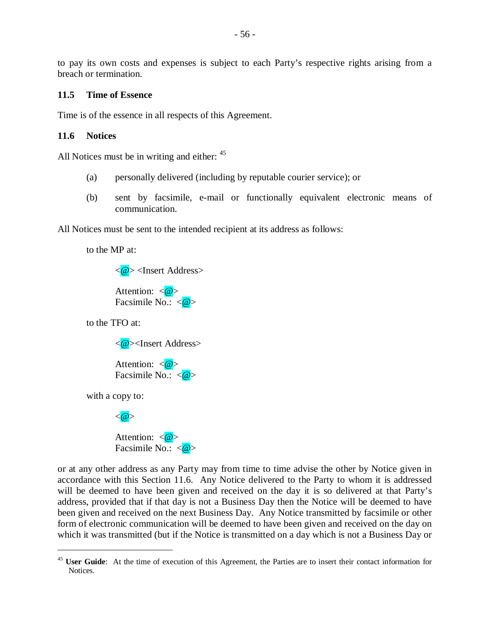to pay its own costs and expenses is subject to each Party's respective rights arising from a breach or termination.

#### **11.5 Time of Essence**

Time is of the essence in all respects of this Agreement.

#### **11.6 Notices**

All Notices must be in writing and either:  $45$ 

- (a) personally delivered (including by reputable courier service); or
- (b) sent by facsimile, e-mail or functionally equivalent electronic means of communication.

All Notices must be sent to the intended recipient at its address as follows:

to the MP at:

<@> <Insert Address>

Attention:  $\langle \mathcal{Q} \rangle$ Facsimile No.:  $\langle \mathcal{Q} \rangle$ 

to the TFO at:

<@><Insert Address>

Attention:  $\langle \mathcal{Q} \rangle$ Facsimile No.:  $\langle \mathbf{\omega} \rangle$ 

with a copy to:

 $\overline{a}$ 



Attention:  $\langle \mathbf{\omega} \rangle$ Facsimile No.:  $\langle \mathcal{Q} \rangle$ 

or at any other address as any Party may from time to time advise the other by Notice given in accordance with this Section 11.6. Any Notice delivered to the Party to whom it is addressed will be deemed to have been given and received on the day it is so delivered at that Party's address, provided that if that day is not a Business Day then the Notice will be deemed to have been given and received on the next Business Day. Any Notice transmitted by facsimile or other form of electronic communication will be deemed to have been given and received on the day on which it was transmitted (but if the Notice is transmitted on a day which is not a Business Day or

<sup>&</sup>lt;sup>45</sup> **User Guide**: At the time of execution of this Agreement, the Parties are to insert their contact information for **Notices**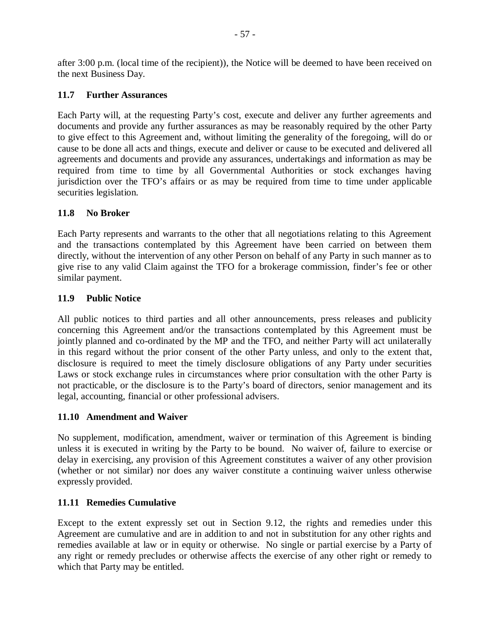after 3:00 p.m. (local time of the recipient)), the Notice will be deemed to have been received on the next Business Day.

## **11.7 Further Assurances**

Each Party will, at the requesting Party's cost, execute and deliver any further agreements and documents and provide any further assurances as may be reasonably required by the other Party to give effect to this Agreement and, without limiting the generality of the foregoing, will do or cause to be done all acts and things, execute and deliver or cause to be executed and delivered all agreements and documents and provide any assurances, undertakings and information as may be required from time to time by all Governmental Authorities or stock exchanges having jurisdiction over the TFO's affairs or as may be required from time to time under applicable securities legislation.

## **11.8 No Broker**

Each Party represents and warrants to the other that all negotiations relating to this Agreement and the transactions contemplated by this Agreement have been carried on between them directly, without the intervention of any other Person on behalf of any Party in such manner as to give rise to any valid Claim against the TFO for a brokerage commission, finder's fee or other similar payment.

## **11.9 Public Notice**

All public notices to third parties and all other announcements, press releases and publicity concerning this Agreement and/or the transactions contemplated by this Agreement must be jointly planned and co-ordinated by the MP and the TFO, and neither Party will act unilaterally in this regard without the prior consent of the other Party unless, and only to the extent that, disclosure is required to meet the timely disclosure obligations of any Party under securities Laws or stock exchange rules in circumstances where prior consultation with the other Party is not practicable, or the disclosure is to the Party's board of directors, senior management and its legal, accounting, financial or other professional advisers.

#### **11.10 Amendment and Waiver**

No supplement, modification, amendment, waiver or termination of this Agreement is binding unless it is executed in writing by the Party to be bound. No waiver of, failure to exercise or delay in exercising, any provision of this Agreement constitutes a waiver of any other provision (whether or not similar) nor does any waiver constitute a continuing waiver unless otherwise expressly provided.

## **11.11 Remedies Cumulative**

Except to the extent expressly set out in Section 9.12, the rights and remedies under this Agreement are cumulative and are in addition to and not in substitution for any other rights and remedies available at law or in equity or otherwise. No single or partial exercise by a Party of any right or remedy precludes or otherwise affects the exercise of any other right or remedy to which that Party may be entitled.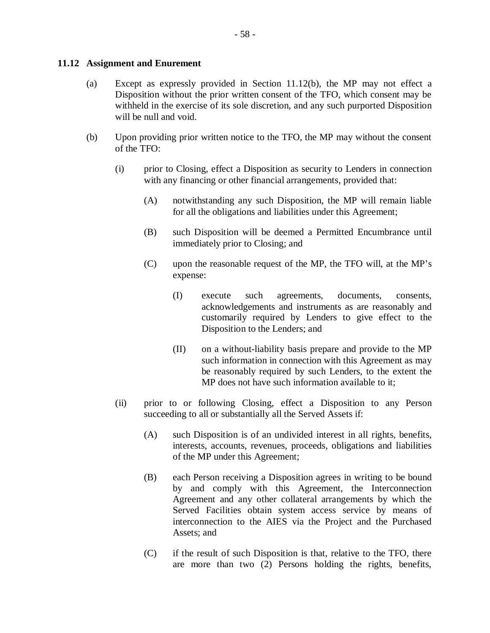#### **11.12 Assignment and Enurement**

- (a) Except as expressly provided in Section 11.12(b), the MP may not effect a Disposition without the prior written consent of the TFO, which consent may be withheld in the exercise of its sole discretion, and any such purported Disposition will be null and void.
- (b) Upon providing prior written notice to the TFO, the MP may without the consent of the TFO:
	- (i) prior to Closing, effect a Disposition as security to Lenders in connection with any financing or other financial arrangements, provided that:
		- (A) notwithstanding any such Disposition, the MP will remain liable for all the obligations and liabilities under this Agreement;
		- (B) such Disposition will be deemed a Permitted Encumbrance until immediately prior to Closing; and
		- (C) upon the reasonable request of the MP, the TFO will, at the MP's expense:
			- (I) execute such agreements, documents, consents, acknowledgements and instruments as are reasonably and customarily required by Lenders to give effect to the Disposition to the Lenders; and
			- (II) on a without-liability basis prepare and provide to the MP such information in connection with this Agreement as may be reasonably required by such Lenders, to the extent the MP does not have such information available to it;
	- (ii) prior to or following Closing, effect a Disposition to any Person succeeding to all or substantially all the Served Assets if:
		- (A) such Disposition is of an undivided interest in all rights, benefits, interests, accounts, revenues, proceeds, obligations and liabilities of the MP under this Agreement;
		- (B) each Person receiving a Disposition agrees in writing to be bound by and comply with this Agreement, the Interconnection Agreement and any other collateral arrangements by which the Served Facilities obtain system access service by means of interconnection to the AIES via the Project and the Purchased Assets; and
		- (C) if the result of such Disposition is that, relative to the TFO, there are more than two (2) Persons holding the rights, benefits,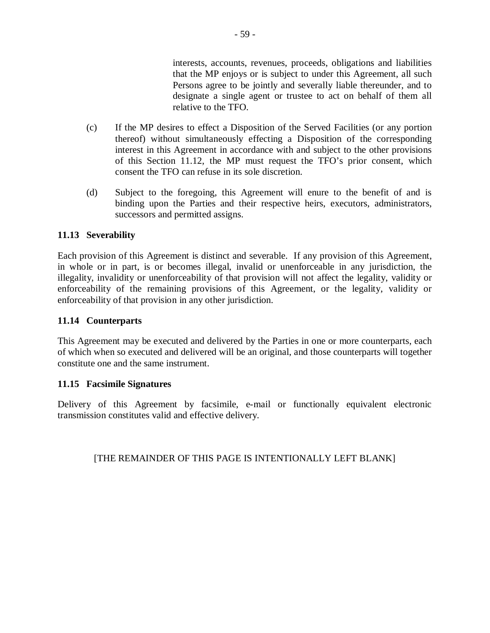interests, accounts, revenues, proceeds, obligations and liabilities that the MP enjoys or is subject to under this Agreement, all such Persons agree to be jointly and severally liable thereunder, and to designate a single agent or trustee to act on behalf of them all relative to the TFO.

- (c) If the MP desires to effect a Disposition of the Served Facilities (or any portion thereof) without simultaneously effecting a Disposition of the corresponding interest in this Agreement in accordance with and subject to the other provisions of this Section 11.12, the MP must request the TFO's prior consent, which consent the TFO can refuse in its sole discretion.
- (d) Subject to the foregoing, this Agreement will enure to the benefit of and is binding upon the Parties and their respective heirs, executors, administrators, successors and permitted assigns.

## **11.13 Severability**

Each provision of this Agreement is distinct and severable. If any provision of this Agreement, in whole or in part, is or becomes illegal, invalid or unenforceable in any jurisdiction, the illegality, invalidity or unenforceability of that provision will not affect the legality, validity or enforceability of the remaining provisions of this Agreement, or the legality, validity or enforceability of that provision in any other jurisdiction.

## **11.14 Counterparts**

This Agreement may be executed and delivered by the Parties in one or more counterparts, each of which when so executed and delivered will be an original, and those counterparts will together constitute one and the same instrument.

#### **11.15 Facsimile Signatures**

Delivery of this Agreement by facsimile, e-mail or functionally equivalent electronic transmission constitutes valid and effective delivery.

## [THE REMAINDER OF THIS PAGE IS INTENTIONALLY LEFT BLANK]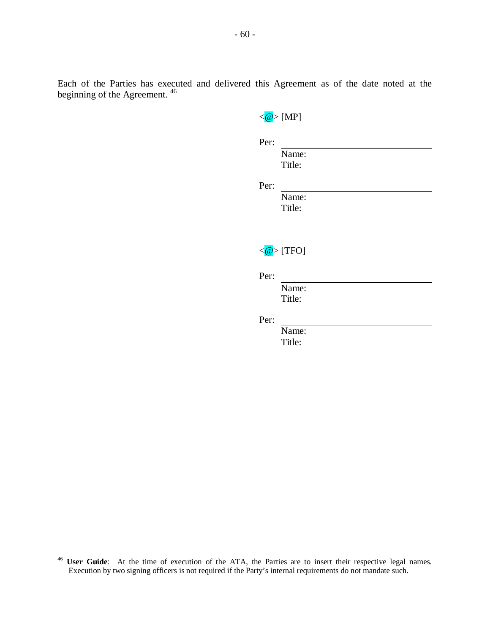Each of the Parties has executed and delivered this Agreement as of the date noted at the beginning of the Agreement. <sup>46</sup>

| Name:                                   |
|-----------------------------------------|
| Title:                                  |
|                                         |
| Name:                                   |
| Title:                                  |
|                                         |
| $\langle \textcircled{a} \rangle$ [TFO] |
|                                         |
| Name:                                   |
| Title:                                  |
|                                         |
| Name:                                   |
| Title:                                  |
|                                         |

 $\overline{a}$ 

<sup>&</sup>lt;sup>46</sup> **User Guide**: At the time of execution of the ATA, the Parties are to insert their respective legal names. Execution by two signing officers is not required if the Party's internal requirements do not mandate such.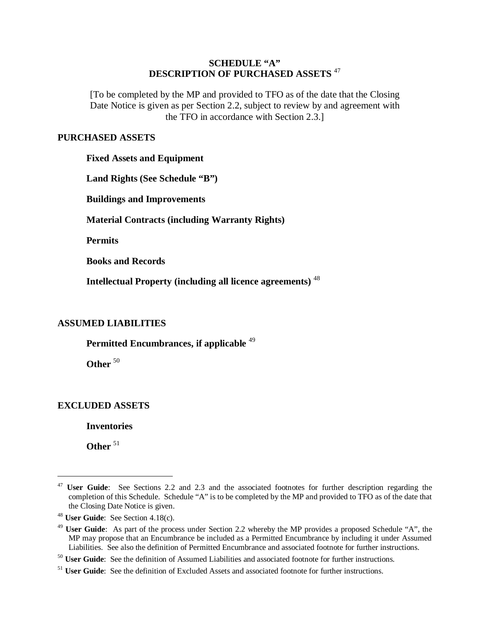#### **SCHEDULE "A" DESCRIPTION OF PURCHASED ASSETS** <sup>47</sup>

[To be completed by the MP and provided to TFO as of the date that the Closing Date Notice is given as per Section 2.2, subject to review by and agreement with the TFO in accordance with Section 2.3.]

#### **PURCHASED ASSETS**

**Fixed Assets and Equipment** 

**Land Rights (See Schedule "B")** 

**Buildings and Improvements** 

**Material Contracts (including Warranty Rights)** 

**Permits** 

**Books and Records** 

**Intellectual Property (including all licence agreements)** <sup>48</sup>

## **ASSUMED LIABILITIES**

**Permitted Encumbrances, if applicable** <sup>49</sup>

Other<sup>50</sup>

## **EXCLUDED ASSETS**

**Inventories** 

**Other** <sup>51</sup>

 $\overline{a}$ 

<sup>47</sup> **User Guide**: See Sections 2.2 and 2.3 and the associated footnotes for further description regarding the completion of this Schedule. Schedule "A" is to be completed by the MP and provided to TFO as of the date that the Closing Date Notice is given.

<sup>48</sup> **User Guide**: See Section 4.18(c).

<sup>49</sup> **User Guide**: As part of the process under Section 2.2 whereby the MP provides a proposed Schedule "A", the MP may propose that an Encumbrance be included as a Permitted Encumbrance by including it under Assumed Liabilities. See also the definition of Permitted Encumbrance and associated footnote for further instructions.

<sup>&</sup>lt;sup>50</sup> **User Guide**: See the definition of Assumed Liabilities and associated footnote for further instructions.

<sup>&</sup>lt;sup>51</sup> **User Guide**: See the definition of Excluded Assets and associated footnote for further instructions.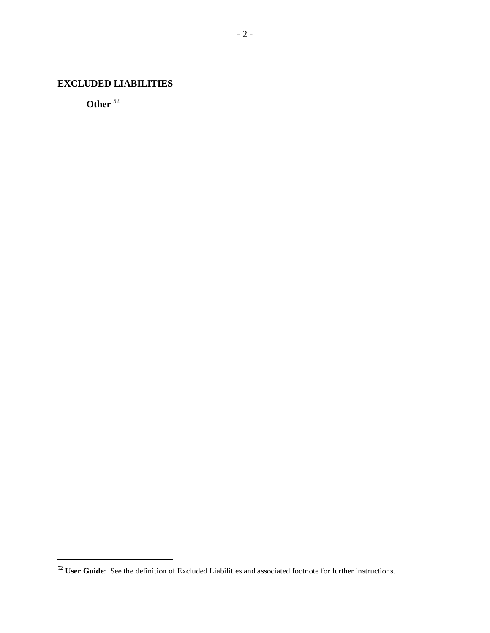## **EXCLUDED LIABILITIES**

**Other** <sup>52</sup>

 $\overline{a}$ 

<sup>&</sup>lt;sup>52</sup> **User Guide**: See the definition of Excluded Liabilities and associated footnote for further instructions.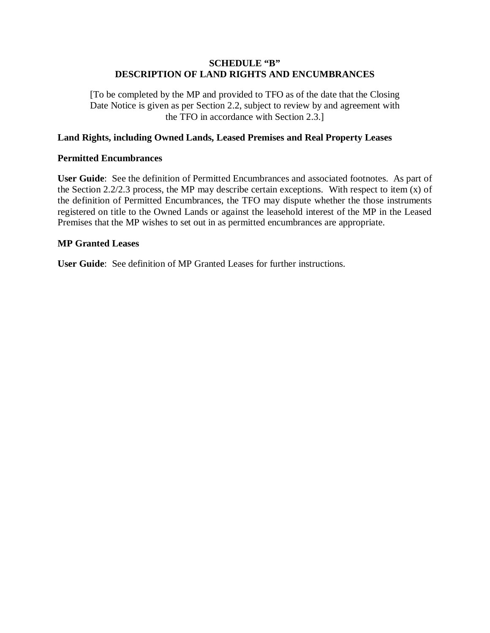#### **SCHEDULE "B" DESCRIPTION OF LAND RIGHTS AND ENCUMBRANCES**

[To be completed by the MP and provided to TFO as of the date that the Closing Date Notice is given as per Section 2.2, subject to review by and agreement with the TFO in accordance with Section 2.3.]

#### **Land Rights, including Owned Lands, Leased Premises and Real Property Leases**

#### **Permitted Encumbrances**

**User Guide**: See the definition of Permitted Encumbrances and associated footnotes. As part of the Section 2.2/2.3 process, the MP may describe certain exceptions. With respect to item (x) of the definition of Permitted Encumbrances, the TFO may dispute whether the those instruments registered on title to the Owned Lands or against the leasehold interest of the MP in the Leased Premises that the MP wishes to set out in as permitted encumbrances are appropriate.

## **MP Granted Leases**

**User Guide**: See definition of MP Granted Leases for further instructions.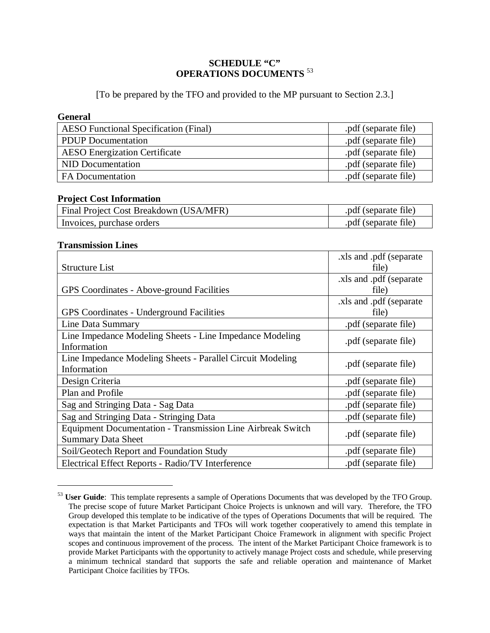#### **SCHEDULE "C" OPERATIONS DOCUMENTS** <sup>53</sup>

[To be prepared by the TFO and provided to the MP pursuant to Section 2.3.]

#### **General**

| <b>AESO</b> Functional Specification (Final) | .pdf (separate file) |
|----------------------------------------------|----------------------|
| <b>PDUP</b> Documentation                    | .pdf (separate file) |
| <b>AESO</b> Energization Certificate         | .pdf (separate file) |
| NID Documentation                            | .pdf (separate file) |
| <b>FA</b> Documentation                      | .pdf (separate file) |

#### **Project Cost Information**

| <b>Final Project Cost Breakdown (USA/MFR)</b> | .pdf (separate file) |
|-----------------------------------------------|----------------------|
| Invoices, purchase orders                     | .pdf (separate file) |

#### **Transmission Lines**

 $\overline{a}$ 

|                                                             | .xls and .pdf (separate  |
|-------------------------------------------------------------|--------------------------|
| <b>Structure List</b>                                       | file)                    |
|                                                             | .xls and .pdf (separate) |
| <b>GPS</b> Coordinates - Above-ground Facilities            | file)                    |
|                                                             | .xls and .pdf (separate) |
| <b>GPS</b> Coordinates - Underground Facilities             | file)                    |
| Line Data Summary                                           | .pdf (separate file)     |
| Line Impedance Modeling Sheets - Line Impedance Modeling    | .pdf (separate file)     |
| Information                                                 |                          |
| Line Impedance Modeling Sheets - Parallel Circuit Modeling  | .pdf (separate file)     |
| Information                                                 |                          |
| Design Criteria                                             | .pdf (separate file)     |
| Plan and Profile                                            | .pdf (separate file)     |
| Sag and Stringing Data - Sag Data                           | .pdf (separate file)     |
| Sag and Stringing Data - Stringing Data                     | .pdf (separate file)     |
| Equipment Documentation - Transmission Line Airbreak Switch | .pdf (separate file)     |
| <b>Summary Data Sheet</b>                                   |                          |
| Soil/Geotech Report and Foundation Study                    | .pdf (separate file)     |
| Electrical Effect Reports - Radio/TV Interference           | .pdf (separate file)     |

<sup>&</sup>lt;sup>53</sup> **User Guide**: This template represents a sample of Operations Documents that was developed by the TFO Group. The precise scope of future Market Participant Choice Projects is unknown and will vary. Therefore, the TFO Group developed this template to be indicative of the types of Operations Documents that will be required. The expectation is that Market Participants and TFOs will work together cooperatively to amend this template in ways that maintain the intent of the Market Participant Choice Framework in alignment with specific Project scopes and continuous improvement of the process. The intent of the Market Participant Choice framework is to provide Market Participants with the opportunity to actively manage Project costs and schedule, while preserving a minimum technical standard that supports the safe and reliable operation and maintenance of Market Participant Choice facilities by TFOs.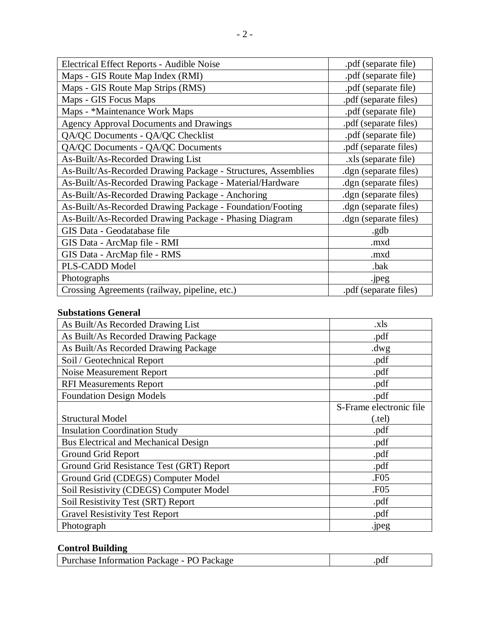| Electrical Effect Reports - Audible Noise                     | .pdf (separate file)  |
|---------------------------------------------------------------|-----------------------|
| Maps - GIS Route Map Index (RMI)                              | .pdf (separate file)  |
| Maps - GIS Route Map Strips (RMS)                             | .pdf (separate file)  |
| Maps - GIS Focus Maps                                         | .pdf (separate files) |
| Maps - *Maintenance Work Maps                                 | .pdf (separate file)  |
| <b>Agency Approval Documents and Drawings</b>                 | .pdf (separate files) |
| QA/QC Documents - QA/QC Checklist                             | .pdf (separate file)  |
| QA/QC Documents - QA/QC Documents                             | .pdf (separate files) |
| As-Built/As-Recorded Drawing List                             | .xls (separate file)  |
| As-Built/As-Recorded Drawing Package - Structures, Assemblies | dgn (separate files). |
| As-Built/As-Recorded Drawing Package - Material/Hardware      | dgn (separate files). |
| As-Built/As-Recorded Drawing Package - Anchoring              | .dgn (separate files) |
| As-Built/As-Recorded Drawing Package - Foundation/Footing     | .dgn (separate files) |
| As-Built/As-Recorded Drawing Package - Phasing Diagram        | .dgn (separate files) |
| GIS Data - Geodatabase file                                   | .gdb                  |
| GIS Data - ArcMap file - RMI                                  | .mxd                  |
| GIS Data - ArcMap file - RMS                                  | .mxd                  |
| PLS-CADD Model                                                | .bak                  |
| Photographs                                                   | .jpeg                 |
| Crossing Agreements (railway, pipeline, etc.)                 | .pdf (separate files) |

# **Substations General**

| As Built/As Recorded Drawing List           | .xls                    |
|---------------------------------------------|-------------------------|
| As Built/As Recorded Drawing Package        | .pdf                    |
| As Built/As Recorded Drawing Package        | $.$ dwg                 |
| Soil / Geotechnical Report                  | .pdf                    |
| Noise Measurement Report                    | .pdf                    |
| <b>RFI Measurements Report</b>              | .pdf                    |
| <b>Foundation Design Models</b>             | .pdf                    |
|                                             | S-Frame electronic file |
| <b>Structural Model</b>                     | (tel)                   |
| <b>Insulation Coordination Study</b>        | .pdf                    |
| <b>Bus Electrical and Mechanical Design</b> | .pdf                    |
| Ground Grid Report                          | .pdf                    |
| Ground Grid Resistance Test (GRT) Report    | .pdf                    |
| Ground Grid (CDEGS) Computer Model          | .F <sub>05</sub>        |
| Soil Resistivity (CDEGS) Computer Model     | .F <sub>05</sub>        |
| Soil Resistivity Test (SRT) Report          | .pdf                    |
| <b>Gravel Resistivity Test Report</b>       | .pdf                    |
| Photograph                                  | .jpeg                   |

# **Control Building**

| Purchase Information Package - PO Package | .pdf |
|-------------------------------------------|------|
|                                           |      |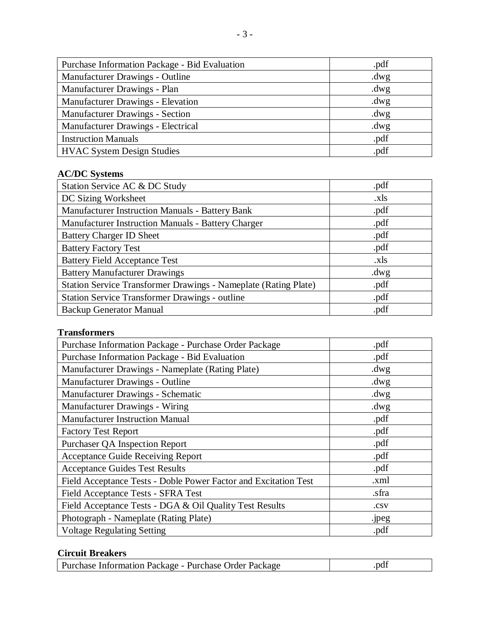| Purchase Information Package - Bid Evaluation | .pdf    |
|-----------------------------------------------|---------|
| Manufacturer Drawings - Outline               | $.$ dwg |
| Manufacturer Drawings - Plan                  | $.$ dwg |
| Manufacturer Drawings - Elevation             | $.$ dwg |
| <b>Manufacturer Drawings - Section</b>        | $.$ dwg |
| Manufacturer Drawings - Electrical            | $.$ dwg |
| <b>Instruction Manuals</b>                    | .pdf    |
| <b>HVAC System Design Studies</b>             | .pdf    |

# **AC/DC Systems**

| Station Service AC & DC Study                                   | .pdf    |
|-----------------------------------------------------------------|---------|
| DC Sizing Worksheet                                             | .xls    |
| <b>Manufacturer Instruction Manuals - Battery Bank</b>          | .pdf    |
| <b>Manufacturer Instruction Manuals - Battery Charger</b>       | .pdf    |
| <b>Battery Charger ID Sheet</b>                                 | .pdf    |
| <b>Battery Factory Test</b>                                     | .pdf    |
| <b>Battery Field Acceptance Test</b>                            | .xls    |
| <b>Battery Manufacturer Drawings</b>                            | $.$ dwg |
| Station Service Transformer Drawings - Nameplate (Rating Plate) | .pdf    |
| <b>Station Service Transformer Drawings - outline</b>           | .pdf    |
| <b>Backup Generator Manual</b>                                  | .pdf    |

# **Transformers**

| Purchase Information Package - Purchase Order Package           | .pdf    |
|-----------------------------------------------------------------|---------|
| Purchase Information Package - Bid Evaluation                   | .pdf    |
| Manufacturer Drawings - Nameplate (Rating Plate)                | $.$ dwg |
| Manufacturer Drawings - Outline                                 | $.$ dwg |
| Manufacturer Drawings - Schematic                               | $.$ dwg |
| <b>Manufacturer Drawings - Wiring</b>                           | $.$ dwg |
| <b>Manufacturer Instruction Manual</b>                          | .pdf    |
| <b>Factory Test Report</b>                                      | .pdf    |
| <b>Purchaser QA Inspection Report</b>                           | .pdf    |
| <b>Acceptance Guide Receiving Report</b>                        | .pdf    |
| <b>Acceptance Guides Test Results</b>                           | .pdf    |
| Field Acceptance Tests - Doble Power Factor and Excitation Test | .xml    |
| Field Acceptance Tests - SFRA Test                              | .sfra   |
| Field Acceptance Tests - DGA & Oil Quality Test Results         | .csv    |
| Photograph - Nameplate (Rating Plate)                           | .jpeg   |
| <b>Voltage Regulating Setting</b>                               | .pdf    |

# **Circuit Breakers**

| <b>Purchase Information Package - Purchase Order Package</b> | .pdi |
|--------------------------------------------------------------|------|
|                                                              |      |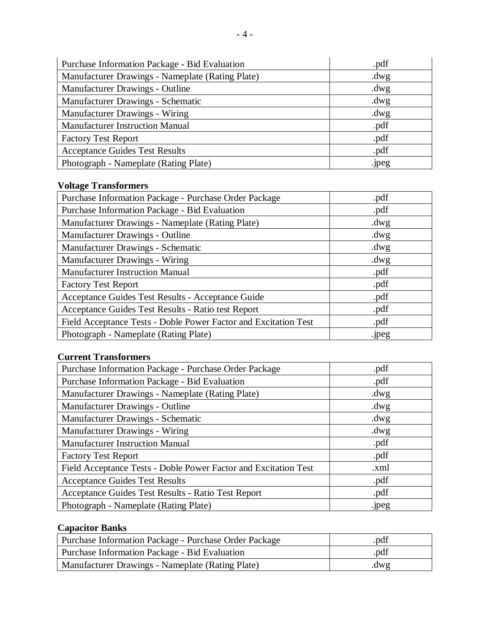| Purchase Information Package - Bid Evaluation    | .pdf    |
|--------------------------------------------------|---------|
| Manufacturer Drawings - Nameplate (Rating Plate) | $.$ dwg |
| Manufacturer Drawings - Outline                  | $.$ dwg |
| Manufacturer Drawings - Schematic                | $.$ dwg |
| <b>Manufacturer Drawings - Wiring</b>            | $.$ dwg |
| <b>Manufacturer Instruction Manual</b>           | .pdf    |
| <b>Factory Test Report</b>                       | .pdf    |
| <b>Acceptance Guides Test Results</b>            | .pdf    |
| Photograph - Nameplate (Rating Plate)            | .jpeg   |

# **Voltage Transformers**

| Purchase Information Package - Purchase Order Package           | .pdf    |
|-----------------------------------------------------------------|---------|
| Purchase Information Package - Bid Evaluation                   | .pdf    |
| Manufacturer Drawings - Nameplate (Rating Plate)                | $.$ dwg |
| Manufacturer Drawings - Outline                                 | $.$ dwg |
| Manufacturer Drawings - Schematic                               | $.$ dwg |
| Manufacturer Drawings - Wiring                                  | $.$ dwg |
| <b>Manufacturer Instruction Manual</b>                          | .pdf    |
| <b>Factory Test Report</b>                                      | .pdf    |
| Acceptance Guides Test Results - Acceptance Guide               | .pdf    |
| Acceptance Guides Test Results - Ratio test Report              | .pdf    |
| Field Acceptance Tests - Doble Power Factor and Excitation Test | .pdf    |
| Photograph - Nameplate (Rating Plate)                           | .jpeg   |

# **Current Transformers**

| Purchase Information Package - Purchase Order Package           | .pdf    |
|-----------------------------------------------------------------|---------|
| Purchase Information Package - Bid Evaluation                   | .pdf    |
| Manufacturer Drawings - Nameplate (Rating Plate)                | $.$ dwg |
| Manufacturer Drawings - Outline                                 | $.$ dwg |
| Manufacturer Drawings - Schematic                               | $.$ dwg |
| Manufacturer Drawings - Wiring                                  | $.$ dwg |
| <b>Manufacturer Instruction Manual</b>                          | .pdf    |
| <b>Factory Test Report</b>                                      | .pdf    |
| Field Acceptance Tests - Doble Power Factor and Excitation Test | .xml    |
| <b>Acceptance Guides Test Results</b>                           | .pdf    |
| Acceptance Guides Test Results - Ratio Test Report              | .pdf    |
| Photograph - Nameplate (Rating Plate)                           | .jpeg   |

## **Capacitor Banks**

| Purchase Information Package - Purchase Order Package | .pdf |
|-------------------------------------------------------|------|
| Purchase Information Package - Bid Evaluation         | .pdf |
| Manufacturer Drawings - Nameplate (Rating Plate)      | .dwg |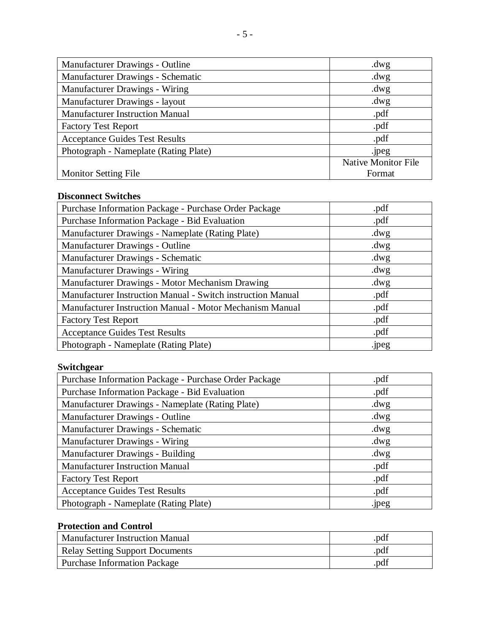| Manufacturer Drawings - Outline        | $.$ dwg                    |
|----------------------------------------|----------------------------|
| Manufacturer Drawings - Schematic      | $.$ dwg                    |
| <b>Manufacturer Drawings - Wiring</b>  | $.$ dwg                    |
| Manufacturer Drawings - layout         | $.$ dwg                    |
| <b>Manufacturer Instruction Manual</b> | .pdf                       |
| <b>Factory Test Report</b>             | .pdf                       |
| <b>Acceptance Guides Test Results</b>  | .pdf                       |
| Photograph - Nameplate (Rating Plate)  | .jpeg                      |
|                                        | <b>Native Monitor File</b> |
| <b>Monitor Setting File</b>            | Format                     |

# **Disconnect Switches**

| Purchase Information Package - Purchase Order Package       | .pdf    |
|-------------------------------------------------------------|---------|
| Purchase Information Package - Bid Evaluation               | .pdf    |
| Manufacturer Drawings - Nameplate (Rating Plate)            | $.$ dwg |
| Manufacturer Drawings - Outline                             | $.$ dwg |
| Manufacturer Drawings - Schematic                           | $.$ dwg |
| Manufacturer Drawings - Wiring                              | $.$ dwg |
| Manufacturer Drawings - Motor Mechanism Drawing             | $.$ dwg |
| Manufacturer Instruction Manual - Switch instruction Manual | .pdf    |
| Manufacturer Instruction Manual - Motor Mechanism Manual    | .pdf    |
| <b>Factory Test Report</b>                                  | .pdf    |
| <b>Acceptance Guides Test Results</b>                       | .pdf    |
| Photograph - Nameplate (Rating Plate)                       | .jpeg   |

# **Switchgear**

| Purchase Information Package - Purchase Order Package | .pdf    |
|-------------------------------------------------------|---------|
| Purchase Information Package - Bid Evaluation         | .pdf    |
| Manufacturer Drawings - Nameplate (Rating Plate)      | $.$ dwg |
| Manufacturer Drawings - Outline                       | $.$ dwg |
| Manufacturer Drawings - Schematic                     | $.$ dwg |
| Manufacturer Drawings - Wiring                        | $.$ dwg |
| Manufacturer Drawings - Building                      | $.$ dwg |
| <b>Manufacturer Instruction Manual</b>                | .pdf    |
| <b>Factory Test Report</b>                            | .pdf    |
| <b>Acceptance Guides Test Results</b>                 | .pdf    |
| Photograph - Nameplate (Rating Plate)                 | .jpeg   |

# **Protection and Control**

| <b>Manufacturer Instruction Manual</b> | .pdf |
|----------------------------------------|------|
| <b>Relay Setting Support Documents</b> | .pdf |
| <b>Purchase Information Package</b>    | .pdf |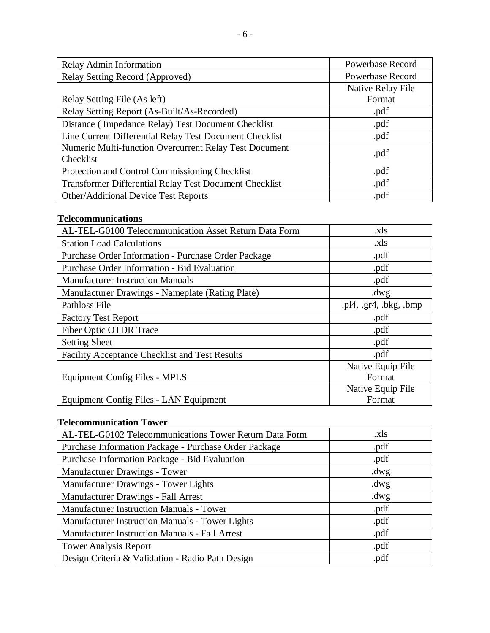| Relay Admin Information                                             | Powerbase Record  |
|---------------------------------------------------------------------|-------------------|
| Relay Setting Record (Approved)                                     | Powerbase Record  |
|                                                                     | Native Relay File |
| Relay Setting File (As left)                                        | Format            |
| Relay Setting Report (As-Built/As-Recorded)                         | .pdf              |
| Distance (Impedance Relay) Test Document Checklist                  | .pdf              |
| Line Current Differential Relay Test Document Checklist             | .pdf              |
| Numeric Multi-function Overcurrent Relay Test Document<br>Checklist | .pdf              |
| Protection and Control Commissioning Checklist                      | .pdf              |
| Transformer Differential Relay Test Document Checklist              | .pdf              |
| <b>Other/Additional Device Test Reports</b>                         | .pdf              |

# **Telecommunications**

| AL-TEL-G0100 Telecommunication Asset Return Data Form | .xls                |
|-------------------------------------------------------|---------------------|
| <b>Station Load Calculations</b>                      | .xls                |
| Purchase Order Information - Purchase Order Package   | .pdf                |
| Purchase Order Information - Bid Evaluation           | .pdf                |
| <b>Manufacturer Instruction Manuals</b>               | .pdf                |
| Manufacturer Drawings - Nameplate (Rating Plate)      | $.$ dwg             |
| Pathloss File                                         | .pl4, gr4, bkg, bmp |
| <b>Factory Test Report</b>                            | .pdf                |
| Fiber Optic OTDR Trace                                | .pdf                |
| <b>Setting Sheet</b>                                  | .pdf                |
| <b>Facility Acceptance Checklist and Test Results</b> | .pdf                |
|                                                       | Native Equip File   |
| Equipment Config Files - MPLS                         | Format              |
|                                                       | Native Equip File   |
| Equipment Config Files - LAN Equipment                | Format              |

# **Telecommunication Tower**

| AL-TEL-G0102 Telecommunications Tower Return Data Form | .xls    |
|--------------------------------------------------------|---------|
| Purchase Information Package - Purchase Order Package  | .pdf    |
| Purchase Information Package - Bid Evaluation          | .pdf    |
| Manufacturer Drawings - Tower                          | $.$ dwg |
| Manufacturer Drawings - Tower Lights                   | $.$ dwg |
| Manufacturer Drawings - Fall Arrest                    | $.$ dwg |
| <b>Manufacturer Instruction Manuals - Tower</b>        | .pdf    |
| Manufacturer Instruction Manuals - Tower Lights        | .pdf    |
| <b>Manufacturer Instruction Manuals - Fall Arrest</b>  | .pdf    |
| <b>Tower Analysis Report</b>                           | .pdf    |
| Design Criteria & Validation - Radio Path Design       | .pdf    |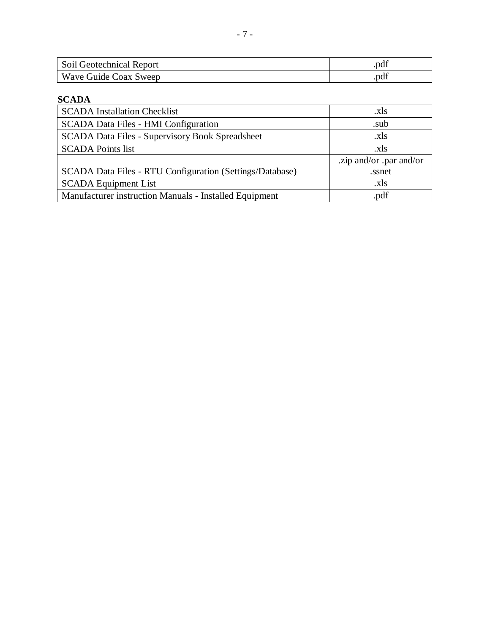| Soil Geotechnical Report | .pdi |
|--------------------------|------|
| Wave Guide Coax Sweep    | .pdf |

# **SCADA**

| <b>SCADA</b> Installation Checklist                      | .xls                    |
|----------------------------------------------------------|-------------------------|
| SCADA Data Files - HMI Configuration                     | .sub                    |
| <b>SCADA Data Files - Supervisory Book Spreadsheet</b>   | .xls                    |
| <b>SCADA Points list</b>                                 | .xls                    |
|                                                          | .zip and/or .par and/or |
| SCADA Data Files - RTU Configuration (Settings/Database) | .ssnet                  |
| <b>SCADA Equipment List</b>                              | .xls                    |
| Manufacturer instruction Manuals - Installed Equipment   | .pdf                    |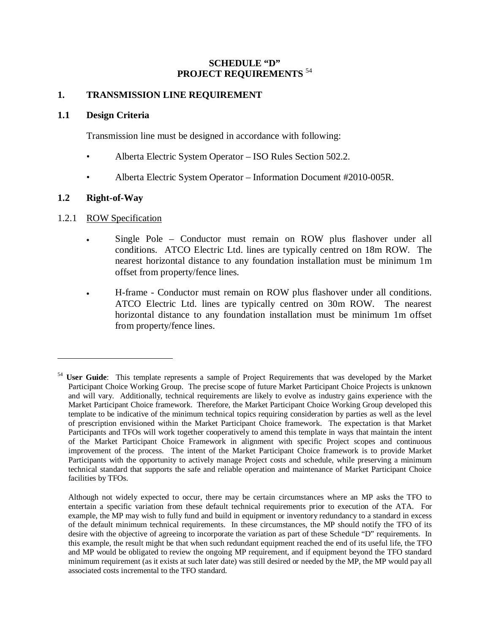#### **SCHEDULE "D" PROJECT REQUIREMENTS** <sup>54</sup>

#### **1. TRANSMISSION LINE REQUIREMENT**

#### **1.1 Design Criteria**

Transmission line must be designed in accordance with following:

- Alberta Electric System Operator ISO Rules Section 502.2.
- Alberta Electric System Operator Information Document #2010-005R.

#### **1.2 Right-of-Way**

<u>.</u>

#### 1.2.1 ROW Specification

- Single Pole Conductor must remain on ROW plus flashover under all conditions. ATCO Electric Ltd. lines are typically centred on 18m ROW. The nearest horizontal distance to any foundation installation must be minimum 1m offset from property/fence lines.
- H-frame Conductor must remain on ROW plus flashover under all conditions. ATCO Electric Ltd. lines are typically centred on 30m ROW. The nearest horizontal distance to any foundation installation must be minimum 1m offset from property/fence lines.

<sup>&</sup>lt;sup>54</sup> User Guide: This template represents a sample of Project Requirements that was developed by the Market Participant Choice Working Group. The precise scope of future Market Participant Choice Projects is unknown and will vary. Additionally, technical requirements are likely to evolve as industry gains experience with the Market Participant Choice framework. Therefore, the Market Participant Choice Working Group developed this template to be indicative of the minimum technical topics requiring consideration by parties as well as the level of prescription envisioned within the Market Participant Choice framework. The expectation is that Market Participants and TFOs will work together cooperatively to amend this template in ways that maintain the intent of the Market Participant Choice Framework in alignment with specific Project scopes and continuous improvement of the process. The intent of the Market Participant Choice framework is to provide Market Participants with the opportunity to actively manage Project costs and schedule, while preserving a minimum technical standard that supports the safe and reliable operation and maintenance of Market Participant Choice facilities by TFOs.

Although not widely expected to occur, there may be certain circumstances where an MP asks the TFO to entertain a specific variation from these default technical requirements prior to execution of the ATA. For example, the MP may wish to fully fund and build in equipment or inventory redundancy to a standard in excess of the default minimum technical requirements. In these circumstances, the MP should notify the TFO of its desire with the objective of agreeing to incorporate the variation as part of these Schedule "D" requirements. In this example, the result might be that when such redundant equipment reached the end of its useful life, the TFO and MP would be obligated to review the ongoing MP requirement, and if equipment beyond the TFO standard minimum requirement (as it exists at such later date) was still desired or needed by the MP, the MP would pay all associated costs incremental to the TFO standard.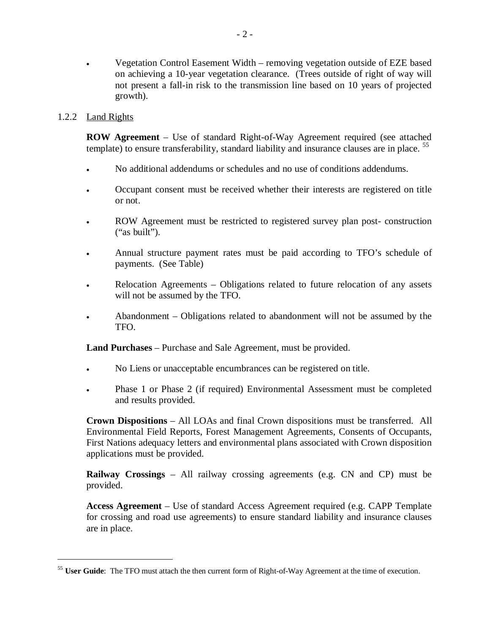• Vegetation Control Easement Width – removing vegetation outside of EZE based on achieving a 10-year vegetation clearance. (Trees outside of right of way will not present a fall-in risk to the transmission line based on 10 years of projected growth).

#### 1.2.2 Land Rights

1

**ROW Agreement** – Use of standard Right-of-Way Agreement required (see attached template) to ensure transferability, standard liability and insurance clauses are in place. <sup>55</sup>

- <sup>x</sup> No additional addendums or schedules and no use of conditions addendums.
- <sup>x</sup> Occupant consent must be received whether their interests are registered on title or not.
- <sup>x</sup> ROW Agreement must be restricted to registered survey plan post- construction ("as built").
- <sup>x</sup> Annual structure payment rates must be paid according to TFO's schedule of payments. (See Table)
- <sup>x</sup> Relocation Agreements Obligations related to future relocation of any assets will not be assumed by the TFO.
- Abandonment Obligations related to abandonment will not be assumed by the TFO.

**Land Purchases** – Purchase and Sale Agreement, must be provided.

- No Liens or unacceptable encumbrances can be registered on title.
- Phase 1 or Phase 2 (if required) Environmental Assessment must be completed and results provided.

**Crown Dispositions** – All LOAs and final Crown dispositions must be transferred. All Environmental Field Reports, Forest Management Agreements, Consents of Occupants, First Nations adequacy letters and environmental plans associated with Crown disposition applications must be provided.

**Railway Crossings** – All railway crossing agreements (e.g. CN and CP) must be provided.

**Access Agreement** – Use of standard Access Agreement required (e.g. CAPP Template for crossing and road use agreements) to ensure standard liability and insurance clauses are in place.

<sup>&</sup>lt;sup>55</sup> **User Guide**: The TFO must attach the then current form of Right-of-Way Agreement at the time of execution.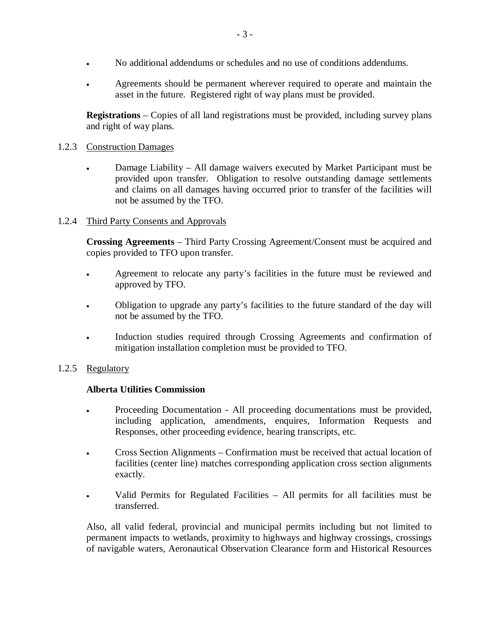- <sup>x</sup> No additional addendums or schedules and no use of conditions addendums.
- Agreements should be permanent wherever required to operate and maintain the asset in the future. Registered right of way plans must be provided.

**Registrations** – Copies of all land registrations must be provided, including survey plans and right of way plans.

#### 1.2.3 Construction Damages

Damage Liability – All damage waivers executed by Market Participant must be provided upon transfer. Obligation to resolve outstanding damage settlements and claims on all damages having occurred prior to transfer of the facilities will not be assumed by the TFO.

#### 1.2.4 Third Party Consents and Approvals

**Crossing Agreements** – Third Party Crossing Agreement/Consent must be acquired and copies provided to TFO upon transfer.

- Agreement to relocate any party's facilities in the future must be reviewed and approved by TFO.
- Obligation to upgrade any party's facilities to the future standard of the day will not be assumed by the TFO.
- Induction studies required through Crossing Agreements and confirmation of mitigation installation completion must be provided to TFO.

#### 1.2.5 Regulatory

#### **Alberta Utilities Commission**

- <sup>x</sup> Proceeding Documentation All proceeding documentations must be provided, including application, amendments, enquires, Information Requests and Responses, other proceeding evidence, hearing transcripts, etc.
- Cross Section Alignments Confirmation must be received that actual location of facilities (center line) matches corresponding application cross section alignments exactly.
- Valid Permits for Regulated Facilities All permits for all facilities must be transferred.

Also, all valid federal, provincial and municipal permits including but not limited to permanent impacts to wetlands, proximity to highways and highway crossings, crossings of navigable waters, Aeronautical Observation Clearance form and Historical Resources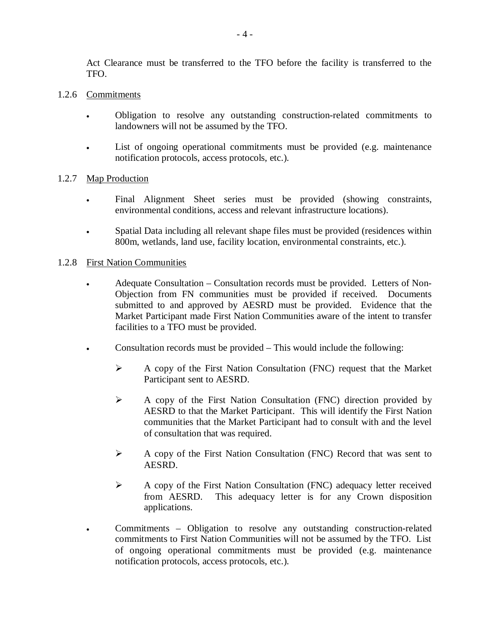Act Clearance must be transferred to the TFO before the facility is transferred to the TFO.

#### 1.2.6 Commitments

- <sup>x</sup> Obligation to resolve any outstanding construction-related commitments to landowners will not be assumed by the TFO.
- <sup>x</sup> List of ongoing operational commitments must be provided (e.g. maintenance notification protocols, access protocols, etc.).

#### 1.2.7 Map Production

- <sup>x</sup> Final Alignment Sheet series must be provided (showing constraints, environmental conditions, access and relevant infrastructure locations).
- Spatial Data including all relevant shape files must be provided (residences within 800m, wetlands, land use, facility location, environmental constraints, etc.).

#### 1.2.8 First Nation Communities

- Adequate Consultation Consultation records must be provided. Letters of Non-Objection from FN communities must be provided if received. Documents submitted to and approved by AESRD must be provided. Evidence that the Market Participant made First Nation Communities aware of the intent to transfer facilities to a TFO must be provided.
- Consultation records must be provided  $-$  This would include the following:
	- ¾ A copy of the First Nation Consultation (FNC) request that the Market Participant sent to AESRD.
	- ¾ A copy of the First Nation Consultation (FNC) direction provided by AESRD to that the Market Participant. This will identify the First Nation communities that the Market Participant had to consult with and the level of consultation that was required.
	- $\triangleright$  A copy of the First Nation Consultation (FNC) Record that was sent to AESRD.
	- ¾ A copy of the First Nation Consultation (FNC) adequacy letter received from AESRD. This adequacy letter is for any Crown disposition applications.
- Commitments Obligation to resolve any outstanding construction-related commitments to First Nation Communities will not be assumed by the TFO. List of ongoing operational commitments must be provided (e.g. maintenance notification protocols, access protocols, etc.).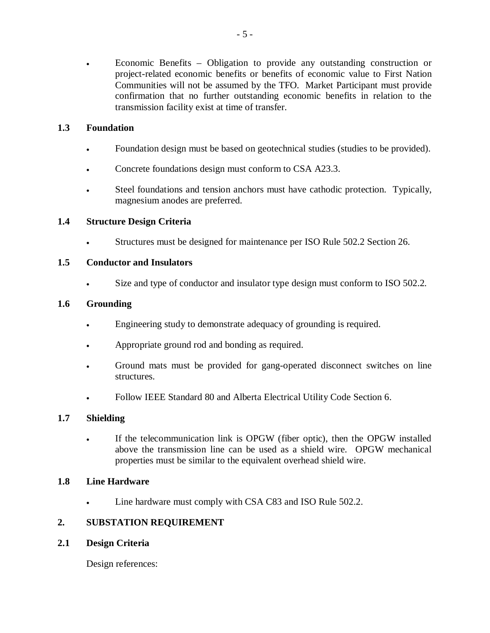Economic Benefits – Obligation to provide any outstanding construction or project-related economic benefits or benefits of economic value to First Nation Communities will not be assumed by the TFO. Market Participant must provide confirmation that no further outstanding economic benefits in relation to the transmission facility exist at time of transfer.

#### **1.3 Foundation**

- Foundation design must be based on geotechnical studies (studies to be provided).
- Concrete foundations design must conform to CSA A23.3.
- ightarrow Steel foundations and tension anchors must have cathodic protection. Typically, magnesium anodes are preferred.

## **1.4 Structure Design Criteria**

**Structures must be designed for maintenance per ISO Rule 502.2 Section 26.** 

#### **1.5 Conductor and Insulators**

Size and type of conductor and insulator type design must conform to ISO 502.2.

#### **1.6 Grounding**

- Engineering study to demonstrate adequacy of grounding is required.
- Appropriate ground rod and bonding as required.
- Ground mats must be provided for gang-operated disconnect switches on line structures.
- Follow IEEE Standard 80 and Alberta Electrical Utility Code Section 6.

#### **1.7 Shielding**

<sup>x</sup> If the telecommunication link is OPGW (fiber optic), then the OPGW installed above the transmission line can be used as a shield wire. OPGW mechanical properties must be similar to the equivalent overhead shield wire.

#### **1.8 Line Hardware**

Line hardware must comply with CSA C83 and ISO Rule 502.2.

## **2. SUBSTATION REQUIREMENT**

**2.1 Design Criteria** 

Design references: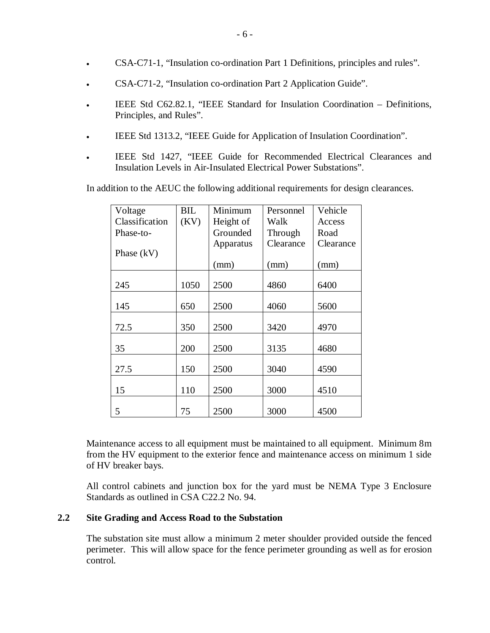- <sup>x</sup> CSA-C71-1, "Insulation co-ordination Part 1 Definitions, principles and rules".
- **EXAM-C71-2, "Insulation co-ordination Part 2 Application Guide".**
- IEEE Std C62.82.1, "IEEE Standard for Insulation Coordination Definitions, Principles, and Rules".
- IEEE Std 1313.2, "IEEE Guide for Application of Insulation Coordination".
- IEEE Std 1427, "IEEE Guide for Recommended Electrical Clearances and Insulation Levels in Air-Insulated Electrical Power Substations".

In addition to the AEUC the following additional requirements for design clearances.

| Voltage        | BIL  | Minimum   | Personnel | Vehicle   |
|----------------|------|-----------|-----------|-----------|
| Classification | (KV) | Height of | Walk      | Access    |
| Phase-to-      |      | Grounded  | Through   | Road      |
|                |      | Apparatus | Clearance | Clearance |
| Phase $(kV)$   |      |           |           |           |
|                |      | (mm)      | (mm)      | (mm)      |
|                |      |           |           |           |
| 245            | 1050 | 2500      | 4860      | 6400      |
|                |      |           |           |           |
| 145            | 650  | 2500      | 4060      | 5600      |
|                |      |           |           |           |
| 72.5           | 350  | 2500      | 3420      | 4970      |
|                |      |           |           |           |
| 35             | 200  | 2500      | 3135      | 4680      |
| 27.5           | 150  | 2500      | 3040      | 4590      |
|                |      |           |           |           |
| 15             | 110  | 2500      | 3000      | 4510      |
|                |      |           |           |           |
| 5              | 75   | 2500      | 3000      | 4500      |

Maintenance access to all equipment must be maintained to all equipment. Minimum 8m from the HV equipment to the exterior fence and maintenance access on minimum 1 side of HV breaker bays.

All control cabinets and junction box for the yard must be NEMA Type 3 Enclosure Standards as outlined in CSA C22.2 No. 94.

#### **2.2 Site Grading and Access Road to the Substation**

The substation site must allow a minimum 2 meter shoulder provided outside the fenced perimeter. This will allow space for the fence perimeter grounding as well as for erosion control.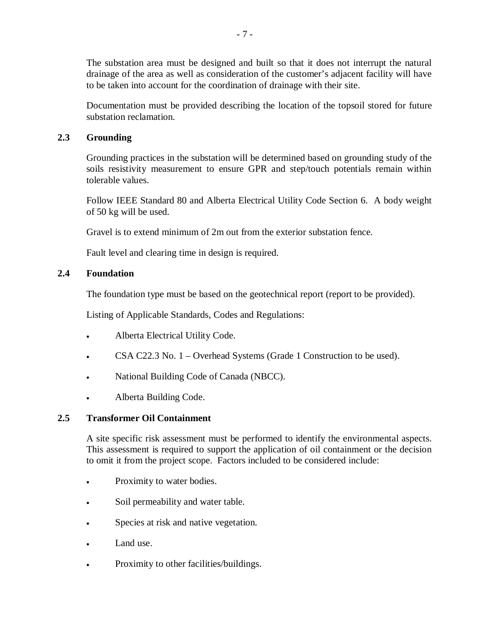The substation area must be designed and built so that it does not interrupt the natural drainage of the area as well as consideration of the customer's adjacent facility will have to be taken into account for the coordination of drainage with their site.

Documentation must be provided describing the location of the topsoil stored for future substation reclamation.

## **2.3 Grounding**

Grounding practices in the substation will be determined based on grounding study of the soils resistivity measurement to ensure GPR and step/touch potentials remain within tolerable values.

Follow IEEE Standard 80 and Alberta Electrical Utility Code Section 6. A body weight of 50 kg will be used.

Gravel is to extend minimum of 2m out from the exterior substation fence.

Fault level and clearing time in design is required.

## **2.4 Foundation**

The foundation type must be based on the geotechnical report (report to be provided).

Listing of Applicable Standards, Codes and Regulations:

- Alberta Electrical Utility Code.
- <sup>x</sup> CSA C22.3 No. 1 Overhead Systems (Grade 1 Construction to be used).
- National Building Code of Canada (NBCC).
- Alberta Building Code.

## **2.5 Transformer Oil Containment**

A site specific risk assessment must be performed to identify the environmental aspects. This assessment is required to support the application of oil containment or the decision to omit it from the project scope. Factors included to be considered include:

- Proximity to water bodies.
- Soil permeability and water table.
- Species at risk and native vegetation.
- Land use.
- Proximity to other facilities/buildings.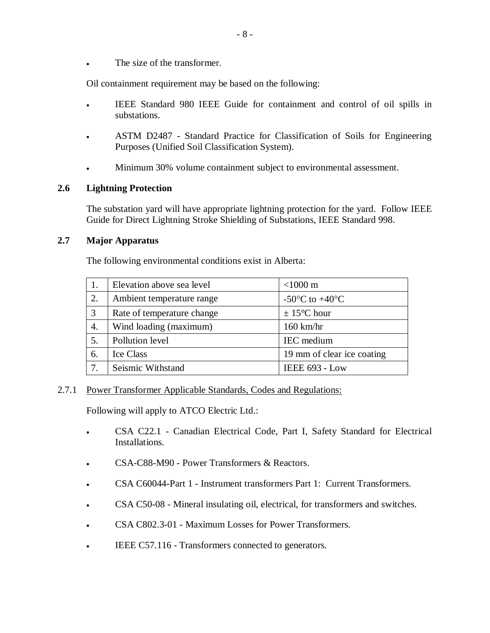• The size of the transformer.

Oil containment requirement may be based on the following:

- IEEE Standard 980 IEEE Guide for containment and control of oil spills in substations.
- <sup>x</sup> ASTM D2487 Standard Practice for Classification of Soils for Engineering Purposes (Unified Soil Classification System).
- Minimum 30% volume containment subject to environmental assessment.

#### **2.6 Lightning Protection**

The substation yard will have appropriate lightning protection for the yard. Follow IEEE Guide for Direct Lightning Stroke Shielding of Substations, IEEE Standard 998.

#### **2.7 Major Apparatus**

The following environmental conditions exist in Alberta:

|    | Elevation above sea level  | $<$ 1000 m                                           |
|----|----------------------------|------------------------------------------------------|
| 2. | Ambient temperature range  | -50 $\mathrm{^{\circ}C}$ to +40 $\mathrm{^{\circ}C}$ |
| 3  | Rate of temperature change | $\pm$ 15 <sup>o</sup> C hour                         |
| 4. | Wind loading (maximum)     | $160$ km/hr                                          |
| 5. | Pollution level            | IEC medium                                           |
| 6. | <b>Ice Class</b>           | 19 mm of clear ice coating                           |
|    | Seismic Withstand          | <b>IEEE 693 - Low</b>                                |

#### 2.7.1 Power Transformer Applicable Standards, Codes and Regulations:

Following will apply to ATCO Electric Ltd.:

- CSA C22.1 Canadian Electrical Code, Part I, Safety Standard for Electrical Installations.
- **EXA-C88-M90 Power Transformers & Reactors.**
- <sup>x</sup> CSA C60044-Part 1 Instrument transformers Part 1: Current Transformers.
- CSA C50-08 Mineral insulating oil, electrical, for transformers and switches.
- CSA C802.3-01 Maximum Losses for Power Transformers.
- EEE C57.116 Transformers connected to generators.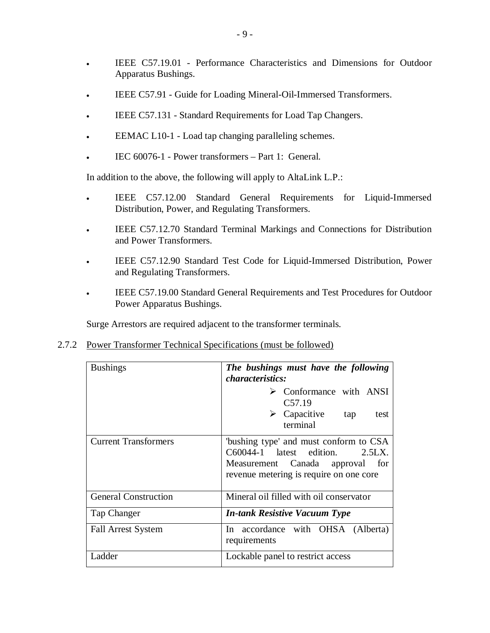- <sup>x</sup> IEEE C57.19.01 Performance Characteristics and Dimensions for Outdoor Apparatus Bushings.
- IEEE C57.91 Guide for Loading Mineral-Oil-Immersed Transformers.
- IEEE C57.131 Standard Requirements for Load Tap Changers.
- EEMAC L10-1 Load tap changing paralleling schemes.
- <sup>x</sup> IEC 60076-1 Power transformers Part 1: General.

In addition to the above, the following will apply to AltaLink L.P.:

- IEEE C57.12.00 Standard General Requirements for Liquid-Immersed Distribution, Power, and Regulating Transformers.
- IEEE C57.12.70 Standard Terminal Markings and Connections for Distribution and Power Transformers.
- IEEE C57.12.90 Standard Test Code for Liquid-Immersed Distribution, Power and Regulating Transformers.
- FIEE C57.19.00 Standard General Requirements and Test Procedures for Outdoor Power Apparatus Bushings.

Surge Arrestors are required adjacent to the transformer terminals.

2.7.2 Power Transformer Technical Specifications (must be followed)

| <b>Bushings</b>             | The bushings must have the following<br><i>characteristics:</i>                                                                                         |  |
|-----------------------------|---------------------------------------------------------------------------------------------------------------------------------------------------------|--|
|                             | $\triangleright$ Conformance with ANSI<br>C57.19<br>$\triangleright$ Capacitive tap<br>test<br>terminal                                                 |  |
| <b>Current Transformers</b> | "bushing type' and must conform to CSA<br>C60044-1 latest edition. 2.5LX.<br>Measurement Canada approval for<br>revenue metering is require on one core |  |
| <b>General Construction</b> | Mineral oil filled with oil conservator                                                                                                                 |  |
| Tap Changer                 | <b>In-tank Resistive Vacuum Type</b>                                                                                                                    |  |
| <b>Fall Arrest System</b>   | In accordance with OHSA (Alberta)<br>requirements                                                                                                       |  |
| Ladder                      | Lockable panel to restrict access                                                                                                                       |  |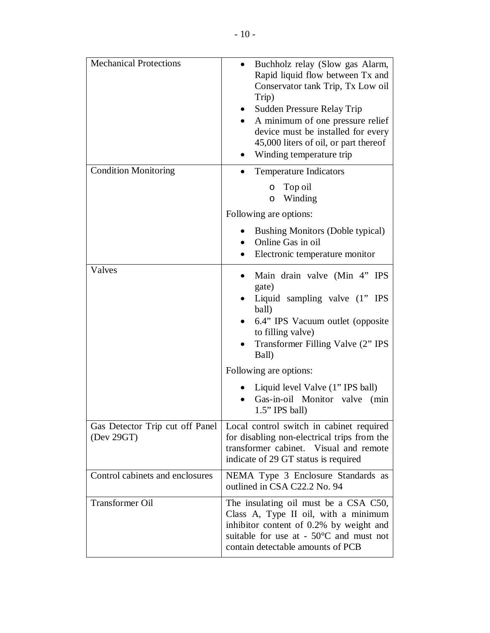| <b>Mechanical Protections</b>                  | Buchholz relay (Slow gas Alarm,<br>$\bullet$<br>Rapid liquid flow between Tx and<br>Conservator tank Trip, Tx Low oil<br>Trip)<br>Sudden Pressure Relay Trip<br>$\bullet$<br>A minimum of one pressure relief<br>device must be installed for every<br>45,000 liters of oil, or part thereof<br>Winding temperature trip |
|------------------------------------------------|--------------------------------------------------------------------------------------------------------------------------------------------------------------------------------------------------------------------------------------------------------------------------------------------------------------------------|
| <b>Condition Monitoring</b>                    | <b>Temperature Indicators</b><br>$\bullet$                                                                                                                                                                                                                                                                               |
|                                                | Top oil<br>O<br>Winding<br>$\circ$                                                                                                                                                                                                                                                                                       |
|                                                | Following are options:                                                                                                                                                                                                                                                                                                   |
|                                                | <b>Bushing Monitors (Doble typical)</b><br>Online Gas in oil<br>$\bullet$<br>Electronic temperature monitor<br>$\bullet$                                                                                                                                                                                                 |
| Valves                                         | Main drain valve (Min 4" IPS<br>$\bullet$<br>gate)<br>Liquid sampling valve (1" IPS<br>ball)<br>6.4" IPS Vacuum outlet (opposite<br>to filling valve)<br>Transformer Filling Valve (2" IPS<br>$\bullet$<br>Ball)                                                                                                         |
|                                                | Following are options:                                                                                                                                                                                                                                                                                                   |
|                                                | Liquid level Valve (1" IPS ball)<br>Gas-in-oil Monitor valve (min<br>$1.5"$ IPS ball)                                                                                                                                                                                                                                    |
| Gas Detector Trip cut off Panel<br>(Dev 29 GT) | Local control switch in cabinet required<br>for disabling non-electrical trips from the<br>transformer cabinet. Visual and remote<br>indicate of 29 GT status is required                                                                                                                                                |
| Control cabinets and enclosures                | NEMA Type 3 Enclosure Standards as<br>outlined in CSA C22.2 No. 94                                                                                                                                                                                                                                                       |
| <b>Transformer Oil</b>                         | The insulating oil must be a CSA C50,<br>Class A, Type II oil, with a minimum<br>inhibitor content of 0.2% by weight and<br>suitable for use at $-50^{\circ}$ C and must not<br>contain detectable amounts of PCB                                                                                                        |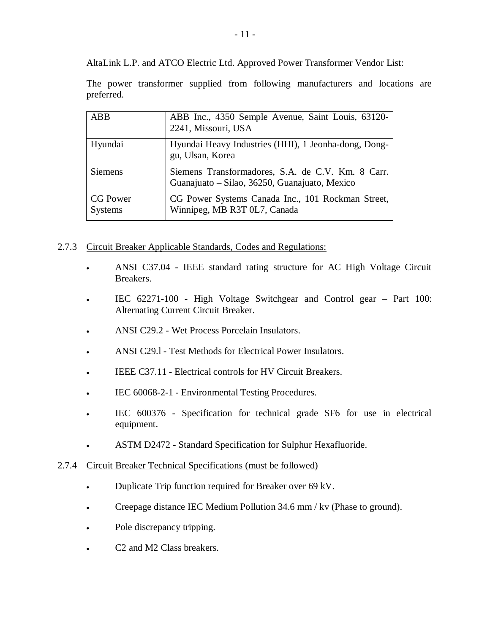AltaLink L.P. and ATCO Electric Ltd. Approved Power Transformer Vendor List:

The power transformer supplied from following manufacturers and locations are preferred.

| ABB             | ABB Inc., 4350 Semple Avenue, Saint Louis, 63120-    |
|-----------------|------------------------------------------------------|
|                 | 2241, Missouri, USA                                  |
| Hyundai         | Hyundai Heavy Industries (HHI), 1 Jeonha-dong, Dong- |
|                 | gu, Ulsan, Korea                                     |
| <b>Siemens</b>  | Siemens Transformadores, S.A. de C.V. Km. 8 Carr.    |
|                 | Guanajuato - Silao, 36250, Guanajuato, Mexico        |
| <b>CG Power</b> | CG Power Systems Canada Inc., 101 Rockman Street,    |
| Systems         | Winnipeg, MB R3T 0L7, Canada                         |
|                 |                                                      |

- 2.7.3 Circuit Breaker Applicable Standards, Codes and Regulations:
	- <sup>x</sup> ANSI C37.04 IEEE standard rating structure for AC High Voltage Circuit Breakers.
	- <sup>x</sup> IEC 62271-100 High Voltage Switchgear and Control gear Part 100: Alternating Current Circuit Breaker.
	- <sup>x</sup> ANSI C29.2 Wet Process Porcelain Insulators.
	- ANSI C29.1 Test Methods for Electrical Power Insulators.
	- IEEE C37.11 Electrical controls for HV Circuit Breakers.
	- IEC 60068-2-1 Environmental Testing Procedures.
	- IEC 600376 Specification for technical grade SF6 for use in electrical equipment.
	- **ASTM D2472 Standard Specification for Sulphur Hexafluoride.**
- 2.7.4 Circuit Breaker Technical Specifications (must be followed)
	- Duplicate Trip function required for Breaker over 69 kV.
	- Creepage distance IEC Medium Pollution 34.6 mm / kv (Phase to ground).
	- Pole discrepancy tripping.
	- C2 and M2 Class breakers.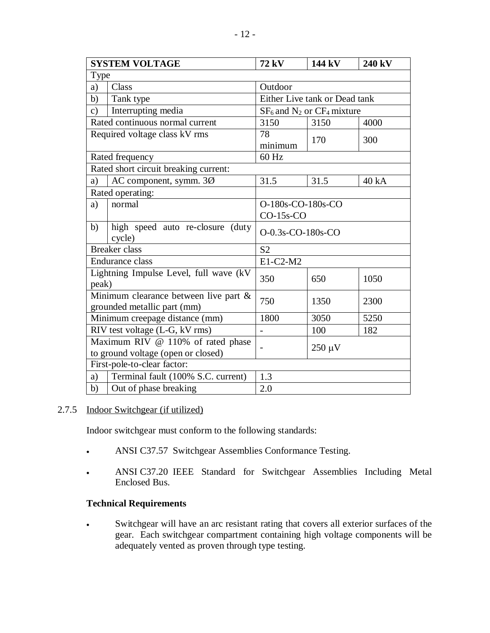| <b>SYSTEM VOLTAGE</b>                                                   |                                                                         | 72 kV                              | 144 kV | 240 kV |
|-------------------------------------------------------------------------|-------------------------------------------------------------------------|------------------------------------|--------|--------|
|                                                                         | Type                                                                    |                                    |        |        |
| a)                                                                      | Class                                                                   | Outdoor                            |        |        |
| b)                                                                      | Tank type                                                               | Either Live tank or Dead tank      |        |        |
| $\mathbf{c})$                                                           | Interrupting media                                                      | $SF_6$ and $N_2$ or $CF_4$ mixture |        |        |
|                                                                         | Rated continuous normal current                                         | 3150                               | 3150   | 4000   |
| Required voltage class kV rms                                           |                                                                         | 78<br>minimum                      | 170    | 300    |
|                                                                         | Rated frequency                                                         | 60 Hz                              |        |        |
| Rated short circuit breaking current:                                   |                                                                         |                                    |        |        |
| a)                                                                      | AC component, symm. 3Ø                                                  | 31.5                               | 31.5   | 40 kA  |
|                                                                         | Rated operating:                                                        |                                    |        |        |
| a)                                                                      | normal                                                                  | O-180s-CO-180s-CO<br>$CO-15s$ -CO  |        |        |
| b)                                                                      | high speed auto re-closure<br>(duty)<br>cycle)                          | $O-0.3s$ -CO-180s-CO               |        |        |
|                                                                         | <b>Breaker</b> class                                                    | S <sub>2</sub>                     |        |        |
|                                                                         | <b>Endurance class</b>                                                  | E1-C2-M2                           |        |        |
| peak)                                                                   | Lightning Impulse Level, full wave (kV                                  | 350                                | 650    | 1050   |
| Minimum clearance between live part $\&$<br>grounded metallic part (mm) |                                                                         | 750                                | 1350   | 2300   |
|                                                                         | Minimum creepage distance (mm)                                          | 1800                               | 3050   | 5250   |
|                                                                         | RIV test voltage (L-G, kV rms)                                          | $\overline{a}$                     | 100    | 182    |
|                                                                         | Maximum RIV @ 110% of rated phase<br>to ground voltage (open or closed) | $250 \mu V$                        |        |        |
| First-pole-to-clear factor:                                             |                                                                         |                                    |        |        |
| a)                                                                      | Terminal fault (100% S.C. current)                                      | 1.3                                |        |        |
| b)                                                                      | Out of phase breaking                                                   | 2.0                                |        |        |

## 2.7.5 Indoor Switchgear (if utilized)

Indoor switchgear must conform to the following standards:

- ANSI C37.57 Switchgear Assemblies Conformance Testing.
- <sup>x</sup> ANSI C37.20 IEEE Standard for Switchgear Assemblies Including Metal Enclosed Bus.

## **Technical Requirements**

<sup>x</sup> Switchgear will have an arc resistant rating that covers all exterior surfaces of the gear. Each switchgear compartment containing high voltage components will be adequately vented as proven through type testing.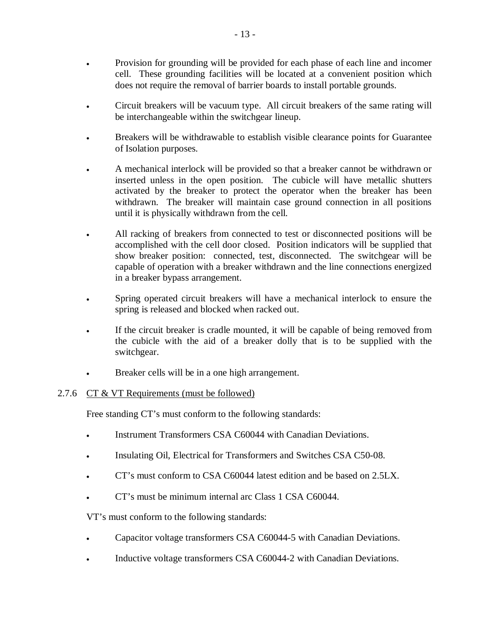- Frovision for grounding will be provided for each phase of each line and incomer cell. These grounding facilities will be located at a convenient position which does not require the removal of barrier boards to install portable grounds.
- Circuit breakers will be vacuum type. All circuit breakers of the same rating will be interchangeable within the switchgear lineup.
- Breakers will be withdrawable to establish visible clearance points for Guarantee of Isolation purposes.
- A mechanical interlock will be provided so that a breaker cannot be withdrawn or inserted unless in the open position. The cubicle will have metallic shutters activated by the breaker to protect the operator when the breaker has been withdrawn. The breaker will maintain case ground connection in all positions until it is physically withdrawn from the cell.
- If All racking of breakers from connected to test or disconnected positions will be accomplished with the cell door closed. Position indicators will be supplied that show breaker position: connected, test, disconnected. The switchgear will be capable of operation with a breaker withdrawn and the line connections energized in a breaker bypass arrangement.
- Spring operated circuit breakers will have a mechanical interlock to ensure the spring is released and blocked when racked out.
- If the circuit breaker is cradle mounted, it will be capable of being removed from the cubicle with the aid of a breaker dolly that is to be supplied with the switchgear.
- Breaker cells will be in a one high arrangement.

## 2.7.6 CT & VT Requirements (must be followed)

Free standing CT's must conform to the following standards:

- Instrument Transformers CSA C60044 with Canadian Deviations.
- Insulating Oil, Electrical for Transformers and Switches CSA C50-08.
- <sup>x</sup> CT's must conform to CSA C60044 latest edition and be based on 2.5LX.
- CT's must be minimum internal arc Class 1 CSA C60044.

VT's must conform to the following standards:

- **Example 3** Capacitor voltage transformers CSA C60044-5 with Canadian Deviations.
- Inductive voltage transformers CSA C60044-2 with Canadian Deviations.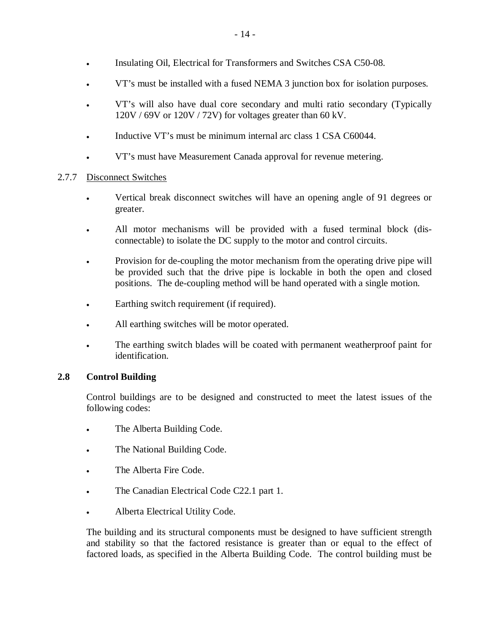- Insulating Oil, Electrical for Transformers and Switches CSA C50-08.
- <sup>x</sup> VT's must be installed with a fused NEMA 3 junction box for isolation purposes.
- <sup>x</sup> VT's will also have dual core secondary and multi ratio secondary (Typically 120V / 69V or 120V / 72V) for voltages greater than 60 kV.
- Inductive VT's must be minimum internal arc class 1 CSA C60044.
- <sup>x</sup> VT's must have Measurement Canada approval for revenue metering.

## 2.7.7 Disconnect Switches

- Vertical break disconnect switches will have an opening angle of 91 degrees or greater.
- All motor mechanisms will be provided with a fused terminal block (disconnectable) to isolate the DC supply to the motor and control circuits.
- Provision for de-coupling the motor mechanism from the operating drive pipe will be provided such that the drive pipe is lockable in both the open and closed positions. The de-coupling method will be hand operated with a single motion.
- Earthing switch requirement (if required).
- All earthing switches will be motor operated.
- The earthing switch blades will be coated with permanent weatherproof paint for identification.

## **2.8 Control Building**

Control buildings are to be designed and constructed to meet the latest issues of the following codes:

- The Alberta Building Code.
- The National Building Code.
- The Alberta Fire Code.
- The Canadian Electrical Code C22.1 part 1.
- Alberta Electrical Utility Code.

The building and its structural components must be designed to have sufficient strength and stability so that the factored resistance is greater than or equal to the effect of factored loads, as specified in the Alberta Building Code. The control building must be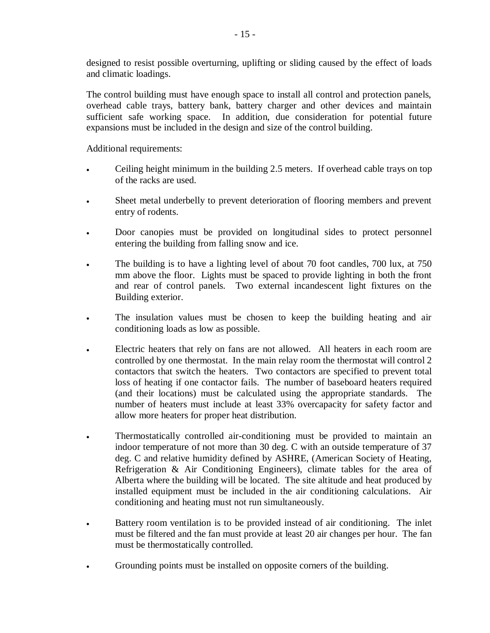designed to resist possible overturning, uplifting or sliding caused by the effect of loads and climatic loadings.

The control building must have enough space to install all control and protection panels, overhead cable trays, battery bank, battery charger and other devices and maintain sufficient safe working space. In addition, due consideration for potential future expansions must be included in the design and size of the control building.

Additional requirements:

- Ceiling height minimum in the building 2.5 meters. If overhead cable trays on top of the racks are used.
- Sheet metal underbelly to prevent deterioration of flooring members and prevent entry of rodents.
- Door canopies must be provided on longitudinal sides to protect personnel entering the building from falling snow and ice.
- The building is to have a lighting level of about 70 foot candles, 700 lux, at 750 mm above the floor. Lights must be spaced to provide lighting in both the front and rear of control panels. Two external incandescent light fixtures on the Building exterior.
- The insulation values must be chosen to keep the building heating and air conditioning loads as low as possible.
- Electric heaters that rely on fans are not allowed. All heaters in each room are controlled by one thermostat. In the main relay room the thermostat will control 2 contactors that switch the heaters. Two contactors are specified to prevent total loss of heating if one contactor fails. The number of baseboard heaters required (and their locations) must be calculated using the appropriate standards. The number of heaters must include at least 33% overcapacity for safety factor and allow more heaters for proper heat distribution.
- <sup>x</sup> Thermostatically controlled air-conditioning must be provided to maintain an indoor temperature of not more than 30 deg. C with an outside temperature of 37 deg. C and relative humidity defined by ASHRE, (American Society of Heating, Refrigeration & Air Conditioning Engineers), climate tables for the area of Alberta where the building will be located. The site altitude and heat produced by installed equipment must be included in the air conditioning calculations. Air conditioning and heating must not run simultaneously.
- <sup>x</sup> Battery room ventilation is to be provided instead of air conditioning. The inlet must be filtered and the fan must provide at least 20 air changes per hour. The fan must be thermostatically controlled.
- Grounding points must be installed on opposite corners of the building.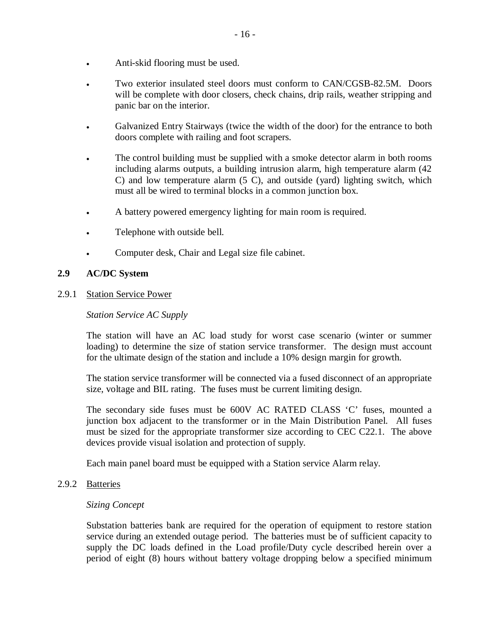- Anti-skid flooring must be used.
- Two exterior insulated steel doors must conform to CAN/CGSB-82.5M. Doors will be complete with door closers, check chains, drip rails, weather stripping and panic bar on the interior.
- Galvanized Entry Stairways (twice the width of the door) for the entrance to both doors complete with railing and foot scrapers.
- The control building must be supplied with a smoke detector alarm in both rooms including alarms outputs, a building intrusion alarm, high temperature alarm (42 C) and low temperature alarm (5 C), and outside (yard) lighting switch, which must all be wired to terminal blocks in a common junction box.
- A battery powered emergency lighting for main room is required.
- Telephone with outside bell.
- Computer desk, Chair and Legal size file cabinet.

#### **2.9 AC/DC System**

#### 2.9.1 Station Service Power

#### *Station Service AC Supply*

The station will have an AC load study for worst case scenario (winter or summer loading) to determine the size of station service transformer. The design must account for the ultimate design of the station and include a 10% design margin for growth.

The station service transformer will be connected via a fused disconnect of an appropriate size, voltage and BIL rating. The fuses must be current limiting design.

The secondary side fuses must be 600V AC RATED CLASS 'C' fuses, mounted a junction box adjacent to the transformer or in the Main Distribution Panel. All fuses must be sized for the appropriate transformer size according to CEC C22.1. The above devices provide visual isolation and protection of supply.

Each main panel board must be equipped with a Station service Alarm relay.

#### 2.9.2 Batteries

#### *Sizing Concept*

Substation batteries bank are required for the operation of equipment to restore station service during an extended outage period. The batteries must be of sufficient capacity to supply the DC loads defined in the Load profile/Duty cycle described herein over a period of eight (8) hours without battery voltage dropping below a specified minimum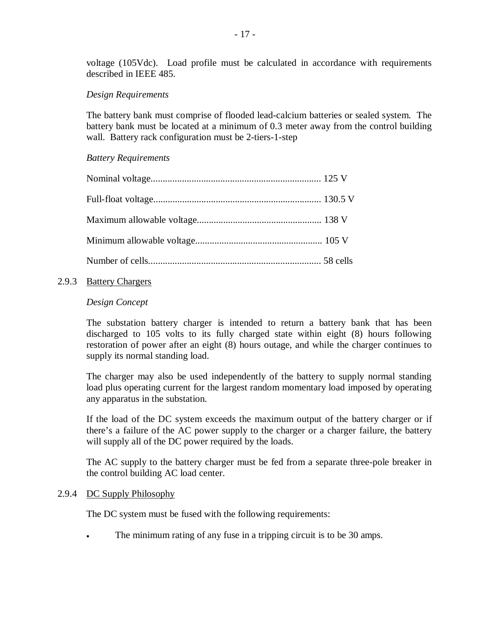voltage (105Vdc). Load profile must be calculated in accordance with requirements described in IEEE 485.

#### *Design Requirements*

The battery bank must comprise of flooded lead-calcium batteries or sealed system. The battery bank must be located at a minimum of 0.3 meter away from the control building wall. Battery rack configuration must be 2-tiers-1-step

#### *Battery Requirements*

#### 2.9.3 Battery Chargers

#### *Design Concept*

The substation battery charger is intended to return a battery bank that has been discharged to 105 volts to its fully charged state within eight (8) hours following restoration of power after an eight (8) hours outage, and while the charger continues to supply its normal standing load.

The charger may also be used independently of the battery to supply normal standing load plus operating current for the largest random momentary load imposed by operating any apparatus in the substation.

If the load of the DC system exceeds the maximum output of the battery charger or if there's a failure of the AC power supply to the charger or a charger failure, the battery will supply all of the DC power required by the loads.

The AC supply to the battery charger must be fed from a separate three-pole breaker in the control building AC load center.

#### 2.9.4 DC Supply Philosophy

The DC system must be fused with the following requirements:

The minimum rating of any fuse in a tripping circuit is to be 30 amps.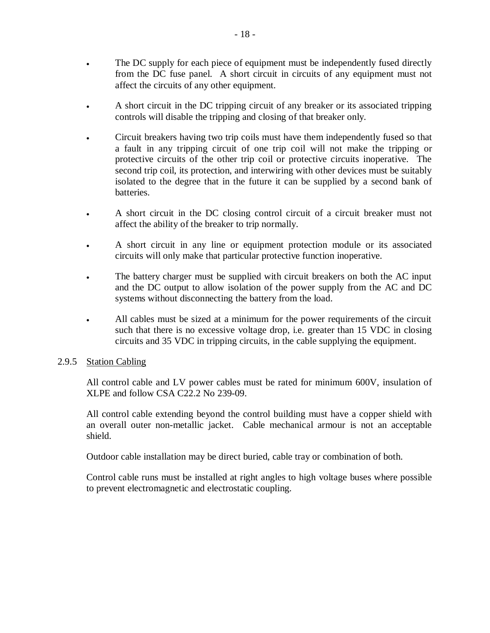- The DC supply for each piece of equipment must be independently fused directly from the DC fuse panel. A short circuit in circuits of any equipment must not affect the circuits of any other equipment.
- A short circuit in the DC tripping circuit of any breaker or its associated tripping controls will disable the tripping and closing of that breaker only.
- <sup>x</sup> Circuit breakers having two trip coils must have them independently fused so that a fault in any tripping circuit of one trip coil will not make the tripping or protective circuits of the other trip coil or protective circuits inoperative. The second trip coil, its protection, and interwiring with other devices must be suitably isolated to the degree that in the future it can be supplied by a second bank of **batteries**
- A short circuit in the DC closing control circuit of a circuit breaker must not affect the ability of the breaker to trip normally.
- A short circuit in any line or equipment protection module or its associated circuits will only make that particular protective function inoperative.
- The battery charger must be supplied with circuit breakers on both the AC input and the DC output to allow isolation of the power supply from the AC and DC systems without disconnecting the battery from the load.
- All cables must be sized at a minimum for the power requirements of the circuit such that there is no excessive voltage drop, i.e. greater than 15 VDC in closing circuits and 35 VDC in tripping circuits, in the cable supplying the equipment.

#### 2.9.5 Station Cabling

All control cable and LV power cables must be rated for minimum 600V, insulation of XLPE and follow CSA C22.2 No 239-09.

All control cable extending beyond the control building must have a copper shield with an overall outer non-metallic jacket. Cable mechanical armour is not an acceptable shield.

Outdoor cable installation may be direct buried, cable tray or combination of both.

Control cable runs must be installed at right angles to high voltage buses where possible to prevent electromagnetic and electrostatic coupling.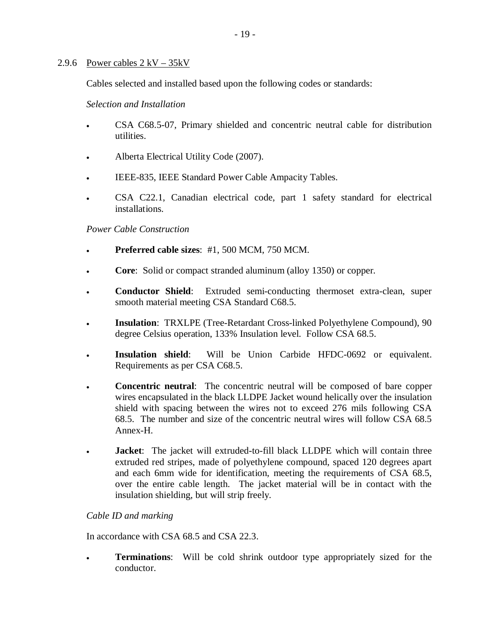#### 2.9.6 Power cables  $2 kV - 35kV$

Cables selected and installed based upon the following codes or standards:

*Selection and Installation* 

- <sup>x</sup> CSA C68.5-07, Primary shielded and concentric neutral cable for distribution utilities.
- Alberta Electrical Utility Code (2007).
- IEEE-835, IEEE Standard Power Cable Ampacity Tables.
- CSA C22.1, Canadian electrical code, part 1 safety standard for electrical installations.

#### *Power Cable Construction*

- <sup>x</sup> **Preferred cable sizes**: #1, 500 MCM, 750 MCM.
- **Core:** Solid or compact stranded aluminum (alloy 1350) or copper.
- **EXECONDER:** Conductor Shield: Extruded semi-conducting thermoset extra-clean, super smooth material meeting CSA Standard C68.5.
- <sup>x</sup> **Insulation**: TRXLPE (Tree-Retardant Cross-linked Polyethylene Compound), 90 degree Celsius operation, 133% Insulation level. Follow CSA 68.5.
- **Fig. Insulation shield**: Will be Union Carbide HFDC-0692 or equivalent. Requirements as per CSA C68.5.
- **Concentric neutral:** The concentric neutral will be composed of bare copper wires encapsulated in the black LLDPE Jacket wound helically over the insulation shield with spacing between the wires not to exceed 276 mils following CSA 68.5. The number and size of the concentric neutral wires will follow CSA 68.5 Annex-H.
- <sup>x</sup> **Jacket**: The jacket will extruded-to-fill black LLDPE which will contain three extruded red stripes, made of polyethylene compound, spaced 120 degrees apart and each 6mm wide for identification, meeting the requirements of CSA 68.5, over the entire cable length. The jacket material will be in contact with the insulation shielding, but will strip freely.

#### *Cable ID and marking*

In accordance with CSA 68.5 and CSA 22.3.

<sup>x</sup> **Terminations**: Will be cold shrink outdoor type appropriately sized for the conductor.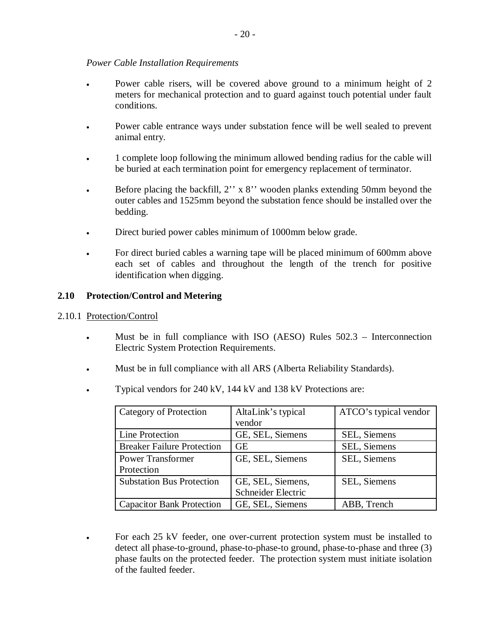#### *Power Cable Installation Requirements*

- Power cable risers, will be covered above ground to a minimum height of 2 meters for mechanical protection and to guard against touch potential under fault conditions.
- Power cable entrance ways under substation fence will be well sealed to prevent animal entry.
- 1 complete loop following the minimum allowed bending radius for the cable will be buried at each termination point for emergency replacement of terminator.
- Before placing the backfill, 2'' x 8'' wooden planks extending 50mm beyond the outer cables and 1525mm beyond the substation fence should be installed over the bedding.
- Direct buried power cables minimum of 1000mm below grade.
- For direct buried cables a warning tape will be placed minimum of 600mm above each set of cables and throughout the length of the trench for positive identification when digging.

#### **2.10 Protection/Control and Metering**

#### 2.10.1 Protection/Control

- Must be in full compliance with ISO (AESO) Rules 502.3 Interconnection Electric System Protection Requirements.
- <sup>x</sup> Must be in full compliance with all ARS (Alberta Reliability Standards).
- <sup>x</sup> Typical vendors for 240 kV, 144 kV and 138 kV Protections are:

| Category of Protection            | AltaLink's typical | ATCO's typical vendor |
|-----------------------------------|--------------------|-----------------------|
|                                   | vendor             |                       |
| Line Protection                   | GE, SEL, Siemens   | SEL, Siemens          |
| <b>Breaker Failure Protection</b> | GЕ                 | SEL, Siemens          |
| <b>Power Transformer</b>          | GE, SEL, Siemens   | SEL, Siemens          |
| Protection                        |                    |                       |
| <b>Substation Bus Protection</b>  | GE, SEL, Siemens,  | SEL, Siemens          |
|                                   | Schneider Electric |                       |
| <b>Capacitor Bank Protection</b>  | GE, SEL, Siemens   | ABB, Trench           |

For each 25 kV feeder, one over-current protection system must be installed to detect all phase-to-ground, phase-to-phase-to ground, phase-to-phase and three (3) phase faults on the protected feeder. The protection system must initiate isolation of the faulted feeder.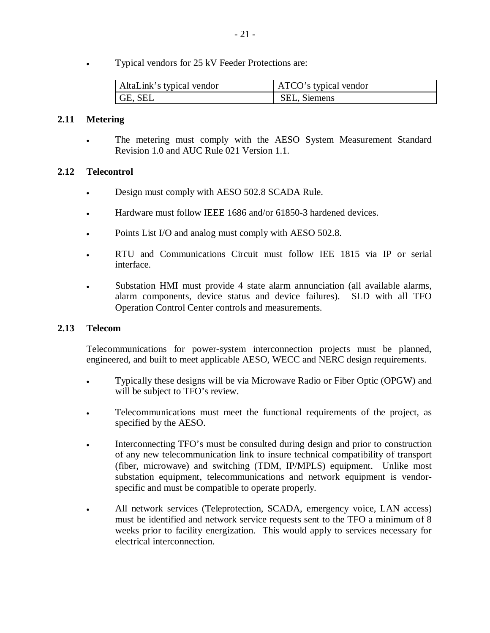Typical vendors for 25 kV Feeder Protections are:

| AltaLink's typical vendor | ATCO's typical vendor |
|---------------------------|-----------------------|
| $\mathsf{G}$ E, SEL       | SEL, Siemens          |

#### **2.11 Metering**

The metering must comply with the AESO System Measurement Standard Revision 1.0 and AUC Rule 021 Version 1.1.

#### **2.12 Telecontrol**

- Design must comply with AESO 502.8 SCADA Rule.
- Hardware must follow IEEE 1686 and/or 61850-3 hardened devices.
- Points List I/O and analog must comply with AESO 502.8.
- <sup>x</sup> RTU and Communications Circuit must follow IEE 1815 via IP or serial interface.
- Substation HMI must provide 4 state alarm annunciation (all available alarms, alarm components, device status and device failures). SLD with all TFO Operation Control Center controls and measurements.

#### **2.13 Telecom**

Telecommunications for power-system interconnection projects must be planned, engineered, and built to meet applicable AESO, WECC and NERC design requirements.

- <sup>x</sup> Typically these designs will be via Microwave Radio or Fiber Optic (OPGW) and will be subject to TFO's review.
- Telecommunications must meet the functional requirements of the project, as specified by the AESO.
- Interconnecting TFO's must be consulted during design and prior to construction of any new telecommunication link to insure technical compatibility of transport (fiber, microwave) and switching (TDM, IP/MPLS) equipment. Unlike most substation equipment, telecommunications and network equipment is vendorspecific and must be compatible to operate properly.
- All network services (Teleprotection, SCADA, emergency voice, LAN access) must be identified and network service requests sent to the TFO a minimum of 8 weeks prior to facility energization. This would apply to services necessary for electrical interconnection.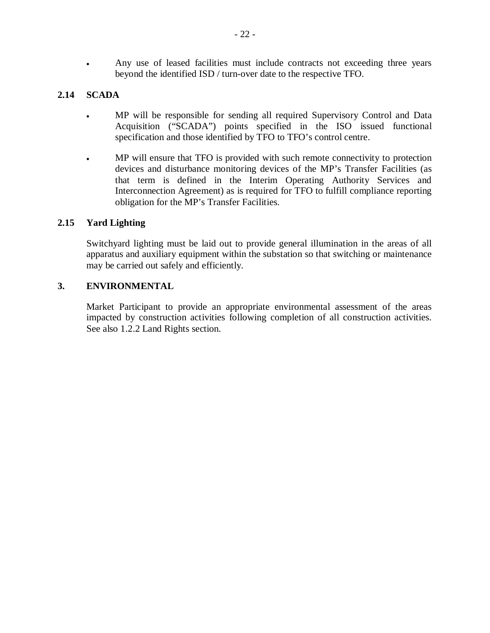Any use of leased facilities must include contracts not exceeding three years beyond the identified ISD / turn-over date to the respective TFO.

# **2.14 SCADA**

- MP will be responsible for sending all required Supervisory Control and Data Acquisition ("SCADA") points specified in the ISO issued functional specification and those identified by TFO to TFO's control centre.
- MP will ensure that TFO is provided with such remote connectivity to protection devices and disturbance monitoring devices of the MP's Transfer Facilities (as that term is defined in the Interim Operating Authority Services and Interconnection Agreement) as is required for TFO to fulfill compliance reporting obligation for the MP's Transfer Facilities.

## **2.15 Yard Lighting**

Switchyard lighting must be laid out to provide general illumination in the areas of all apparatus and auxiliary equipment within the substation so that switching or maintenance may be carried out safely and efficiently.

#### **3. ENVIRONMENTAL**

Market Participant to provide an appropriate environmental assessment of the areas impacted by construction activities following completion of all construction activities. See also 1.2.2 Land Rights section.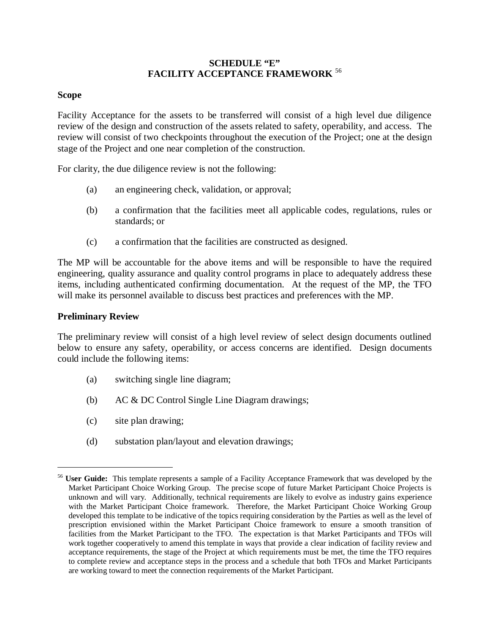#### **SCHEDULE "E" FACILITY ACCEPTANCE FRAMEWORK** <sup>56</sup>

#### **Scope**

Facility Acceptance for the assets to be transferred will consist of a high level due diligence review of the design and construction of the assets related to safety, operability, and access. The review will consist of two checkpoints throughout the execution of the Project; one at the design stage of the Project and one near completion of the construction.

For clarity, the due diligence review is not the following:

- (a) an engineering check, validation, or approval;
- (b) a confirmation that the facilities meet all applicable codes, regulations, rules or standards; or
- (c) a confirmation that the facilities are constructed as designed.

The MP will be accountable for the above items and will be responsible to have the required engineering, quality assurance and quality control programs in place to adequately address these items, including authenticated confirming documentation. At the request of the MP, the TFO will make its personnel available to discuss best practices and preferences with the MP.

#### **Preliminary Review**

1

The preliminary review will consist of a high level review of select design documents outlined below to ensure any safety, operability, or access concerns are identified. Design documents could include the following items:

- (a) switching single line diagram;
- (b) AC & DC Control Single Line Diagram drawings;
- (c) site plan drawing;
- (d) substation plan/layout and elevation drawings;

<sup>56</sup> **User Guide:** This template represents a sample of a Facility Acceptance Framework that was developed by the Market Participant Choice Working Group. The precise scope of future Market Participant Choice Projects is unknown and will vary. Additionally, technical requirements are likely to evolve as industry gains experience with the Market Participant Choice framework. Therefore, the Market Participant Choice Working Group developed this template to be indicative of the topics requiring consideration by the Parties as well as the level of prescription envisioned within the Market Participant Choice framework to ensure a smooth transition of facilities from the Market Participant to the TFO. The expectation is that Market Participants and TFOs will work together cooperatively to amend this template in ways that provide a clear indication of facility review and acceptance requirements, the stage of the Project at which requirements must be met, the time the TFO requires to complete review and acceptance steps in the process and a schedule that both TFOs and Market Participants are working toward to meet the connection requirements of the Market Participant.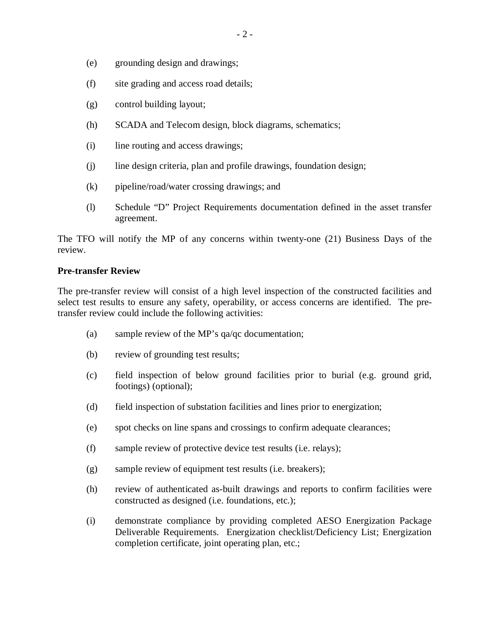- (e) grounding design and drawings;
- (f) site grading and access road details;
- (g) control building layout;
- (h) SCADA and Telecom design, block diagrams, schematics;
- (i) line routing and access drawings;
- (j) line design criteria, plan and profile drawings, foundation design;
- (k) pipeline/road/water crossing drawings; and
- (l) Schedule "D" Project Requirements documentation defined in the asset transfer agreement.

The TFO will notify the MP of any concerns within twenty-one (21) Business Days of the review.

#### **Pre-transfer Review**

The pre-transfer review will consist of a high level inspection of the constructed facilities and select test results to ensure any safety, operability, or access concerns are identified. The pretransfer review could include the following activities:

- (a) sample review of the MP's qa/qc documentation;
- (b) review of grounding test results;
- (c) field inspection of below ground facilities prior to burial (e.g. ground grid, footings) (optional);
- (d) field inspection of substation facilities and lines prior to energization;
- (e) spot checks on line spans and crossings to confirm adequate clearances;
- (f) sample review of protective device test results (i.e. relays);
- (g) sample review of equipment test results (i.e. breakers);
- (h) review of authenticated as-built drawings and reports to confirm facilities were constructed as designed (i.e. foundations, etc.);
- (i) demonstrate compliance by providing completed AESO Energization Package Deliverable Requirements. Energization checklist/Deficiency List; Energization completion certificate, joint operating plan, etc.;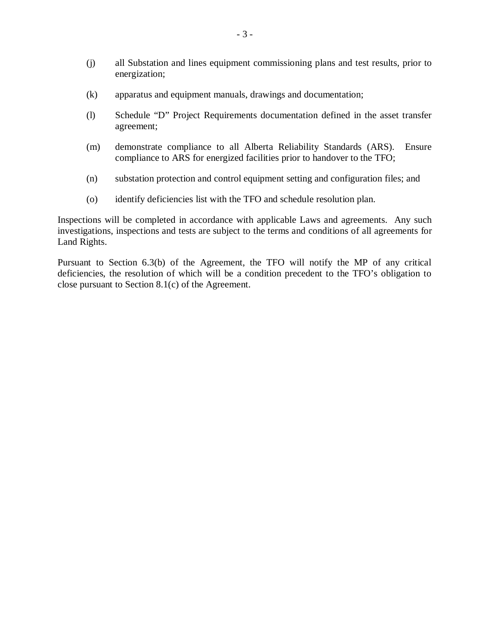- (j) all Substation and lines equipment commissioning plans and test results, prior to energization;
- (k) apparatus and equipment manuals, drawings and documentation;
- (l) Schedule "D" Project Requirements documentation defined in the asset transfer agreement;
- (m) demonstrate compliance to all Alberta Reliability Standards (ARS). Ensure compliance to ARS for energized facilities prior to handover to the TFO;
- (n) substation protection and control equipment setting and configuration files; and
- (o) identify deficiencies list with the TFO and schedule resolution plan.

Inspections will be completed in accordance with applicable Laws and agreements. Any such investigations, inspections and tests are subject to the terms and conditions of all agreements for Land Rights.

Pursuant to Section 6.3(b) of the Agreement, the TFO will notify the MP of any critical deficiencies, the resolution of which will be a condition precedent to the TFO's obligation to close pursuant to Section 8.1(c) of the Agreement.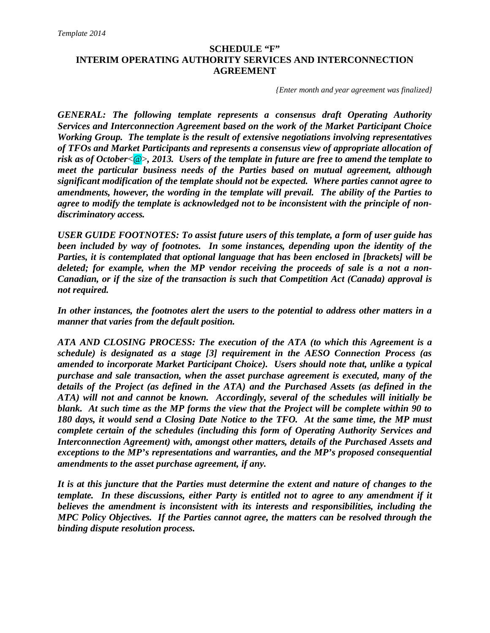# **SCHEDULE "F" INTERIM OPERATING AUTHORITY SERVICES AND INTERCONNECTION AGREEMENT**

*{Enter month and year agreement was finalized}* 

*GENERAL: The following template represents a consensus draft Operating Authority Services and Interconnection Agreement based on the work of the Market Participant Choice Working Group. The template is the result of extensive negotiations involving representatives of TFOs and Market Participants and represents a consensus view of appropriate allocation of risk as of October*<@>*, 2013. Users of the template in future are free to amend the template to meet the particular business needs of the Parties based on mutual agreement, although significant modification of the template should not be expected. Where parties cannot agree to amendments, however, the wording in the template will prevail. The ability of the Parties to agree to modify the template is acknowledged not to be inconsistent with the principle of nondiscriminatory access.* 

*USER GUIDE FOOTNOTES: To assist future users of this template, a form of user guide has been included by way of footnotes. In some instances, depending upon the identity of the Parties, it is contemplated that optional language that has been enclosed in [brackets] will be deleted; for example, when the MP vendor receiving the proceeds of sale is a not a non-Canadian, or if the size of the transaction is such that Competition Act (Canada) approval is not required.* 

*In other instances, the footnotes alert the users to the potential to address other matters in a manner that varies from the default position.* 

*ATA AND CLOSING PROCESS: The execution of the ATA (to which this Agreement is a schedule) is designated as a stage [3] requirement in the AESO Connection Process (as amended to incorporate Market Participant Choice). Users should note that, unlike a typical purchase and sale transaction, when the asset purchase agreement is executed, many of the details of the Project (as defined in the ATA) and the Purchased Assets (as defined in the ATA) will not and cannot be known. Accordingly, several of the schedules will initially be blank. At such time as the MP forms the view that the Project will be complete within 90 to 180 days, it would send a Closing Date Notice to the TFO. At the same time, the MP must complete certain of the schedules (including this form of Operating Authority Services and Interconnection Agreement) with, amongst other matters, details of the Purchased Assets and exceptions to the MP's representations and warranties, and the MP's proposed consequential amendments to the asset purchase agreement, if any.* 

*It is at this juncture that the Parties must determine the extent and nature of changes to the template. In these discussions, either Party is entitled not to agree to any amendment if it believes the amendment is inconsistent with its interests and responsibilities, including the MPC Policy Objectives. If the Parties cannot agree, the matters can be resolved through the binding dispute resolution process.*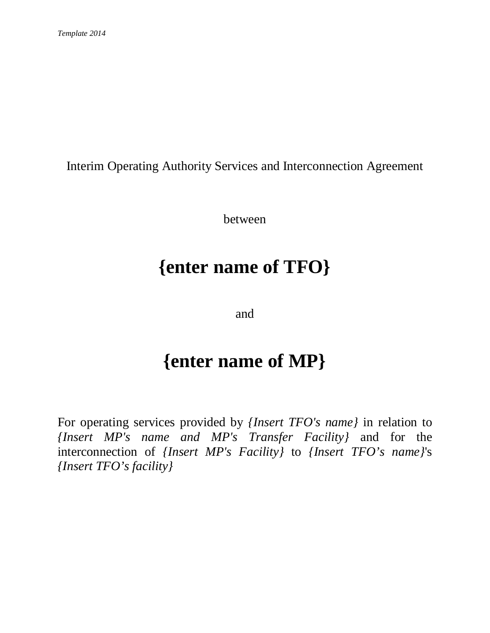Interim Operating Authority Services and Interconnection Agreement

between

# **{enter name of TFO}**

and

# **{enter name of MP}**

For operating services provided by *{Insert TFO's name}* in relation to *{Insert MP's name and MP's Transfer Facility}* and for the interconnection of *{Insert MP's Facility}* to *{Insert TFO's name}*'s *{Insert TFO's facility}*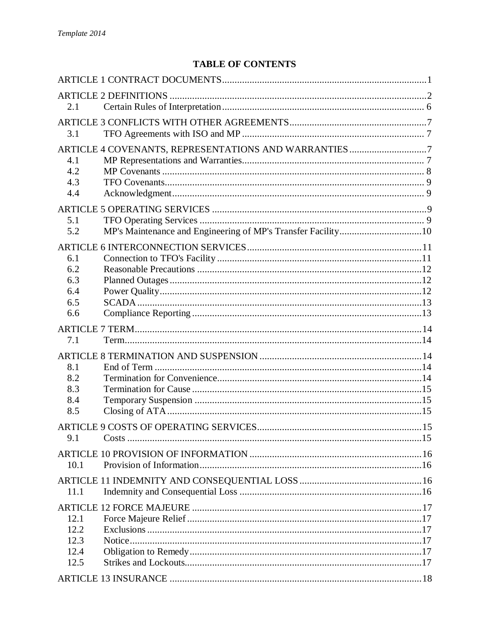# **TABLE OF CONTENTS**

| 2.1          |                                                      |  |
|--------------|------------------------------------------------------|--|
|              |                                                      |  |
| 3.1          |                                                      |  |
|              | ARTICLE 4 COVENANTS, REPRESENTATIONS AND WARRANTIES7 |  |
| 4.1          |                                                      |  |
| 4.2          |                                                      |  |
| 4.3          |                                                      |  |
| 4.4          |                                                      |  |
|              |                                                      |  |
| 5.1          |                                                      |  |
| 5.2          |                                                      |  |
|              |                                                      |  |
| 6.1          |                                                      |  |
| 6.2          |                                                      |  |
| 6.3          |                                                      |  |
| 6.4          |                                                      |  |
| 6.5          |                                                      |  |
| 6.6          |                                                      |  |
|              |                                                      |  |
| 7.1          |                                                      |  |
|              |                                                      |  |
| 8.1          |                                                      |  |
| 8.2          |                                                      |  |
| 8.3          |                                                      |  |
| 8.4          |                                                      |  |
| 8.5          |                                                      |  |
|              |                                                      |  |
| 9.1          |                                                      |  |
|              |                                                      |  |
| 10.1         |                                                      |  |
|              |                                                      |  |
| 11.1         |                                                      |  |
|              |                                                      |  |
|              |                                                      |  |
| 12.1         |                                                      |  |
| 12.2<br>12.3 |                                                      |  |
| 12.4         |                                                      |  |
| 12.5         |                                                      |  |
|              |                                                      |  |
|              |                                                      |  |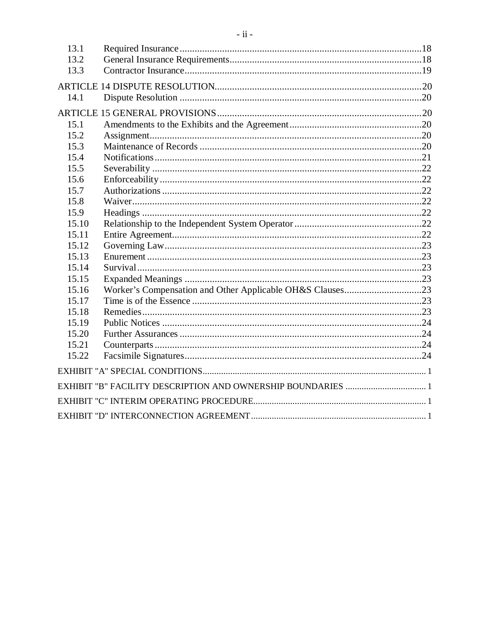| 13.1<br>13.2 |  |
|--------------|--|
| 13.3         |  |
|              |  |
| 14.1         |  |
|              |  |
| 15.1         |  |
| 15.2         |  |
| 15.3         |  |
| 15.4         |  |
| 15.5         |  |
| 15.6         |  |
| 15.7         |  |
| 15.8         |  |
| 15.9         |  |
| 15.10        |  |
| 15.11        |  |
| 15.12        |  |
| 15.13        |  |
| 15.14        |  |
| 15.15        |  |
| 15.16        |  |
| 15.17        |  |
| 15.18        |  |
| 15.19        |  |
| 15.20        |  |
| 15.21        |  |
| 15.22        |  |
|              |  |
|              |  |
|              |  |
|              |  |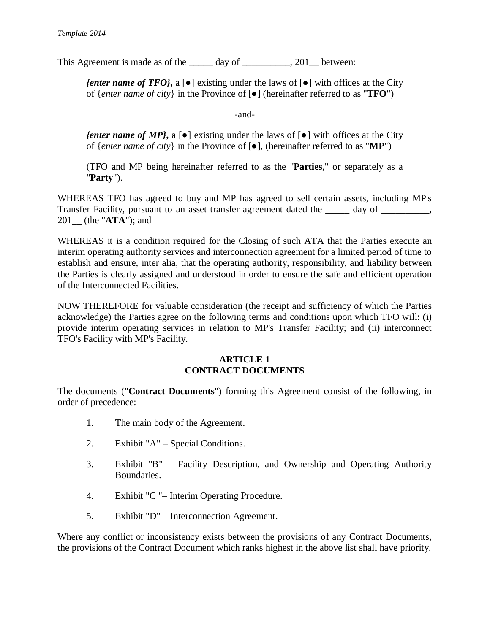This Agreement is made as of the day of the  $\qquad \qquad$ , 201 between:

*{enter name of TFO}*, a [ $\bullet$ ] existing under the laws of  $\lceil \bullet \rceil$  with offices at the City of  $\{enter\ name\ of\ city\}$  in the Province of  $\lceil \bullet \rceil$  (hereinafter referred to as "**TFO**")

-and-

*{enter name of MP}*, a  $[e]$  existing under the laws of  $[e]$  with offices at the City of {*enter name of city*} in the Province of  $\lceil \bullet \rceil$ , (hereinafter referred to as "**MP**")

(TFO and MP being hereinafter referred to as the "**Parties**," or separately as a "**Party**").

WHEREAS TFO has agreed to buy and MP has agreed to sell certain assets, including MP's Transfer Facility, pursuant to an asset transfer agreement dated the \_\_\_\_\_ day of \_\_\_\_\_\_\_\_, 201\_\_ (the "**ATA**"); and

WHEREAS it is a condition required for the Closing of such ATA that the Parties execute an interim operating authority services and interconnection agreement for a limited period of time to establish and ensure, inter alia, that the operating authority, responsibility, and liability between the Parties is clearly assigned and understood in order to ensure the safe and efficient operation of the Interconnected Facilities.

NOW THEREFORE for valuable consideration (the receipt and sufficiency of which the Parties acknowledge) the Parties agree on the following terms and conditions upon which TFO will: (i) provide interim operating services in relation to MP's Transfer Facility; and (ii) interconnect TFO's Facility with MP's Facility.

#### **ARTICLE 1 CONTRACT DOCUMENTS**

The documents ("**Contract Documents**") forming this Agreement consist of the following, in order of precedence:

- 1. The main body of the Agreement.
- 2. Exhibit "A" Special Conditions.
- 3. Exhibit "B" Facility Description, and Ownership and Operating Authority Boundaries.
- 4. Exhibit "C "– Interim Operating Procedure.
- 5. Exhibit "D" Interconnection Agreement.

Where any conflict or inconsistency exists between the provisions of any Contract Documents, the provisions of the Contract Document which ranks highest in the above list shall have priority.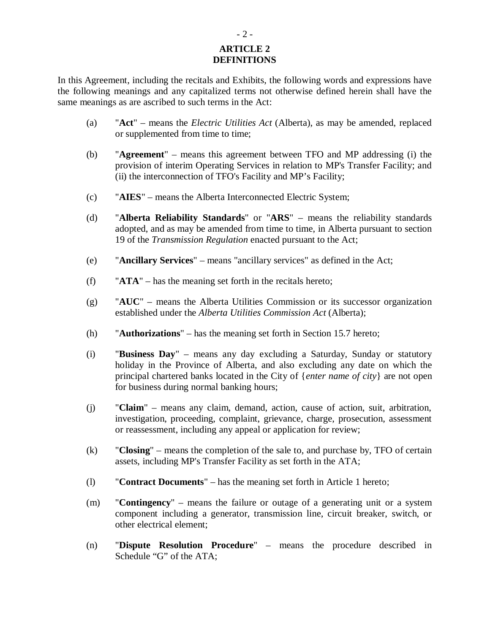#### **ARTICLE 2 DEFINITIONS**

In this Agreement, including the recitals and Exhibits, the following words and expressions have the following meanings and any capitalized terms not otherwise defined herein shall have the same meanings as are ascribed to such terms in the Act:

- (a) "**Act**" means the *Electric Utilities Act* (Alberta), as may be amended, replaced or supplemented from time to time;
- (b) "**Agreement**" means this agreement between TFO and MP addressing (i) the provision of interim Operating Services in relation to MP's Transfer Facility; and (ii) the interconnection of TFO's Facility and MP's Facility;
- (c) "**AIES**" means the Alberta Interconnected Electric System;
- (d) "**Alberta Reliability Standards**" or "**ARS**" means the reliability standards adopted, and as may be amended from time to time, in Alberta pursuant to section 19 of the *Transmission Regulation* enacted pursuant to the Act;
- (e) "**Ancillary Services**" means "ancillary services" as defined in the Act;
- (f) "**ATA**" has the meaning set forth in the recitals hereto;
- (g) "**AUC**" means the Alberta Utilities Commission or its successor organization established under the *Alberta Utilities Commission Act* (Alberta);
- (h) "**Authorizations**" has the meaning set forth in Section 15.7 hereto;
- (i) "**Business Day**" means any day excluding a Saturday, Sunday or statutory holiday in the Province of Alberta, and also excluding any date on which the principal chartered banks located in the City of {*enter name of city*} are not open for business during normal banking hours;
- (j) "**Claim**" means any claim, demand, action, cause of action, suit, arbitration, investigation, proceeding, complaint, grievance, charge, prosecution, assessment or reassessment, including any appeal or application for review;
- (k) "**Closing**" means the completion of the sale to, and purchase by, TFO of certain assets, including MP's Transfer Facility as set forth in the ATA;
- (l) "**Contract Documents**" has the meaning set forth in Article 1 hereto;
- (m) "**Contingency**" means the failure or outage of a generating unit or a system component including a generator, transmission line, circuit breaker, switch, or other electrical element;
- (n) "**Dispute Resolution Procedure**" means the procedure described in Schedule "G" of the ATA;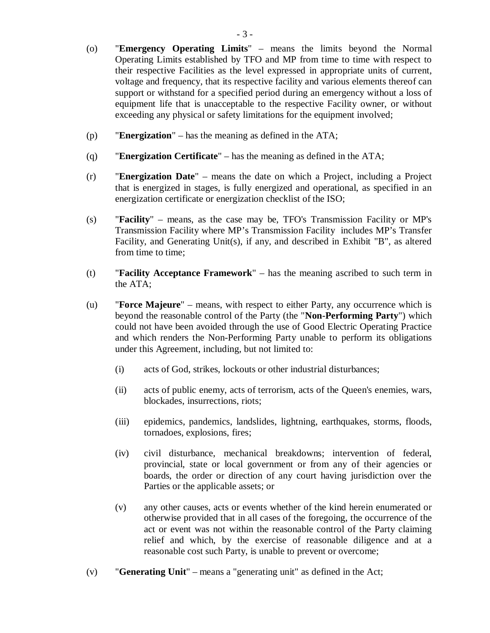- (o) "**Emergency Operating Limits**" means the limits beyond the Normal Operating Limits established by TFO and MP from time to time with respect to their respective Facilities as the level expressed in appropriate units of current, voltage and frequency, that its respective facility and various elements thereof can support or withstand for a specified period during an emergency without a loss of equipment life that is unacceptable to the respective Facility owner, or without exceeding any physical or safety limitations for the equipment involved;
- (p) "**Energization**" has the meaning as defined in the ATA;
- (q) "**Energization Certificate**" has the meaning as defined in the ATA;
- (r) "**Energization Date**" means the date on which a Project, including a Project that is energized in stages, is fully energized and operational, as specified in an energization certificate or energization checklist of the ISO;
- (s) "**Facility**" means, as the case may be, TFO's Transmission Facility or MP's Transmission Facility where MP's Transmission Facility includes MP's Transfer Facility, and Generating Unit(s), if any, and described in Exhibit "B", as altered from time to time;
- (t) "**Facility Acceptance Framework**" has the meaning ascribed to such term in the ATA;
- (u) "**Force Majeure**" means, with respect to either Party, any occurrence which is beyond the reasonable control of the Party (the "**Non-Performing Party**") which could not have been avoided through the use of Good Electric Operating Practice and which renders the Non-Performing Party unable to perform its obligations under this Agreement, including, but not limited to:
	- (i) acts of God, strikes, lockouts or other industrial disturbances;
	- (ii) acts of public enemy, acts of terrorism, acts of the Queen's enemies, wars, blockades, insurrections, riots;
	- (iii) epidemics, pandemics, landslides, lightning, earthquakes, storms, floods, tornadoes, explosions, fires;
	- (iv) civil disturbance, mechanical breakdowns; intervention of federal, provincial, state or local government or from any of their agencies or boards, the order or direction of any court having jurisdiction over the Parties or the applicable assets; or
	- (v) any other causes, acts or events whether of the kind herein enumerated or otherwise provided that in all cases of the foregoing, the occurrence of the act or event was not within the reasonable control of the Party claiming relief and which, by the exercise of reasonable diligence and at a reasonable cost such Party, is unable to prevent or overcome;
- (v) "**Generating Unit**" means a "generating unit" as defined in the Act;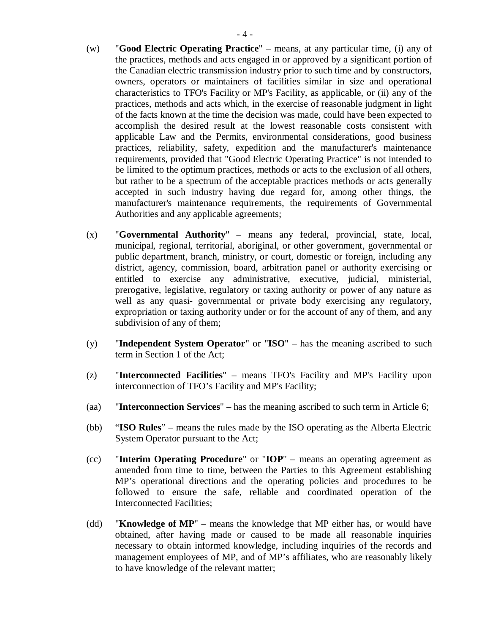- (w) "**Good Electric Operating Practice**" means, at any particular time, (i) any of the practices, methods and acts engaged in or approved by a significant portion of the Canadian electric transmission industry prior to such time and by constructors, owners, operators or maintainers of facilities similar in size and operational characteristics to TFO's Facility or MP's Facility, as applicable, or (ii) any of the practices, methods and acts which, in the exercise of reasonable judgment in light of the facts known at the time the decision was made, could have been expected to accomplish the desired result at the lowest reasonable costs consistent with applicable Law and the Permits, environmental considerations, good business practices, reliability, safety, expedition and the manufacturer's maintenance requirements, provided that "Good Electric Operating Practice" is not intended to be limited to the optimum practices, methods or acts to the exclusion of all others, but rather to be a spectrum of the acceptable practices methods or acts generally accepted in such industry having due regard for, among other things, the manufacturer's maintenance requirements, the requirements of Governmental Authorities and any applicable agreements;
- (x) "**Governmental Authority**" means any federal, provincial, state, local, municipal, regional, territorial, aboriginal, or other government, governmental or public department, branch, ministry, or court, domestic or foreign, including any district, agency, commission, board, arbitration panel or authority exercising or entitled to exercise any administrative, executive, judicial, ministerial, prerogative, legislative, regulatory or taxing authority or power of any nature as well as any quasi- governmental or private body exercising any regulatory, expropriation or taxing authority under or for the account of any of them, and any subdivision of any of them;
- (y) "**Independent System Operator**" or "**ISO**" has the meaning ascribed to such term in Section 1 of the Act;
- (z) "**Interconnected Facilities**" means TFO's Facility and MP's Facility upon interconnection of TFO's Facility and MP's Facility;
- (aa) "**Interconnection Services**" has the meaning ascribed to such term in Article 6;
- (bb) "**ISO Rules**" means the rules made by the ISO operating as the Alberta Electric System Operator pursuant to the Act;
- (cc) "**Interim Operating Procedure**" or "**IOP**" means an operating agreement as amended from time to time, between the Parties to this Agreement establishing MP's operational directions and the operating policies and procedures to be followed to ensure the safe, reliable and coordinated operation of the Interconnected Facilities;
- (dd) "**Knowledge of MP**" means the knowledge that MP either has, or would have obtained, after having made or caused to be made all reasonable inquiries necessary to obtain informed knowledge, including inquiries of the records and management employees of MP, and of MP's affiliates, who are reasonably likely to have knowledge of the relevant matter;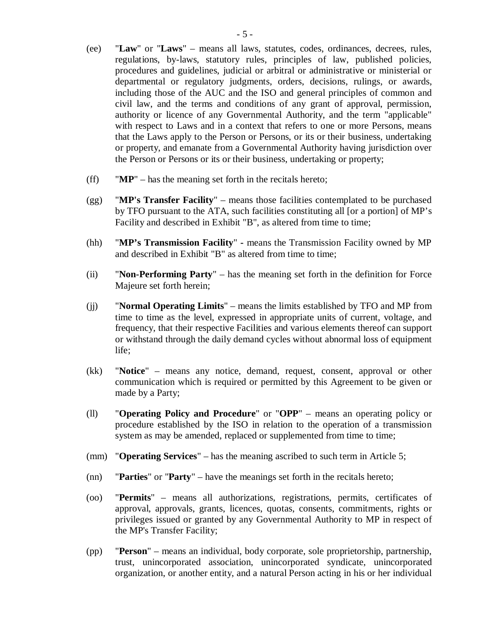- (ee) "**Law**" or "**Laws**" means all laws, statutes, codes, ordinances, decrees, rules, regulations, by-laws, statutory rules, principles of law, published policies, procedures and guidelines, judicial or arbitral or administrative or ministerial or departmental or regulatory judgments, orders, decisions, rulings, or awards, including those of the AUC and the ISO and general principles of common and civil law, and the terms and conditions of any grant of approval, permission, authority or licence of any Governmental Authority, and the term "applicable" with respect to Laws and in a context that refers to one or more Persons, means that the Laws apply to the Person or Persons, or its or their business, undertaking or property, and emanate from a Governmental Authority having jurisdiction over the Person or Persons or its or their business, undertaking or property;
- (ff) "**MP**" has the meaning set forth in the recitals hereto;
- (gg) "**MP's Transfer Facility**" means those facilities contemplated to be purchased by TFO pursuant to the ATA, such facilities constituting all [or a portion] of MP's Facility and described in Exhibit "B", as altered from time to time;
- (hh) "**MP's Transmission Facility**"means the Transmission Facility owned by MP and described in Exhibit "B" as altered from time to time;
- (ii) "**Non-Performing Party**" has the meaning set forth in the definition for Force Majeure set forth herein;
- (jj) "**Normal Operating Limits**" means the limits established by TFO and MP from time to time as the level, expressed in appropriate units of current, voltage, and frequency, that their respective Facilities and various elements thereof can support or withstand through the daily demand cycles without abnormal loss of equipment life;
- (kk) "**Notice**" means any notice, demand, request, consent, approval or other communication which is required or permitted by this Agreement to be given or made by a Party;
- (ll) "**Operating Policy and Procedure**" or "**OPP**" means an operating policy or procedure established by the ISO in relation to the operation of a transmission system as may be amended, replaced or supplemented from time to time;
- (mm) "**Operating Services**" has the meaning ascribed to such term in Article 5;
- (nn) "**Parties**" or "**Party**" have the meanings set forth in the recitals hereto;
- (oo) "**Permits**" means all authorizations, registrations, permits, certificates of approval, approvals, grants, licences, quotas, consents, commitments, rights or privileges issued or granted by any Governmental Authority to MP in respect of the MP's Transfer Facility;
- (pp) "**Person**" means an individual, body corporate, sole proprietorship, partnership, trust, unincorporated association, unincorporated syndicate, unincorporated organization, or another entity, and a natural Person acting in his or her individual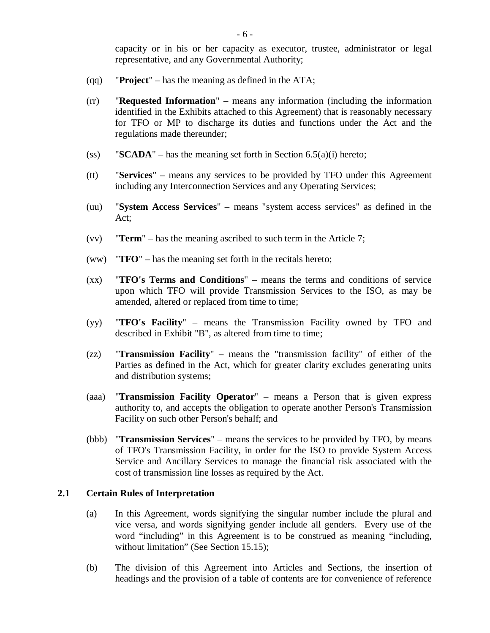capacity or in his or her capacity as executor, trustee, administrator or legal representative, and any Governmental Authority;

- (qq) "**Project**" has the meaning as defined in the ATA;
- (rr) "**Requested Information**" means any information (including the information identified in the Exhibits attached to this Agreement) that is reasonably necessary for TFO or MP to discharge its duties and functions under the Act and the regulations made thereunder;
- (ss) **"SCADA"** has the meaning set forth in Section 6.5(a)(i) hereto;
- (tt) "**Services**" means any services to be provided by TFO under this Agreement including any Interconnection Services and any Operating Services;
- (uu) "**System Access Services**" means "system access services" as defined in the Act;
- (vv) "**Term**" has the meaning ascribed to such term in the Article 7;
- (ww) "**TFO**" has the meaning set forth in the recitals hereto;
- (xx) "**TFO's Terms and Conditions**" means the terms and conditions of service upon which TFO will provide Transmission Services to the ISO, as may be amended, altered or replaced from time to time;
- (yy) "**TFO's Facility**" means the Transmission Facility owned by TFO and described in Exhibit "B", as altered from time to time;
- (zz) "**Transmission Facility**" means the "transmission facility" of either of the Parties as defined in the Act, which for greater clarity excludes generating units and distribution systems;
- (aaa) "**Transmission Facility Operator**" means a Person that is given express authority to, and accepts the obligation to operate another Person's Transmission Facility on such other Person's behalf; and
- (bbb) "**Transmission Services**" means the services to be provided by TFO, by means of TFO's Transmission Facility, in order for the ISO to provide System Access Service and Ancillary Services to manage the financial risk associated with the cost of transmission line losses as required by the Act.

## **2.1 Certain Rules of Interpretation**

- (a) In this Agreement, words signifying the singular number include the plural and vice versa, and words signifying gender include all genders. Every use of the word "including" in this Agreement is to be construed as meaning "including, without limitation" (See Section 15.15);
- (b) The division of this Agreement into Articles and Sections, the insertion of headings and the provision of a table of contents are for convenience of reference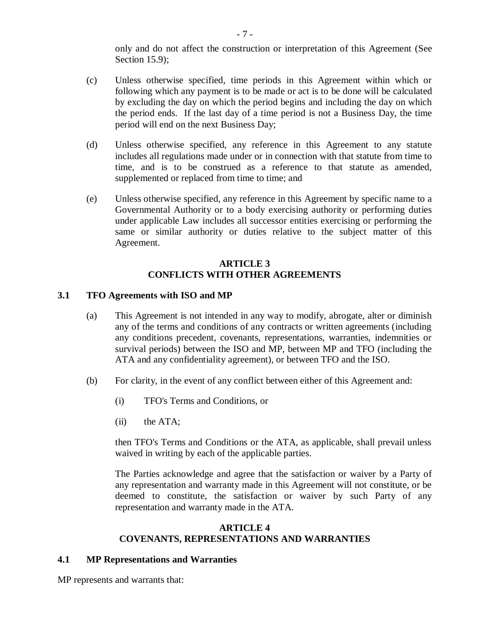only and do not affect the construction or interpretation of this Agreement (See Section 15.9);

- (c) Unless otherwise specified, time periods in this Agreement within which or following which any payment is to be made or act is to be done will be calculated by excluding the day on which the period begins and including the day on which the period ends. If the last day of a time period is not a Business Day, the time period will end on the next Business Day;
- (d) Unless otherwise specified, any reference in this Agreement to any statute includes all regulations made under or in connection with that statute from time to time, and is to be construed as a reference to that statute as amended, supplemented or replaced from time to time; and
- (e) Unless otherwise specified, any reference in this Agreement by specific name to a Governmental Authority or to a body exercising authority or performing duties under applicable Law includes all successor entities exercising or performing the same or similar authority or duties relative to the subject matter of this Agreement.

# **ARTICLE 3 CONFLICTS WITH OTHER AGREEMENTS**

#### **3.1 TFO Agreements with ISO and MP**

- (a) This Agreement is not intended in any way to modify, abrogate, alter or diminish any of the terms and conditions of any contracts or written agreements (including any conditions precedent, covenants, representations, warranties, indemnities or survival periods) between the ISO and MP, between MP and TFO (including the ATA and any confidentiality agreement), or between TFO and the ISO.
- (b) For clarity, in the event of any conflict between either of this Agreement and:
	- (i) TFO's Terms and Conditions, or
	- (ii) the ATA;

then TFO's Terms and Conditions or the ATA, as applicable, shall prevail unless waived in writing by each of the applicable parties.

The Parties acknowledge and agree that the satisfaction or waiver by a Party of any representation and warranty made in this Agreement will not constitute, or be deemed to constitute, the satisfaction or waiver by such Party of any representation and warranty made in the ATA.

### **ARTICLE 4 COVENANTS, REPRESENTATIONS AND WARRANTIES**

#### **4.1 MP Representations and Warranties**

MP represents and warrants that: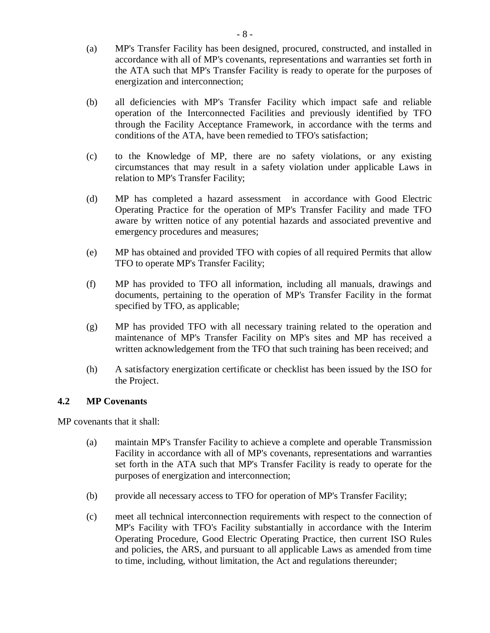- (a) MP's Transfer Facility has been designed, procured, constructed, and installed in accordance with all of MP's covenants, representations and warranties set forth in the ATA such that MP's Transfer Facility is ready to operate for the purposes of energization and interconnection;
- (b) all deficiencies with MP's Transfer Facility which impact safe and reliable operation of the Interconnected Facilities and previously identified by TFO through the Facility Acceptance Framework, in accordance with the terms and conditions of the ATA, have been remedied to TFO's satisfaction;
- (c) to the Knowledge of MP, there are no safety violations, or any existing circumstances that may result in a safety violation under applicable Laws in relation to MP's Transfer Facility;
- (d) MP has completed a hazard assessment in accordance with Good Electric Operating Practice for the operation of MP's Transfer Facility and made TFO aware by written notice of any potential hazards and associated preventive and emergency procedures and measures;
- (e) MP has obtained and provided TFO with copies of all required Permits that allow TFO to operate MP's Transfer Facility;
- (f) MP has provided to TFO all information, including all manuals, drawings and documents, pertaining to the operation of MP's Transfer Facility in the format specified by TFO, as applicable;
- (g) MP has provided TFO with all necessary training related to the operation and maintenance of MP's Transfer Facility on MP's sites and MP has received a written acknowledgement from the TFO that such training has been received; and
- (h) A satisfactory energization certificate or checklist has been issued by the ISO for the Project.

# **4.2 MP Covenants**

MP covenants that it shall:

- (a) maintain MP's Transfer Facility to achieve a complete and operable Transmission Facility in accordance with all of MP's covenants, representations and warranties set forth in the ATA such that MP's Transfer Facility is ready to operate for the purposes of energization and interconnection;
- (b) provide all necessary access to TFO for operation of MP's Transfer Facility;
- (c) meet all technical interconnection requirements with respect to the connection of MP's Facility with TFO's Facility substantially in accordance with the Interim Operating Procedure, Good Electric Operating Practice, then current ISO Rules and policies, the ARS, and pursuant to all applicable Laws as amended from time to time, including, without limitation, the Act and regulations thereunder;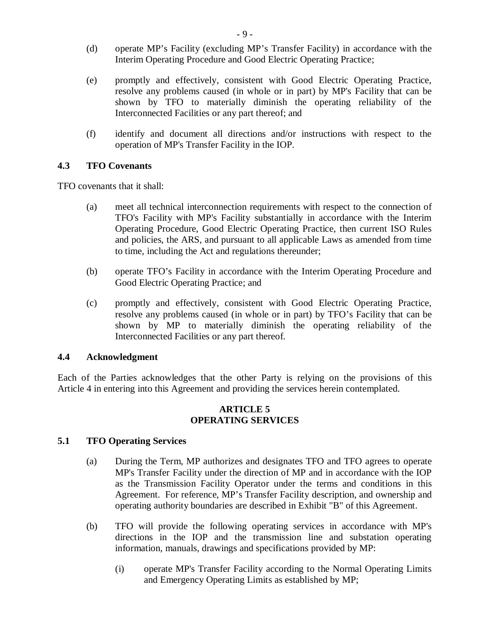- (d) operate MP's Facility (excluding MP's Transfer Facility) in accordance with the Interim Operating Procedure and Good Electric Operating Practice;
- (e) promptly and effectively, consistent with Good Electric Operating Practice, resolve any problems caused (in whole or in part) by MP's Facility that can be shown by TFO to materially diminish the operating reliability of the Interconnected Facilities or any part thereof; and
- (f) identify and document all directions and/or instructions with respect to the operation of MP's Transfer Facility in the IOP.

### **4.3 TFO Covenants**

TFO covenants that it shall:

- (a) meet all technical interconnection requirements with respect to the connection of TFO's Facility with MP's Facility substantially in accordance with the Interim Operating Procedure, Good Electric Operating Practice, then current ISO Rules and policies, the ARS, and pursuant to all applicable Laws as amended from time to time, including the Act and regulations thereunder;
- (b) operate TFO's Facility in accordance with the Interim Operating Procedure and Good Electric Operating Practice; and
- (c) promptly and effectively, consistent with Good Electric Operating Practice, resolve any problems caused (in whole or in part) by TFO's Facility that can be shown by MP to materially diminish the operating reliability of the Interconnected Facilities or any part thereof.

#### **4.4 Acknowledgment**

Each of the Parties acknowledges that the other Party is relying on the provisions of this Article 4 in entering into this Agreement and providing the services herein contemplated.

#### **ARTICLE 5 OPERATING SERVICES**

### **5.1 TFO Operating Services**

- (a) During the Term, MP authorizes and designates TFO and TFO agrees to operate MP's Transfer Facility under the direction of MP and in accordance with the IOP as the Transmission Facility Operator under the terms and conditions in this Agreement. For reference, MP's Transfer Facility description, and ownership and operating authority boundaries are described in Exhibit "B" of this Agreement.
- (b) TFO will provide the following operating services in accordance with MP's directions in the IOP and the transmission line and substation operating information, manuals, drawings and specifications provided by MP:
	- (i) operate MP's Transfer Facility according to the Normal Operating Limits and Emergency Operating Limits as established by MP;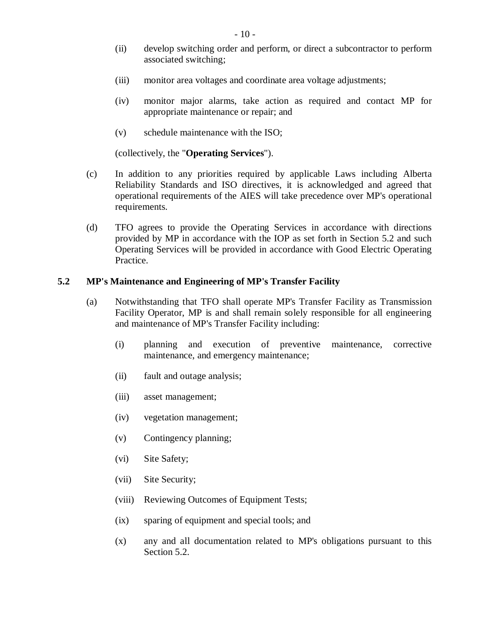- (ii) develop switching order and perform, or direct a subcontractor to perform associated switching;
- (iii) monitor area voltages and coordinate area voltage adjustments;
- (iv) monitor major alarms, take action as required and contact MP for appropriate maintenance or repair; and
- (v) schedule maintenance with the ISO;

(collectively, the "**Operating Services**").

- (c) In addition to any priorities required by applicable Laws including Alberta Reliability Standards and ISO directives, it is acknowledged and agreed that operational requirements of the AIES will take precedence over MP's operational requirements.
- (d) TFO agrees to provide the Operating Services in accordance with directions provided by MP in accordance with the IOP as set forth in Section 5.2 and such Operating Services will be provided in accordance with Good Electric Operating Practice.

### **5.2 MP's Maintenance and Engineering of MP's Transfer Facility**

- (a) Notwithstanding that TFO shall operate MP's Transfer Facility as Transmission Facility Operator, MP is and shall remain solely responsible for all engineering and maintenance of MP's Transfer Facility including:
	- (i) planning and execution of preventive maintenance, corrective maintenance, and emergency maintenance;
	- (ii) fault and outage analysis;
	- (iii) asset management;
	- (iv) vegetation management;
	- (v) Contingency planning;
	- (vi) Site Safety;
	- (vii) Site Security;
	- (viii) Reviewing Outcomes of Equipment Tests;
	- (ix) sparing of equipment and special tools; and
	- (x) any and all documentation related to MP's obligations pursuant to this Section 5.2.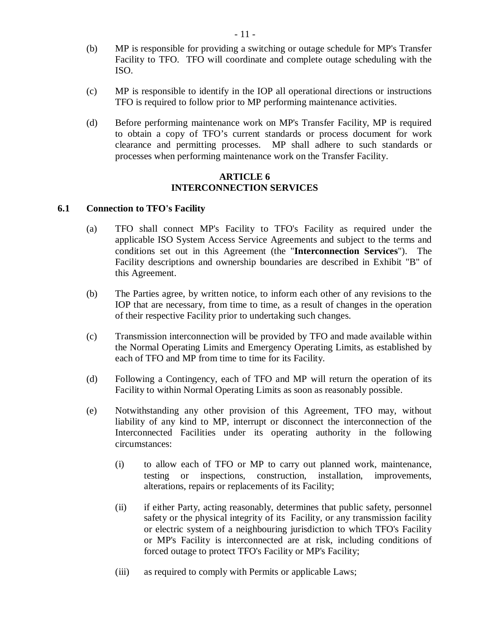- (b) MP is responsible for providing a switching or outage schedule for MP's Transfer Facility to TFO. TFO will coordinate and complete outage scheduling with the ISO.
- (c) MP is responsible to identify in the IOP all operational directions or instructions TFO is required to follow prior to MP performing maintenance activities.
- (d) Before performing maintenance work on MP's Transfer Facility, MP is required to obtain a copy of TFO's current standards or process document for work clearance and permitting processes. MP shall adhere to such standards or processes when performing maintenance work on the Transfer Facility.

## **ARTICLE 6 INTERCONNECTION SERVICES**

### **6.1 Connection to TFO's Facility**

- (a) TFO shall connect MP's Facility to TFO's Facility as required under the applicable ISO System Access Service Agreements and subject to the terms and conditions set out in this Agreement (the "**Interconnection Services**"). The Facility descriptions and ownership boundaries are described in Exhibit "B" of this Agreement.
- (b) The Parties agree, by written notice, to inform each other of any revisions to the IOP that are necessary, from time to time, as a result of changes in the operation of their respective Facility prior to undertaking such changes.
- (c) Transmission interconnection will be provided by TFO and made available within the Normal Operating Limits and Emergency Operating Limits, as established by each of TFO and MP from time to time for its Facility.
- (d) Following a Contingency, each of TFO and MP will return the operation of its Facility to within Normal Operating Limits as soon as reasonably possible.
- (e) Notwithstanding any other provision of this Agreement, TFO may, without liability of any kind to MP, interrupt or disconnect the interconnection of the Interconnected Facilities under its operating authority in the following circumstances:
	- (i) to allow each of TFO or MP to carry out planned work, maintenance, testing or inspections, construction, installation, improvements, alterations, repairs or replacements of its Facility;
	- (ii) if either Party, acting reasonably, determines that public safety, personnel safety or the physical integrity of its Facility, or any transmission facility or electric system of a neighbouring jurisdiction to which TFO's Facility or MP's Facility is interconnected are at risk, including conditions of forced outage to protect TFO's Facility or MP's Facility;
	- (iii) as required to comply with Permits or applicable Laws;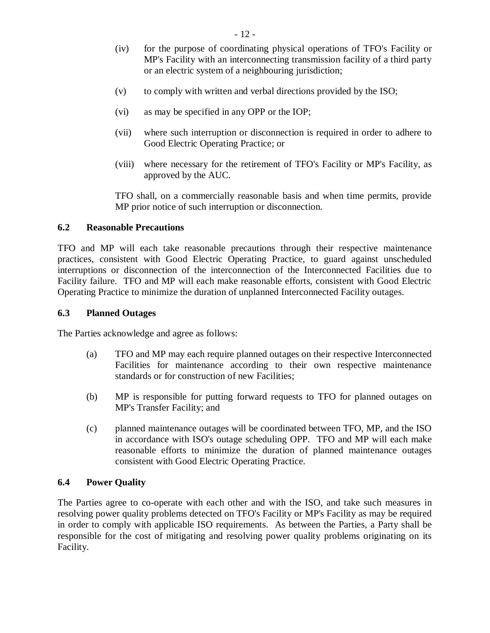- (iv) for the purpose of coordinating physical operations of TFO's Facility or MP's Facility with an interconnecting transmission facility of a third party or an electric system of a neighbouring jurisdiction;
- (v) to comply with written and verbal directions provided by the ISO;
- (vi) as may be specified in any OPP or the IOP;
- (vii) where such interruption or disconnection is required in order to adhere to Good Electric Operating Practice; or
- (viii) where necessary for the retirement of TFO's Facility or MP's Facility, as approved by the AUC.

TFO shall, on a commercially reasonable basis and when time permits, provide MP prior notice of such interruption or disconnection.

#### **6.2 Reasonable Precautions**

TFO and MP will each take reasonable precautions through their respective maintenance practices, consistent with Good Electric Operating Practice, to guard against unscheduled interruptions or disconnection of the interconnection of the Interconnected Facilities due to Facility failure. TFO and MP will each make reasonable efforts, consistent with Good Electric Operating Practice to minimize the duration of unplanned Interconnected Facility outages.

#### **6.3 Planned Outages**

The Parties acknowledge and agree as follows:

- (a) TFO and MP may each require planned outages on their respective Interconnected Facilities for maintenance according to their own respective maintenance standards or for construction of new Facilities;
- (b) MP is responsible for putting forward requests to TFO for planned outages on MP's Transfer Facility; and
- (c) planned maintenance outages will be coordinated between TFO, MP, and the ISO in accordance with ISO's outage scheduling OPP. TFO and MP will each make reasonable efforts to minimize the duration of planned maintenance outages consistent with Good Electric Operating Practice.

#### **6.4 Power Quality**

The Parties agree to co-operate with each other and with the ISO, and take such measures in resolving power quality problems detected on TFO's Facility or MP's Facility as may be required in order to comply with applicable ISO requirements. As between the Parties, a Party shall be responsible for the cost of mitigating and resolving power quality problems originating on its Facility.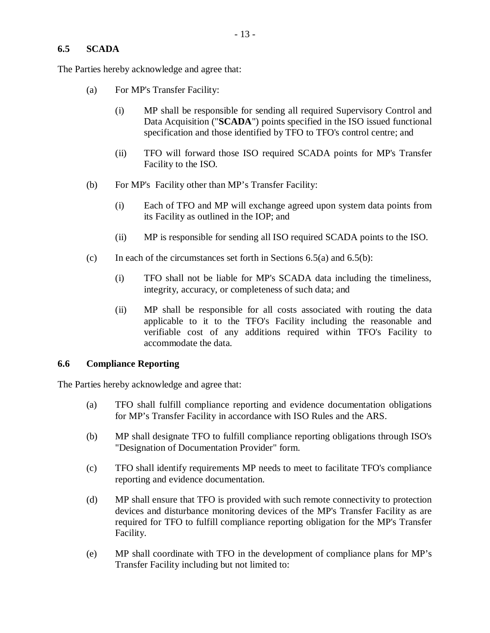### **6.5 SCADA**

The Parties hereby acknowledge and agree that:

- (a) For MP's Transfer Facility:
	- (i) MP shall be responsible for sending all required Supervisory Control and Data Acquisition ("**SCADA**") points specified in the ISO issued functional specification and those identified by TFO to TFO's control centre; and
	- (ii) TFO will forward those ISO required SCADA points for MP's Transfer Facility to the ISO.
- (b) For MP's Facility other than MP's Transfer Facility:
	- (i) Each of TFO and MP will exchange agreed upon system data points from its Facility as outlined in the IOP; and
	- (ii) MP is responsible for sending all ISO required SCADA points to the ISO.
- (c) In each of the circumstances set forth in Sections  $6.5(a)$  and  $6.5(b)$ :
	- (i) TFO shall not be liable for MP's SCADA data including the timeliness, integrity, accuracy, or completeness of such data; and
	- (ii) MP shall be responsible for all costs associated with routing the data applicable to it to the TFO's Facility including the reasonable and verifiable cost of any additions required within TFO's Facility to accommodate the data.

#### **6.6 Compliance Reporting**

The Parties hereby acknowledge and agree that:

- (a) TFO shall fulfill compliance reporting and evidence documentation obligations for MP's Transfer Facility in accordance with ISO Rules and the ARS.
- (b) MP shall designate TFO to fulfill compliance reporting obligations through ISO's "Designation of Documentation Provider" form.
- (c) TFO shall identify requirements MP needs to meet to facilitate TFO's compliance reporting and evidence documentation.
- (d) MP shall ensure that TFO is provided with such remote connectivity to protection devices and disturbance monitoring devices of the MP's Transfer Facility as are required for TFO to fulfill compliance reporting obligation for the MP's Transfer Facility.
- (e) MP shall coordinate with TFO in the development of compliance plans for MP's Transfer Facility including but not limited to: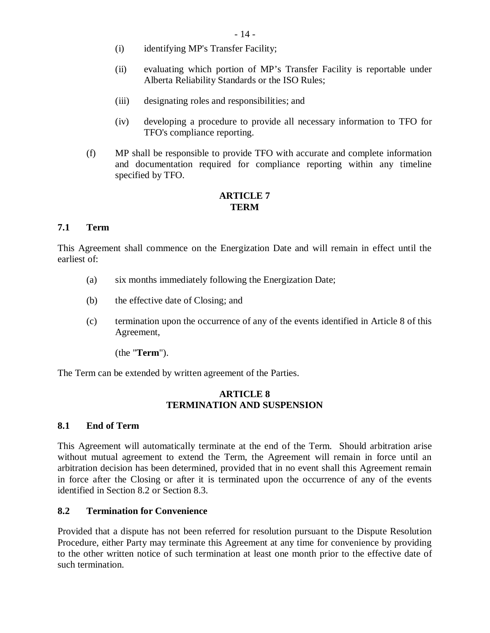- (i) identifying MP's Transfer Facility;
- (ii) evaluating which portion of MP's Transfer Facility is reportable under Alberta Reliability Standards or the ISO Rules;
- (iii) designating roles and responsibilities; and
- (iv) developing a procedure to provide all necessary information to TFO for TFO's compliance reporting.
- (f) MP shall be responsible to provide TFO with accurate and complete information and documentation required for compliance reporting within any timeline specified by TFO.

# **ARTICLE 7 TERM**

### **7.1 Term**

This Agreement shall commence on the Energization Date and will remain in effect until the earliest of:

- (a) six months immediately following the Energization Date;
- (b) the effective date of Closing; and
- (c) termination upon the occurrence of any of the events identified in Article 8 of this Agreement,
	- (the "**Term**").

The Term can be extended by written agreement of the Parties.

### **ARTICLE 8 TERMINATION AND SUSPENSION**

### **8.1 End of Term**

This Agreement will automatically terminate at the end of the Term. Should arbitration arise without mutual agreement to extend the Term, the Agreement will remain in force until an arbitration decision has been determined, provided that in no event shall this Agreement remain in force after the Closing or after it is terminated upon the occurrence of any of the events identified in Section 8.2 or Section 8.3.

### **8.2 Termination for Convenience**

Provided that a dispute has not been referred for resolution pursuant to the Dispute Resolution Procedure, either Party may terminate this Agreement at any time for convenience by providing to the other written notice of such termination at least one month prior to the effective date of such termination.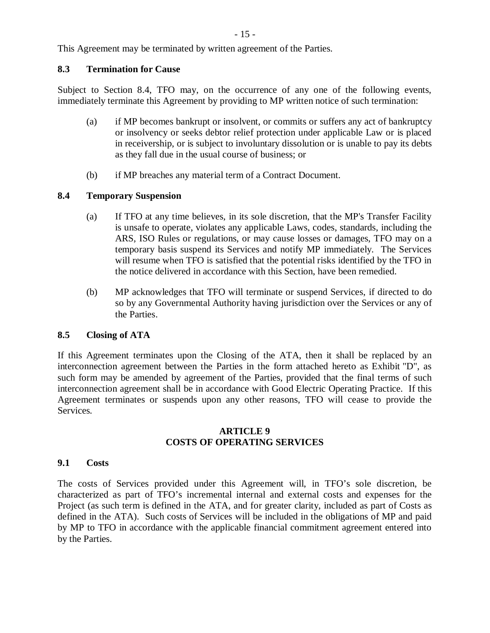This Agreement may be terminated by written agreement of the Parties.

#### **8.3 Termination for Cause**

Subject to Section 8.4, TFO may, on the occurrence of any one of the following events, immediately terminate this Agreement by providing to MP written notice of such termination:

- (a) if MP becomes bankrupt or insolvent, or commits or suffers any act of bankruptcy or insolvency or seeks debtor relief protection under applicable Law or is placed in receivership, or is subject to involuntary dissolution or is unable to pay its debts as they fall due in the usual course of business; or
- (b) if MP breaches any material term of a Contract Document.

# **8.4 Temporary Suspension**

- (a) If TFO at any time believes, in its sole discretion, that the MP's Transfer Facility is unsafe to operate, violates any applicable Laws, codes, standards, including the ARS, ISO Rules or regulations, or may cause losses or damages, TFO may on a temporary basis suspend its Services and notify MP immediately. The Services will resume when TFO is satisfied that the potential risks identified by the TFO in the notice delivered in accordance with this Section, have been remedied.
- (b) MP acknowledges that TFO will terminate or suspend Services, if directed to do so by any Governmental Authority having jurisdiction over the Services or any of the Parties.

### **8.5 Closing of ATA**

If this Agreement terminates upon the Closing of the ATA, then it shall be replaced by an interconnection agreement between the Parties in the form attached hereto as Exhibit "D", as such form may be amended by agreement of the Parties, provided that the final terms of such interconnection agreement shall be in accordance with Good Electric Operating Practice. If this Agreement terminates or suspends upon any other reasons, TFO will cease to provide the Services.

# **ARTICLE 9 COSTS OF OPERATING SERVICES**

### **9.1 Costs**

The costs of Services provided under this Agreement will, in TFO's sole discretion, be characterized as part of TFO's incremental internal and external costs and expenses for the Project (as such term is defined in the ATA, and for greater clarity, included as part of Costs as defined in the ATA). Such costs of Services will be included in the obligations of MP and paid by MP to TFO in accordance with the applicable financial commitment agreement entered into by the Parties.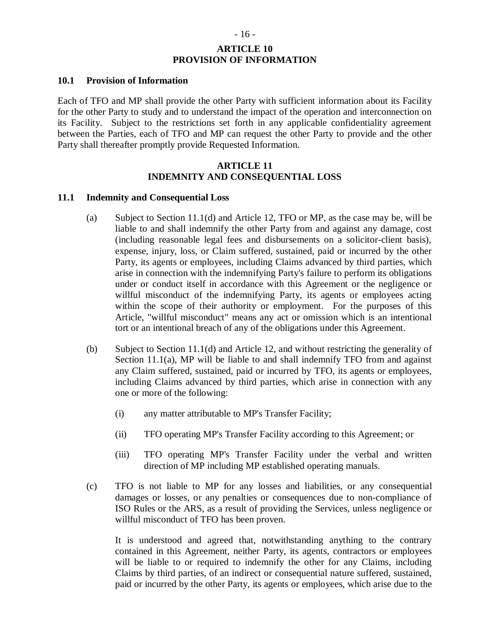# **ARTICLE 10 PROVISION OF INFORMATION**

#### **10.1 Provision of Information**

Each of TFO and MP shall provide the other Party with sufficient information about its Facility for the other Party to study and to understand the impact of the operation and interconnection on its Facility. Subject to the restrictions set forth in any applicable confidentiality agreement between the Parties, each of TFO and MP can request the other Party to provide and the other Party shall thereafter promptly provide Requested Information.

#### **ARTICLE 11 INDEMNITY AND CONSEQUENTIAL LOSS**

#### **11.1 Indemnity and Consequential Loss**

- (a) Subject to Section 11.1(d) and Article 12, TFO or MP, as the case may be, will be liable to and shall indemnify the other Party from and against any damage, cost (including reasonable legal fees and disbursements on a solicitor-client basis), expense, injury, loss, or Claim suffered, sustained, paid or incurred by the other Party, its agents or employees, including Claims advanced by third parties, which arise in connection with the indemnifying Party's failure to perform its obligations under or conduct itself in accordance with this Agreement or the negligence or willful misconduct of the indemnifying Party, its agents or employees acting within the scope of their authority or employment. For the purposes of this Article, "willful misconduct" means any act or omission which is an intentional tort or an intentional breach of any of the obligations under this Agreement.
- (b) Subject to Section 11.1(d) and Article 12, and without restricting the generality of Section 11.1(a), MP will be liable to and shall indemnify TFO from and against any Claim suffered, sustained, paid or incurred by TFO, its agents or employees, including Claims advanced by third parties, which arise in connection with any one or more of the following:
	- (i) any matter attributable to MP's Transfer Facility;
	- (ii) TFO operating MP's Transfer Facility according to this Agreement; or
	- (iii) TFO operating MP's Transfer Facility under the verbal and written direction of MP including MP established operating manuals.
- (c) TFO is not liable to MP for any losses and liabilities, or any consequential damages or losses, or any penalties or consequences due to non-compliance of ISO Rules or the ARS, as a result of providing the Services, unless negligence or willful misconduct of TFO has been proven.

It is understood and agreed that, notwithstanding anything to the contrary contained in this Agreement, neither Party, its agents, contractors or employees will be liable to or required to indemnify the other for any Claims, including Claims by third parties, of an indirect or consequential nature suffered, sustained, paid or incurred by the other Party, its agents or employees, which arise due to the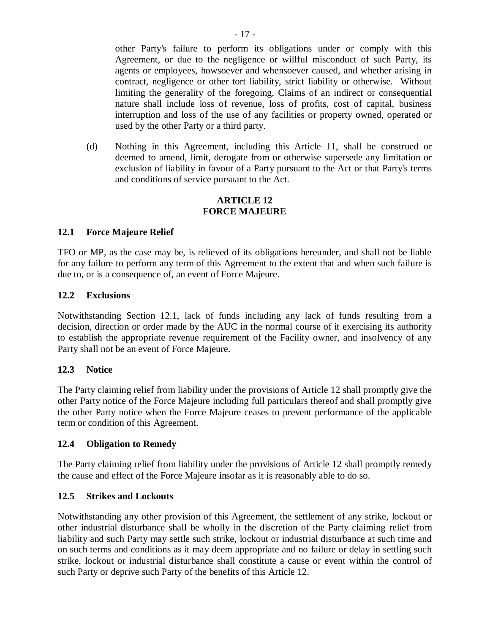other Party's failure to perform its obligations under or comply with this Agreement, or due to the negligence or willful misconduct of such Party, its agents or employees, howsoever and whensoever caused, and whether arising in contract, negligence or other tort liability, strict liability or otherwise. Without limiting the generality of the foregoing, Claims of an indirect or consequential nature shall include loss of revenue, loss of profits, cost of capital, business interruption and loss of the use of any facilities or property owned, operated or used by the other Party or a third party.

(d) Nothing in this Agreement, including this Article 11, shall be construed or deemed to amend, limit, derogate from or otherwise supersede any limitation or exclusion of liability in favour of a Party pursuant to the Act or that Party's terms and conditions of service pursuant to the Act.

### **ARTICLE 12 FORCE MAJEURE**

# **12.1 Force Majeure Relief**

TFO or MP, as the case may be, is relieved of its obligations hereunder, and shall not be liable for any failure to perform any term of this Agreement to the extent that and when such failure is due to, or is a consequence of, an event of Force Majeure.

### **12.2 Exclusions**

Notwithstanding Section 12.1, lack of funds including any lack of funds resulting from a decision, direction or order made by the AUC in the normal course of it exercising its authority to establish the appropriate revenue requirement of the Facility owner, and insolvency of any Party shall not be an event of Force Majeure.

### **12.3 Notice**

The Party claiming relief from liability under the provisions of Article 12 shall promptly give the other Party notice of the Force Majeure including full particulars thereof and shall promptly give the other Party notice when the Force Majeure ceases to prevent performance of the applicable term or condition of this Agreement.

### **12.4 Obligation to Remedy**

The Party claiming relief from liability under the provisions of Article 12 shall promptly remedy the cause and effect of the Force Majeure insofar as it is reasonably able to do so.

### **12.5 Strikes and Lockouts**

Notwithstanding any other provision of this Agreement, the settlement of any strike, lockout or other industrial disturbance shall be wholly in the discretion of the Party claiming relief from liability and such Party may settle such strike, lockout or industrial disturbance at such time and on such terms and conditions as it may deem appropriate and no failure or delay in settling such strike, lockout or industrial disturbance shall constitute a cause or event within the control of such Party or deprive such Party of the benefits of this Article 12.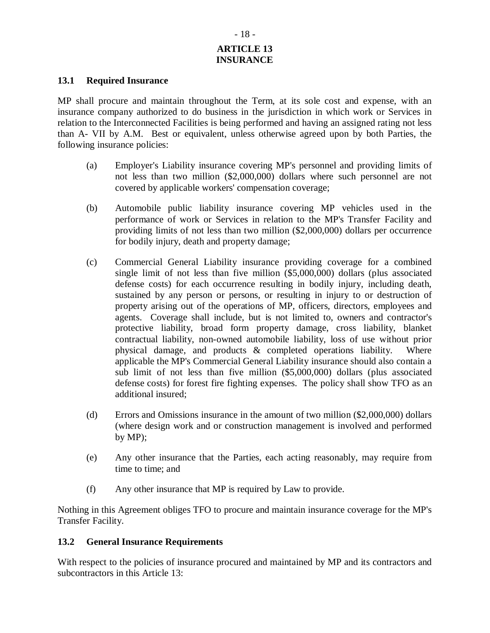# **ARTICLE 13 INSURANCE**

#### **13.1 Required Insurance**

MP shall procure and maintain throughout the Term, at its sole cost and expense, with an insurance company authorized to do business in the jurisdiction in which work or Services in relation to the Interconnected Facilities is being performed and having an assigned rating not less than A- VII by A.M. Best or equivalent, unless otherwise agreed upon by both Parties, the following insurance policies:

- (a) Employer's Liability insurance covering MP's personnel and providing limits of not less than two million (\$2,000,000) dollars where such personnel are not covered by applicable workers' compensation coverage;
- (b) Automobile public liability insurance covering MP vehicles used in the performance of work or Services in relation to the MP's Transfer Facility and providing limits of not less than two million (\$2,000,000) dollars per occurrence for bodily injury, death and property damage;
- (c) Commercial General Liability insurance providing coverage for a combined single limit of not less than five million (\$5,000,000) dollars (plus associated defense costs) for each occurrence resulting in bodily injury, including death, sustained by any person or persons, or resulting in injury to or destruction of property arising out of the operations of MP, officers, directors, employees and agents. Coverage shall include, but is not limited to, owners and contractor's protective liability, broad form property damage, cross liability, blanket contractual liability, non-owned automobile liability, loss of use without prior physical damage, and products & completed operations liability. Where applicable the MP's Commercial General Liability insurance should also contain a sub limit of not less than five million (\$5,000,000) dollars (plus associated defense costs) for forest fire fighting expenses. The policy shall show TFO as an additional insured;
- (d) Errors and Omissions insurance in the amount of two million (\$2,000,000) dollars (where design work and or construction management is involved and performed by MP);
- (e) Any other insurance that the Parties, each acting reasonably, may require from time to time; and
- (f) Any other insurance that MP is required by Law to provide.

Nothing in this Agreement obliges TFO to procure and maintain insurance coverage for the MP's Transfer Facility.

### **13.2 General Insurance Requirements**

With respect to the policies of insurance procured and maintained by MP and its contractors and subcontractors in this Article 13: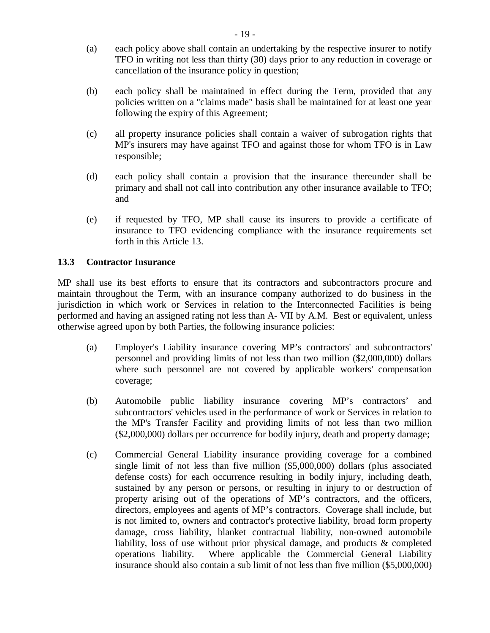- (a) each policy above shall contain an undertaking by the respective insurer to notify TFO in writing not less than thirty (30) days prior to any reduction in coverage or cancellation of the insurance policy in question;
- (b) each policy shall be maintained in effect during the Term, provided that any policies written on a "claims made" basis shall be maintained for at least one year following the expiry of this Agreement;
- (c) all property insurance policies shall contain a waiver of subrogation rights that MP's insurers may have against TFO and against those for whom TFO is in Law responsible;
- (d) each policy shall contain a provision that the insurance thereunder shall be primary and shall not call into contribution any other insurance available to TFO; and
- (e) if requested by TFO, MP shall cause its insurers to provide a certificate of insurance to TFO evidencing compliance with the insurance requirements set forth in this Article 13.

# **13.3 Contractor Insurance**

MP shall use its best efforts to ensure that its contractors and subcontractors procure and maintain throughout the Term, with an insurance company authorized to do business in the jurisdiction in which work or Services in relation to the Interconnected Facilities is being performed and having an assigned rating not less than A- VII by A.M. Best or equivalent, unless otherwise agreed upon by both Parties, the following insurance policies:

- (a) Employer's Liability insurance covering MP's contractors' and subcontractors' personnel and providing limits of not less than two million (\$2,000,000) dollars where such personnel are not covered by applicable workers' compensation coverage;
- (b) Automobile public liability insurance covering MP's contractors' and subcontractors' vehicles used in the performance of work or Services in relation to the MP's Transfer Facility and providing limits of not less than two million (\$2,000,000) dollars per occurrence for bodily injury, death and property damage;
- (c) Commercial General Liability insurance providing coverage for a combined single limit of not less than five million (\$5,000,000) dollars (plus associated defense costs) for each occurrence resulting in bodily injury, including death, sustained by any person or persons, or resulting in injury to or destruction of property arising out of the operations of MP's contractors, and the officers, directors, employees and agents of MP's contractors. Coverage shall include, but is not limited to, owners and contractor's protective liability, broad form property damage, cross liability, blanket contractual liability, non-owned automobile liability, loss of use without prior physical damage, and products & completed operations liability. Where applicable the Commercial General Liability insurance should also contain a sub limit of not less than five million (\$5,000,000)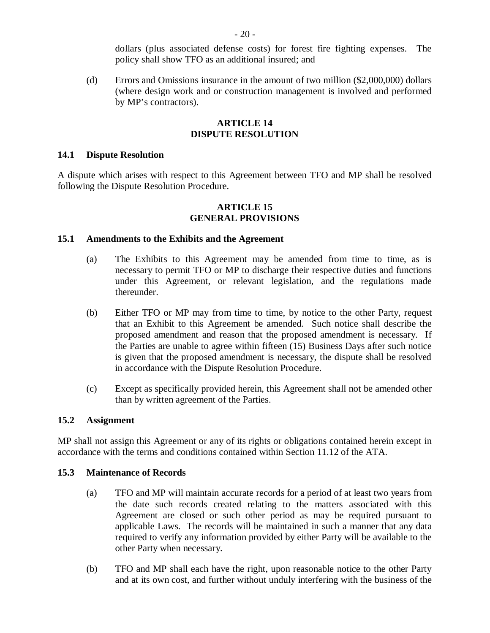dollars (plus associated defense costs) for forest fire fighting expenses. The policy shall show TFO as an additional insured; and

(d) Errors and Omissions insurance in the amount of two million (\$2,000,000) dollars (where design work and or construction management is involved and performed by MP's contractors).

#### **ARTICLE 14 DISPUTE RESOLUTION**

#### **14.1 Dispute Resolution**

A dispute which arises with respect to this Agreement between TFO and MP shall be resolved following the Dispute Resolution Procedure.

#### **ARTICLE 15 GENERAL PROVISIONS**

#### **15.1 Amendments to the Exhibits and the Agreement**

- (a) The Exhibits to this Agreement may be amended from time to time, as is necessary to permit TFO or MP to discharge their respective duties and functions under this Agreement, or relevant legislation, and the regulations made thereunder.
- (b) Either TFO or MP may from time to time, by notice to the other Party, request that an Exhibit to this Agreement be amended. Such notice shall describe the proposed amendment and reason that the proposed amendment is necessary. If the Parties are unable to agree within fifteen (15) Business Days after such notice is given that the proposed amendment is necessary, the dispute shall be resolved in accordance with the Dispute Resolution Procedure.
- (c) Except as specifically provided herein, this Agreement shall not be amended other than by written agreement of the Parties.

#### **15.2 Assignment**

MP shall not assign this Agreement or any of its rights or obligations contained herein except in accordance with the terms and conditions contained within Section 11.12 of the ATA.

#### **15.3 Maintenance of Records**

- (a) TFO and MP will maintain accurate records for a period of at least two years from the date such records created relating to the matters associated with this Agreement are closed or such other period as may be required pursuant to applicable Laws. The records will be maintained in such a manner that any data required to verify any information provided by either Party will be available to the other Party when necessary.
- (b) TFO and MP shall each have the right, upon reasonable notice to the other Party and at its own cost, and further without unduly interfering with the business of the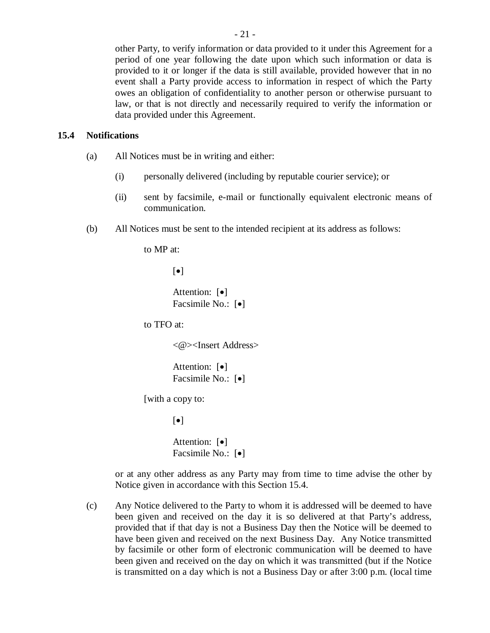other Party, to verify information or data provided to it under this Agreement for a period of one year following the date upon which such information or data is provided to it or longer if the data is still available, provided however that in no event shall a Party provide access to information in respect of which the Party owes an obligation of confidentiality to another person or otherwise pursuant to law, or that is not directly and necessarily required to verify the information or data provided under this Agreement.

#### **15.4 Notifications**

- (a) All Notices must be in writing and either:
	- (i) personally delivered (including by reputable courier service); or
	- (ii) sent by facsimile, e-mail or functionally equivalent electronic means of communication.
- (b) All Notices must be sent to the intended recipient at its address as follows:

to MP at:

 $\lceil \bullet \rceil$ 

Attention:  $\lceil \bullet \rceil$ Facsimile No.:  $\lceil \bullet \rceil$ 

to TFO at:

<@><Insert Address>

Attention:  $\lceil \bullet \rceil$ Facsimile No.:  $\lceil \bullet \rceil$ 

[with a copy to:

 $[\bullet]$ 

Attention:  $\lceil \bullet \rceil$ Facsimile No.:  $\lceil \bullet \rceil$ 

or at any other address as any Party may from time to time advise the other by Notice given in accordance with this Section 15.4.

(c) Any Notice delivered to the Party to whom it is addressed will be deemed to have been given and received on the day it is so delivered at that Party's address, provided that if that day is not a Business Day then the Notice will be deemed to have been given and received on the next Business Day. Any Notice transmitted by facsimile or other form of electronic communication will be deemed to have been given and received on the day on which it was transmitted (but if the Notice is transmitted on a day which is not a Business Day or after 3:00 p.m. (local time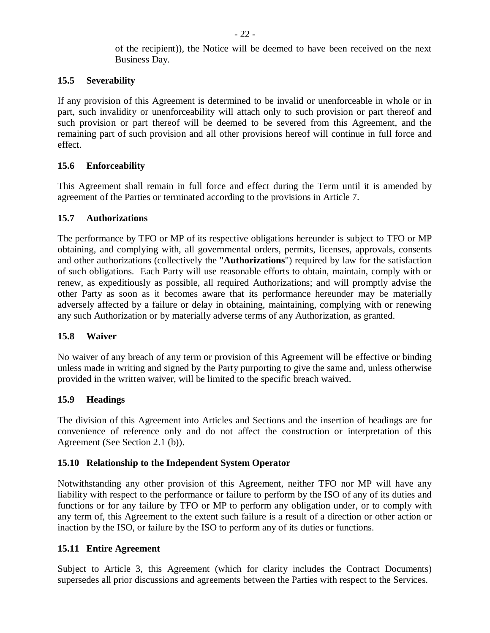of the recipient)), the Notice will be deemed to have been received on the next Business Day.

# **15.5 Severability**

If any provision of this Agreement is determined to be invalid or unenforceable in whole or in part, such invalidity or unenforceability will attach only to such provision or part thereof and such provision or part thereof will be deemed to be severed from this Agreement, and the remaining part of such provision and all other provisions hereof will continue in full force and effect.

# **15.6 Enforceability**

This Agreement shall remain in full force and effect during the Term until it is amended by agreement of the Parties or terminated according to the provisions in Article 7.

### **15.7 Authorizations**

The performance by TFO or MP of its respective obligations hereunder is subject to TFO or MP obtaining, and complying with, all governmental orders, permits, licenses, approvals, consents and other authorizations (collectively the "**Authorizations**") required by law for the satisfaction of such obligations. Each Party will use reasonable efforts to obtain, maintain, comply with or renew, as expeditiously as possible, all required Authorizations; and will promptly advise the other Party as soon as it becomes aware that its performance hereunder may be materially adversely affected by a failure or delay in obtaining, maintaining, complying with or renewing any such Authorization or by materially adverse terms of any Authorization, as granted.

### **15.8 Waiver**

No waiver of any breach of any term or provision of this Agreement will be effective or binding unless made in writing and signed by the Party purporting to give the same and, unless otherwise provided in the written waiver, will be limited to the specific breach waived.

### **15.9 Headings**

The division of this Agreement into Articles and Sections and the insertion of headings are for convenience of reference only and do not affect the construction or interpretation of this Agreement (See Section 2.1 (b)).

### **15.10 Relationship to the Independent System Operator**

Notwithstanding any other provision of this Agreement, neither TFO nor MP will have any liability with respect to the performance or failure to perform by the ISO of any of its duties and functions or for any failure by TFO or MP to perform any obligation under, or to comply with any term of, this Agreement to the extent such failure is a result of a direction or other action or inaction by the ISO, or failure by the ISO to perform any of its duties or functions.

### **15.11 Entire Agreement**

Subject to Article 3, this Agreement (which for clarity includes the Contract Documents) supersedes all prior discussions and agreements between the Parties with respect to the Services.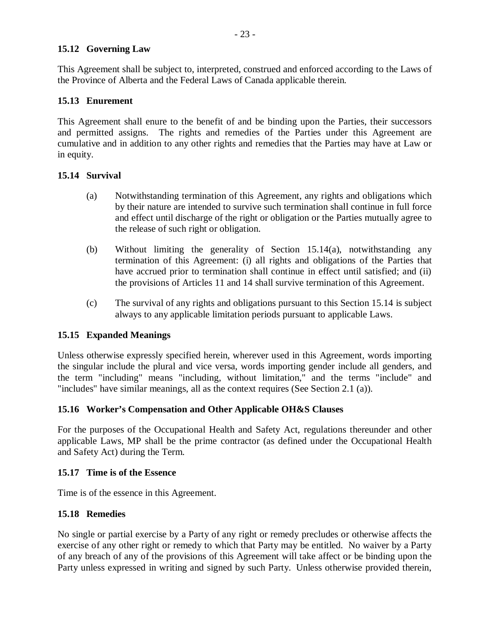## **15.12 Governing Law**

This Agreement shall be subject to, interpreted, construed and enforced according to the Laws of the Province of Alberta and the Federal Laws of Canada applicable therein.

# **15.13 Enurement**

This Agreement shall enure to the benefit of and be binding upon the Parties, their successors and permitted assigns. The rights and remedies of the Parties under this Agreement are cumulative and in addition to any other rights and remedies that the Parties may have at Law or in equity.

# **15.14 Survival**

- (a) Notwithstanding termination of this Agreement, any rights and obligations which by their nature are intended to survive such termination shall continue in full force and effect until discharge of the right or obligation or the Parties mutually agree to the release of such right or obligation.
- (b) Without limiting the generality of Section 15.14(a), notwithstanding any termination of this Agreement: (i) all rights and obligations of the Parties that have accrued prior to termination shall continue in effect until satisfied; and (ii) the provisions of Articles 11 and 14 shall survive termination of this Agreement.
- (c) The survival of any rights and obligations pursuant to this Section 15.14 is subject always to any applicable limitation periods pursuant to applicable Laws.

# **15.15 Expanded Meanings**

Unless otherwise expressly specified herein, wherever used in this Agreement, words importing the singular include the plural and vice versa, words importing gender include all genders, and the term "including" means "including, without limitation," and the terms "include" and "includes" have similar meanings, all as the context requires (See Section 2.1 (a)).

# **15.16 Worker's Compensation and Other Applicable OH&S Clauses**

For the purposes of the Occupational Health and Safety Act, regulations thereunder and other applicable Laws, MP shall be the prime contractor (as defined under the Occupational Health and Safety Act) during the Term.

### **15.17 Time is of the Essence**

Time is of the essence in this Agreement.

# **15.18 Remedies**

No single or partial exercise by a Party of any right or remedy precludes or otherwise affects the exercise of any other right or remedy to which that Party may be entitled. No waiver by a Party of any breach of any of the provisions of this Agreement will take affect or be binding upon the Party unless expressed in writing and signed by such Party. Unless otherwise provided therein,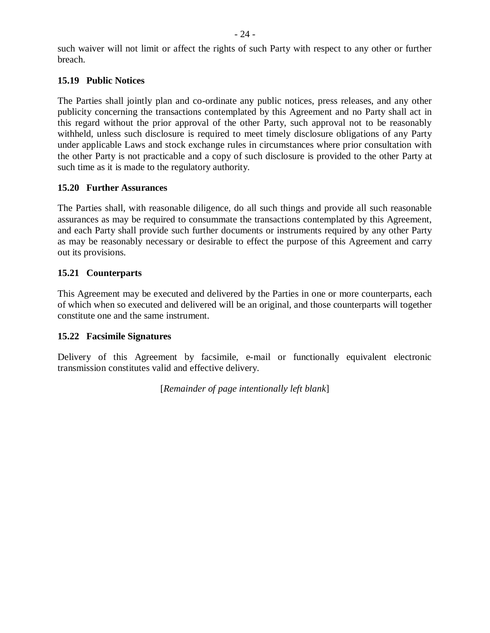such waiver will not limit or affect the rights of such Party with respect to any other or further breach.

# **15.19 Public Notices**

The Parties shall jointly plan and co-ordinate any public notices, press releases, and any other publicity concerning the transactions contemplated by this Agreement and no Party shall act in this regard without the prior approval of the other Party, such approval not to be reasonably withheld, unless such disclosure is required to meet timely disclosure obligations of any Party under applicable Laws and stock exchange rules in circumstances where prior consultation with the other Party is not practicable and a copy of such disclosure is provided to the other Party at such time as it is made to the regulatory authority.

# **15.20 Further Assurances**

The Parties shall, with reasonable diligence, do all such things and provide all such reasonable assurances as may be required to consummate the transactions contemplated by this Agreement, and each Party shall provide such further documents or instruments required by any other Party as may be reasonably necessary or desirable to effect the purpose of this Agreement and carry out its provisions.

# **15.21 Counterparts**

This Agreement may be executed and delivered by the Parties in one or more counterparts, each of which when so executed and delivered will be an original, and those counterparts will together constitute one and the same instrument.

# **15.22 Facsimile Signatures**

Delivery of this Agreement by facsimile, e-mail or functionally equivalent electronic transmission constitutes valid and effective delivery.

[*Remainder of page intentionally left blank*]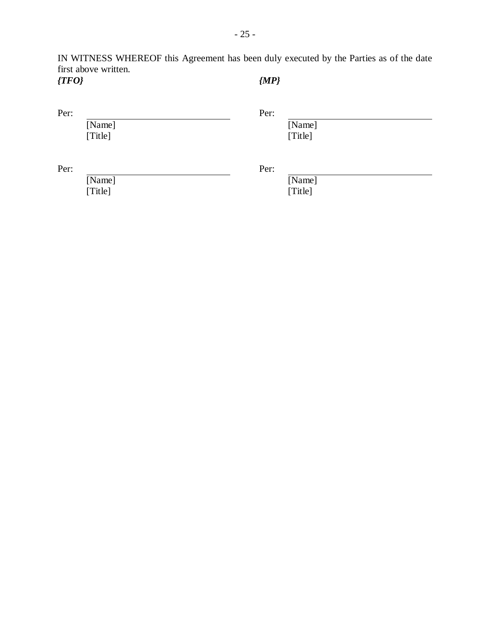IN WITNESS WHEREOF this Agreement has been duly executed by the Parties as of the date first above written. *{TFO} {MP}*

| Per: |
|------|
|      |

[Name] [Title]

[Name] [Title]

Per: Per:

[Name] [Title]

[Name] [Title]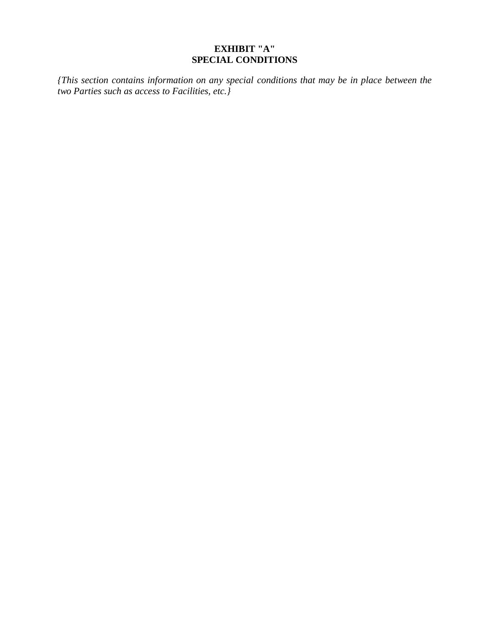# **EXHIBIT "A" SPECIAL CONDITIONS**

*{This section contains information on any special conditions that may be in place between the two Parties such as access to Facilities, etc.}*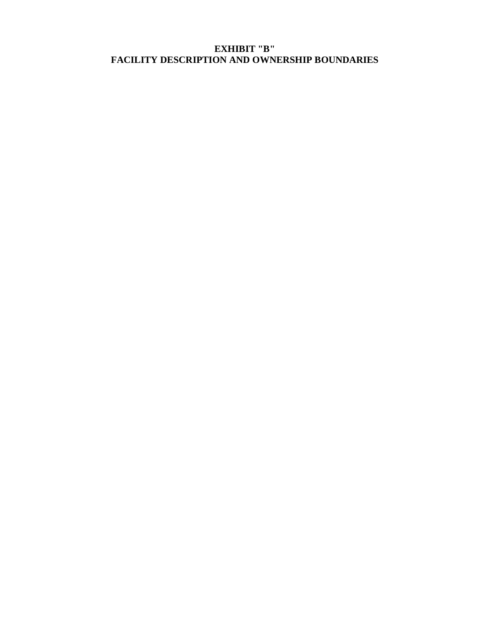# **EXHIBIT "B" FACILITY DESCRIPTION AND OWNERSHIP BOUNDARIES**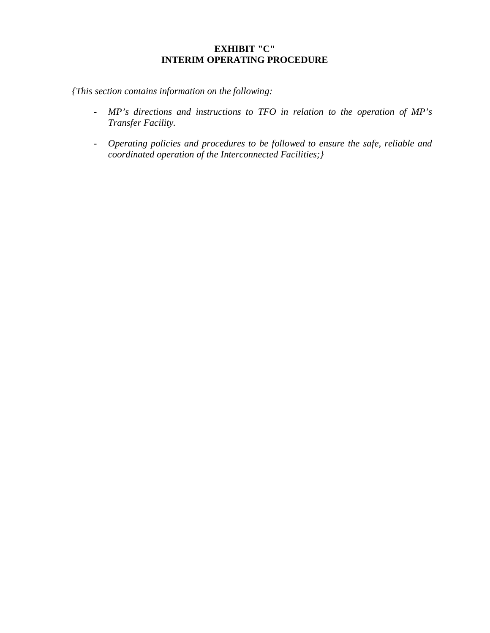# **EXHIBIT "C" INTERIM OPERATING PROCEDURE**

*{This section contains information on the following:* 

- *MP's directions and instructions to TFO in relation to the operation of MP's Transfer Facility.*
- *Operating policies and procedures to be followed to ensure the safe, reliable and coordinated operation of the Interconnected Facilities;}*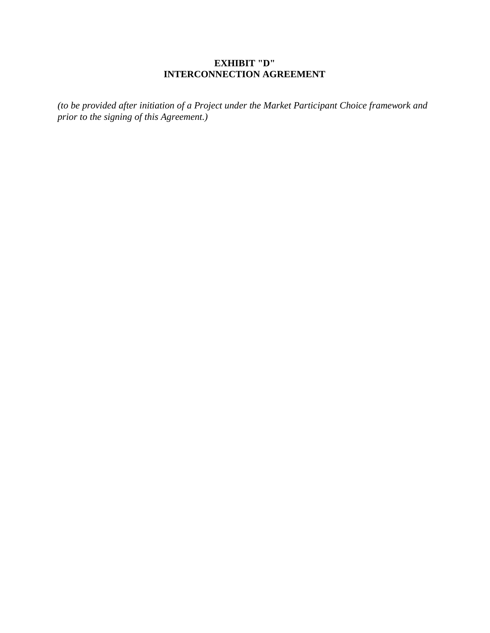# **EXHIBIT "D" INTERCONNECTION AGREEMENT**

*(to be provided after initiation of a Project under the Market Participant Choice framework and prior to the signing of this Agreement.)*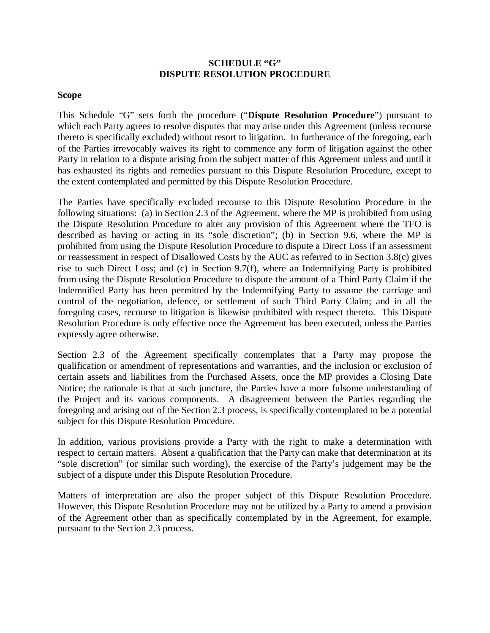### **SCHEDULE "G" DISPUTE RESOLUTION PROCEDURE**

#### **Scope**

This Schedule "G" sets forth the procedure ("**Dispute Resolution Procedure**") pursuant to which each Party agrees to resolve disputes that may arise under this Agreement (unless recourse thereto is specifically excluded) without resort to litigation. In furtherance of the foregoing, each of the Parties irrevocably waives its right to commence any form of litigation against the other Party in relation to a dispute arising from the subject matter of this Agreement unless and until it has exhausted its rights and remedies pursuant to this Dispute Resolution Procedure, except to the extent contemplated and permitted by this Dispute Resolution Procedure.

The Parties have specifically excluded recourse to this Dispute Resolution Procedure in the following situations: (a) in Section 2.3 of the Agreement, where the MP is prohibited from using the Dispute Resolution Procedure to alter any provision of this Agreement where the TFO is described as having or acting in its "sole discretion"; (b) in Section 9.6, where the MP is prohibited from using the Dispute Resolution Procedure to dispute a Direct Loss if an assessment or reassessment in respect of Disallowed Costs by the AUC as referred to in Section 3.8(c) gives rise to such Direct Loss; and (c) in Section 9.7(f), where an Indemnifying Party is prohibited from using the Dispute Resolution Procedure to dispute the amount of a Third Party Claim if the Indemnified Party has been permitted by the Indemnifying Party to assume the carriage and control of the negotiation, defence, or settlement of such Third Party Claim; and in all the foregoing cases, recourse to litigation is likewise prohibited with respect thereto. This Dispute Resolution Procedure is only effective once the Agreement has been executed, unless the Parties expressly agree otherwise.

Section 2.3 of the Agreement specifically contemplates that a Party may propose the qualification or amendment of representations and warranties, and the inclusion or exclusion of certain assets and liabilities from the Purchased Assets, once the MP provides a Closing Date Notice; the rationale is that at such juncture, the Parties have a more fulsome understanding of the Project and its various components. A disagreement between the Parties regarding the foregoing and arising out of the Section 2.3 process, is specifically contemplated to be a potential subject for this Dispute Resolution Procedure.

In addition, various provisions provide a Party with the right to make a determination with respect to certain matters. Absent a qualification that the Party can make that determination at its "sole discretion" (or similar such wording), the exercise of the Party's judgement may be the subject of a dispute under this Dispute Resolution Procedure.

Matters of interpretation are also the proper subject of this Dispute Resolution Procedure. However, this Dispute Resolution Procedure may not be utilized by a Party to amend a provision of the Agreement other than as specifically contemplated by in the Agreement, for example, pursuant to the Section 2.3 process.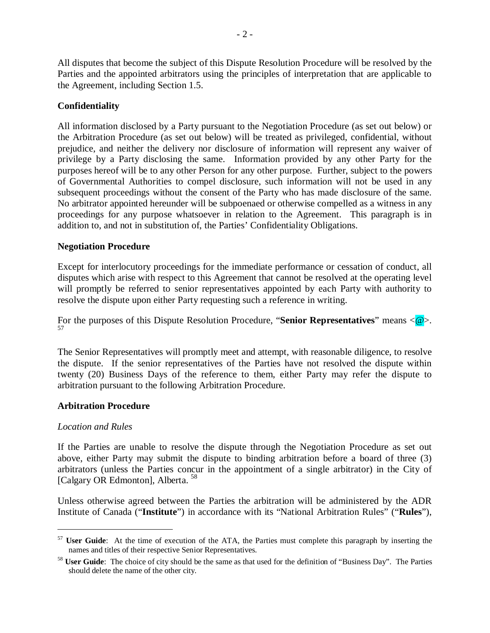All disputes that become the subject of this Dispute Resolution Procedure will be resolved by the Parties and the appointed arbitrators using the principles of interpretation that are applicable to the Agreement, including Section 1.5.

# **Confidentiality**

All information disclosed by a Party pursuant to the Negotiation Procedure (as set out below) or the Arbitration Procedure (as set out below) will be treated as privileged, confidential, without prejudice, and neither the delivery nor disclosure of information will represent any waiver of privilege by a Party disclosing the same. Information provided by any other Party for the purposes hereof will be to any other Person for any other purpose. Further, subject to the powers of Governmental Authorities to compel disclosure, such information will not be used in any subsequent proceedings without the consent of the Party who has made disclosure of the same. No arbitrator appointed hereunder will be subpoenaed or otherwise compelled as a witness in any proceedings for any purpose whatsoever in relation to the Agreement. This paragraph is in addition to, and not in substitution of, the Parties' Confidentiality Obligations.

### **Negotiation Procedure**

Except for interlocutory proceedings for the immediate performance or cessation of conduct, all disputes which arise with respect to this Agreement that cannot be resolved at the operating level will promptly be referred to senior representatives appointed by each Party with authority to resolve the dispute upon either Party requesting such a reference in writing.

For the purposes of this Dispute Resolution Procedure, "**Senior Representatives**" means  $\langle \mathcal{Q} \rangle$ . 57

The Senior Representatives will promptly meet and attempt, with reasonable diligence, to resolve the dispute. If the senior representatives of the Parties have not resolved the dispute within twenty (20) Business Days of the reference to them, either Party may refer the dispute to arbitration pursuant to the following Arbitration Procedure.

### **Arbitration Procedure**

#### *Location and Rules*

1

If the Parties are unable to resolve the dispute through the Negotiation Procedure as set out above, either Party may submit the dispute to binding arbitration before a board of three (3) arbitrators (unless the Parties concur in the appointment of a single arbitrator) in the City of [Calgary OR Edmonton], Alberta.<sup>58</sup>

Unless otherwise agreed between the Parties the arbitration will be administered by the ADR Institute of Canada ("**Institute**") in accordance with its "National Arbitration Rules" ("**Rules**"),

<sup>57</sup> **User Guide**: At the time of execution of the ATA, the Parties must complete this paragraph by inserting the names and titles of their respective Senior Representatives.

<sup>58</sup> **User Guide**: The choice of city should be the same as that used for the definition of "Business Day". The Parties should delete the name of the other city.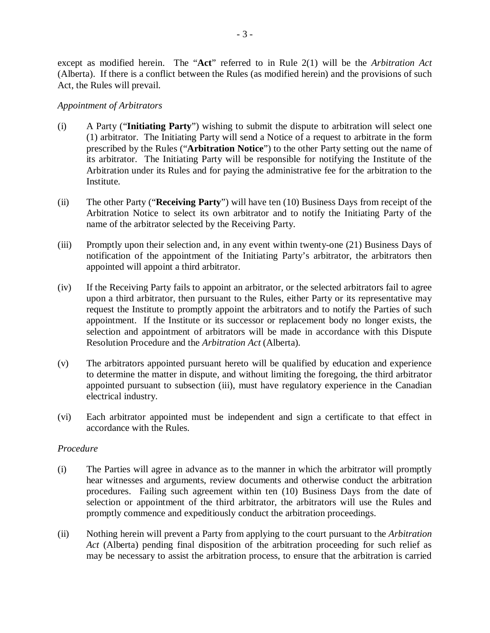except as modified herein. The "**Act**" referred to in Rule 2(1) will be the *Arbitration Act* (Alberta). If there is a conflict between the Rules (as modified herein) and the provisions of such Act, the Rules will prevail.

#### *Appointment of Arbitrators*

- (i) A Party ("**Initiating Party**") wishing to submit the dispute to arbitration will select one (1) arbitrator. The Initiating Party will send a Notice of a request to arbitrate in the form prescribed by the Rules ("**Arbitration Notice**") to the other Party setting out the name of its arbitrator. The Initiating Party will be responsible for notifying the Institute of the Arbitration under its Rules and for paying the administrative fee for the arbitration to the Institute.
- (ii) The other Party ("**Receiving Party**") will have ten (10) Business Days from receipt of the Arbitration Notice to select its own arbitrator and to notify the Initiating Party of the name of the arbitrator selected by the Receiving Party.
- (iii) Promptly upon their selection and, in any event within twenty-one (21) Business Days of notification of the appointment of the Initiating Party's arbitrator, the arbitrators then appointed will appoint a third arbitrator.
- (iv) If the Receiving Party fails to appoint an arbitrator, or the selected arbitrators fail to agree upon a third arbitrator, then pursuant to the Rules, either Party or its representative may request the Institute to promptly appoint the arbitrators and to notify the Parties of such appointment. If the Institute or its successor or replacement body no longer exists, the selection and appointment of arbitrators will be made in accordance with this Dispute Resolution Procedure and the *Arbitration Act* (Alberta).
- (v) The arbitrators appointed pursuant hereto will be qualified by education and experience to determine the matter in dispute, and without limiting the foregoing, the third arbitrator appointed pursuant to subsection (iii), must have regulatory experience in the Canadian electrical industry.
- (vi) Each arbitrator appointed must be independent and sign a certificate to that effect in accordance with the Rules.

### *Procedure*

- (i) The Parties will agree in advance as to the manner in which the arbitrator will promptly hear witnesses and arguments, review documents and otherwise conduct the arbitration procedures. Failing such agreement within ten (10) Business Days from the date of selection or appointment of the third arbitrator, the arbitrators will use the Rules and promptly commence and expeditiously conduct the arbitration proceedings.
- (ii) Nothing herein will prevent a Party from applying to the court pursuant to the *Arbitration Act* (Alberta) pending final disposition of the arbitration proceeding for such relief as may be necessary to assist the arbitration process, to ensure that the arbitration is carried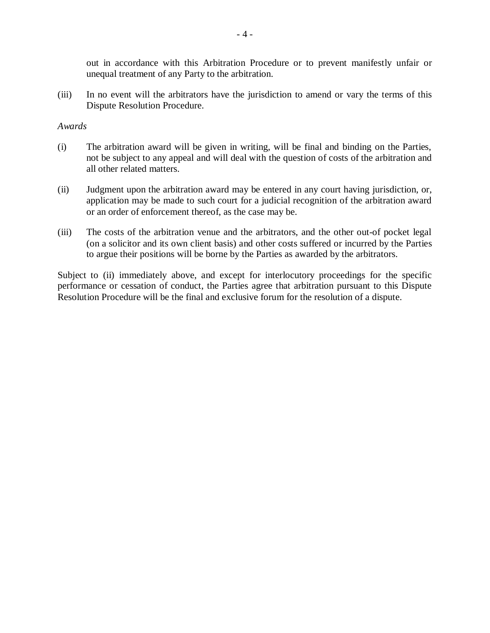out in accordance with this Arbitration Procedure or to prevent manifestly unfair or unequal treatment of any Party to the arbitration.

(iii) In no event will the arbitrators have the jurisdiction to amend or vary the terms of this Dispute Resolution Procedure.

#### *Awards*

- (i) The arbitration award will be given in writing, will be final and binding on the Parties, not be subject to any appeal and will deal with the question of costs of the arbitration and all other related matters.
- (ii) Judgment upon the arbitration award may be entered in any court having jurisdiction, or, application may be made to such court for a judicial recognition of the arbitration award or an order of enforcement thereof, as the case may be.
- (iii) The costs of the arbitration venue and the arbitrators, and the other out-of pocket legal (on a solicitor and its own client basis) and other costs suffered or incurred by the Parties to argue their positions will be borne by the Parties as awarded by the arbitrators.

Subject to (ii) immediately above, and except for interlocutory proceedings for the specific performance or cessation of conduct, the Parties agree that arbitration pursuant to this Dispute Resolution Procedure will be the final and exclusive forum for the resolution of a dispute.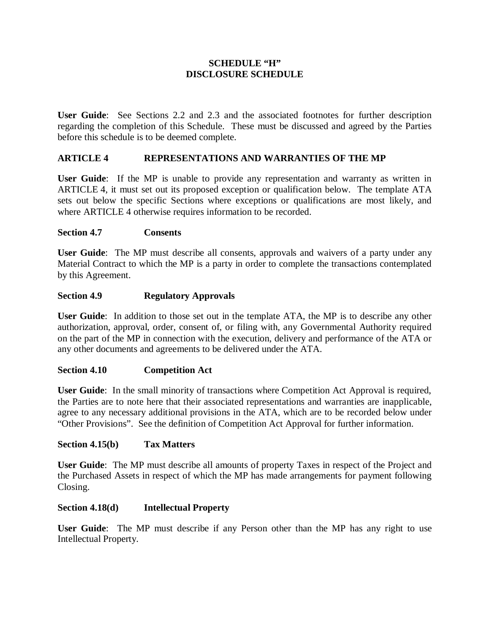## **SCHEDULE "H" DISCLOSURE SCHEDULE**

**User Guide**: See Sections 2.2 and 2.3 and the associated footnotes for further description regarding the completion of this Schedule. These must be discussed and agreed by the Parties before this schedule is to be deemed complete.

# **ARTICLE 4 REPRESENTATIONS AND WARRANTIES OF THE MP**

**User Guide**:If the MP is unable to provide any representation and warranty as written in ARTICLE 4, it must set out its proposed exception or qualification below. The template ATA sets out below the specific Sections where exceptions or qualifications are most likely, and where ARTICLE 4 otherwise requires information to be recorded.

### **Section 4.7 Consents**

**User Guide**: The MP must describe all consents, approvals and waivers of a party under any Material Contract to which the MP is a party in order to complete the transactions contemplated by this Agreement.

# **Section 4.9 Regulatory Approvals**

**User Guide**: In addition to those set out in the template ATA, the MP is to describe any other authorization, approval, order, consent of, or filing with, any Governmental Authority required on the part of the MP in connection with the execution, delivery and performance of the ATA or any other documents and agreements to be delivered under the ATA.

### **Section 4.10 Competition Act**

**User Guide**: In the small minority of transactions where Competition Act Approval is required, the Parties are to note here that their associated representations and warranties are inapplicable, agree to any necessary additional provisions in the ATA, which are to be recorded below under "Other Provisions". See the definition of Competition Act Approval for further information.

### **Section 4.15(b) Tax Matters**

**User Guide**: The MP must describe all amounts of property Taxes in respect of the Project and the Purchased Assets in respect of which the MP has made arrangements for payment following Closing.

### **Section 4.18(d) Intellectual Property**

**User Guide**: The MP must describe if any Person other than the MP has any right to use Intellectual Property.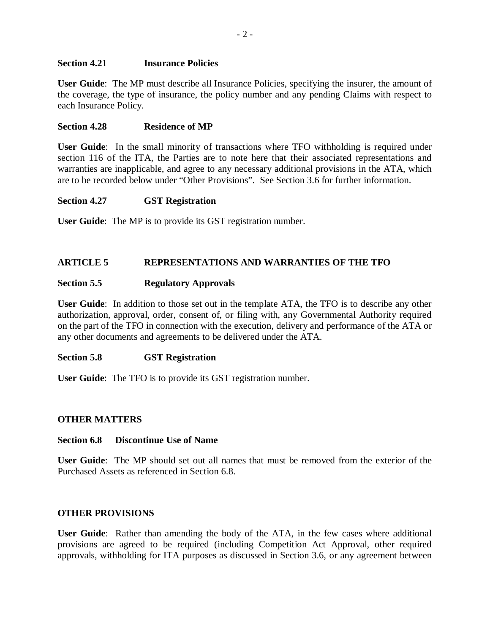#### **Section 4.21 Insurance Policies**

**User Guide**: The MP must describe all Insurance Policies, specifying the insurer, the amount of the coverage, the type of insurance, the policy number and any pending Claims with respect to each Insurance Policy.

#### **Section 4.28 Residence of MP**

**User Guide**: In the small minority of transactions where TFO withholding is required under section 116 of the ITA, the Parties are to note here that their associated representations and warranties are inapplicable, and agree to any necessary additional provisions in the ATA, which are to be recorded below under "Other Provisions". See Section 3.6 for further information.

#### **Section 4.27 GST Registration**

**User Guide**: The MP is to provide its GST registration number.

#### **ARTICLE 5 REPRESENTATIONS AND WARRANTIES OF THE TFO**

#### **Section 5.5 Regulatory Approvals**

**User Guide**: In addition to those set out in the template ATA, the TFO is to describe any other authorization, approval, order, consent of, or filing with, any Governmental Authority required on the part of the TFO in connection with the execution, delivery and performance of the ATA or any other documents and agreements to be delivered under the ATA.

#### **Section 5.8 GST Registration**

**User Guide**: The TFO is to provide its GST registration number.

### **OTHER MATTERS**

#### **Section 6.8 Discontinue Use of Name**

**User Guide**: The MP should set out all names that must be removed from the exterior of the Purchased Assets as referenced in Section 6.8.

#### **OTHER PROVISIONS**

**User Guide**: Rather than amending the body of the ATA, in the few cases where additional provisions are agreed to be required (including Competition Act Approval, other required approvals, withholding for ITA purposes as discussed in Section 3.6, or any agreement between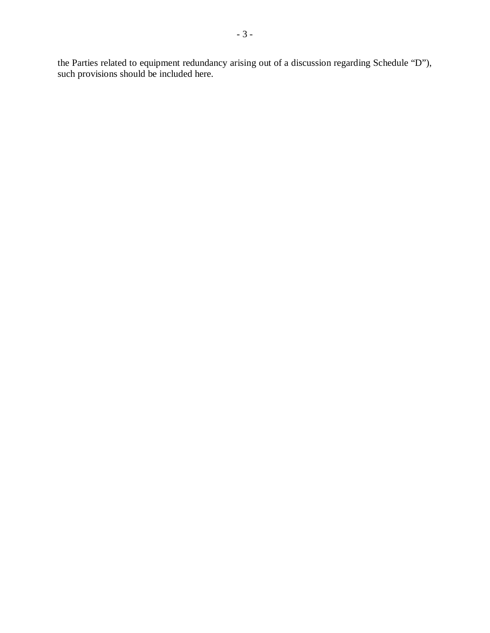the Parties related to equipment redundancy arising out of a discussion regarding Schedule "D"), such provisions should be included here.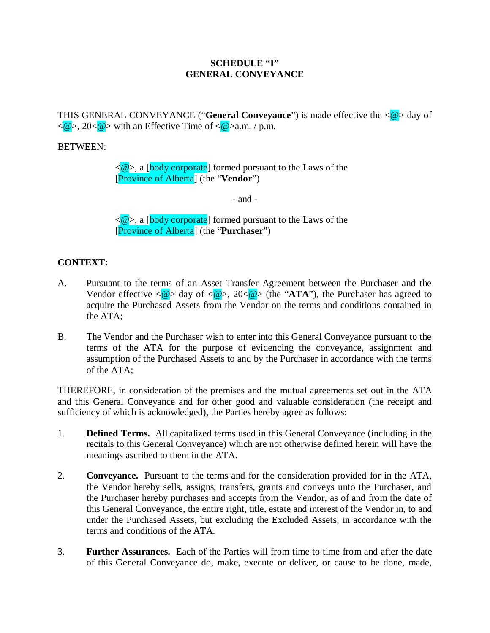## **SCHEDULE "I" GENERAL CONVEYANCE**

THIS GENERAL CONVEYANCE ("**General Conveyance**") is made effective the  $\langle \mathcal{Q} \rangle$  day of  $\langle \mathcal{Q} \rangle$ , 20 $\langle \mathcal{Q} \rangle$  with an Effective Time of  $\langle \mathcal{Q} \rangle$  a.m. / p.m.

## BETWEEN:

 $\langle \mathcal{Q} \rangle$ , a [body corporate] formed pursuant to the Laws of the [Province of Alberta] (the "**Vendor**")

- and -

 $\langle \textcircled{a} \rangle$ , a [body corporate] formed pursuant to the Laws of the [Province of Alberta] (the "**Purchaser**")

# **CONTEXT:**

- A. Pursuant to the terms of an Asset Transfer Agreement between the Purchaser and the Vendor effective  $\langle \mathbf{\omega} \rangle$  day of  $\langle \mathbf{\omega} \rangle$ , 20 $\langle \mathbf{\omega} \rangle$  (the "ATA"), the Purchaser has agreed to acquire the Purchased Assets from the Vendor on the terms and conditions contained in the ATA;
- B. The Vendor and the Purchaser wish to enter into this General Conveyance pursuant to the terms of the ATA for the purpose of evidencing the conveyance, assignment and assumption of the Purchased Assets to and by the Purchaser in accordance with the terms of the ATA;

THEREFORE, in consideration of the premises and the mutual agreements set out in the ATA and this General Conveyance and for other good and valuable consideration (the receipt and sufficiency of which is acknowledged), the Parties hereby agree as follows:

- 1. **Defined Terms.** All capitalized terms used in this General Conveyance (including in the recitals to this General Conveyance) which are not otherwise defined herein will have the meanings ascribed to them in the ATA.
- 2. **Conveyance.** Pursuant to the terms and for the consideration provided for in the ATA, the Vendor hereby sells, assigns, transfers, grants and conveys unto the Purchaser, and the Purchaser hereby purchases and accepts from the Vendor, as of and from the date of this General Conveyance, the entire right, title, estate and interest of the Vendor in, to and under the Purchased Assets, but excluding the Excluded Assets, in accordance with the terms and conditions of the ATA.
- 3. **Further Assurances.** Each of the Parties will from time to time from and after the date of this General Conveyance do, make, execute or deliver, or cause to be done, made,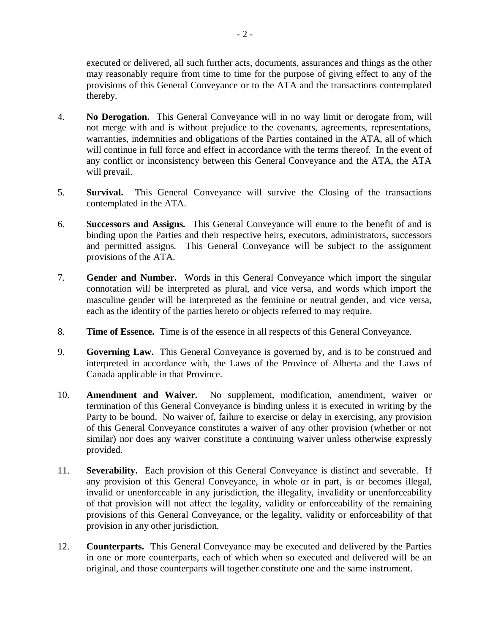executed or delivered, all such further acts, documents, assurances and things as the other may reasonably require from time to time for the purpose of giving effect to any of the provisions of this General Conveyance or to the ATA and the transactions contemplated thereby.

- 4. **No Derogation.** This General Conveyance will in no way limit or derogate from, will not merge with and is without prejudice to the covenants, agreements, representations, warranties, indemnities and obligations of the Parties contained in the ATA, all of which will continue in full force and effect in accordance with the terms thereof. In the event of any conflict or inconsistency between this General Conveyance and the ATA, the ATA will prevail.
- 5. **Survival.** This General Conveyance will survive the Closing of the transactions contemplated in the ATA.
- 6. **Successors and Assigns.** This General Conveyance will enure to the benefit of and is binding upon the Parties and their respective heirs, executors, administrators, successors and permitted assigns. This General Conveyance will be subject to the assignment provisions of the ATA.
- 7. **Gender and Number.** Words in this General Conveyance which import the singular connotation will be interpreted as plural, and vice versa, and words which import the masculine gender will be interpreted as the feminine or neutral gender, and vice versa, each as the identity of the parties hereto or objects referred to may require.
- 8. **Time of Essence.** Time is of the essence in all respects of this General Conveyance.
- 9. **Governing Law.** This General Conveyance is governed by, and is to be construed and interpreted in accordance with, the Laws of the Province of Alberta and the Laws of Canada applicable in that Province.
- 10. **Amendment and Waiver.** No supplement, modification, amendment, waiver or termination of this General Conveyance is binding unless it is executed in writing by the Party to be bound. No waiver of, failure to exercise or delay in exercising, any provision of this General Conveyance constitutes a waiver of any other provision (whether or not similar) nor does any waiver constitute a continuing waiver unless otherwise expressly provided.
- 11. **Severability.** Each provision of this General Conveyance is distinct and severable. If any provision of this General Conveyance, in whole or in part, is or becomes illegal, invalid or unenforceable in any jurisdiction, the illegality, invalidity or unenforceability of that provision will not affect the legality, validity or enforceability of the remaining provisions of this General Conveyance, or the legality, validity or enforceability of that provision in any other jurisdiction.
- 12. **Counterparts.** This General Conveyance may be executed and delivered by the Parties in one or more counterparts, each of which when so executed and delivered will be an original, and those counterparts will together constitute one and the same instrument.